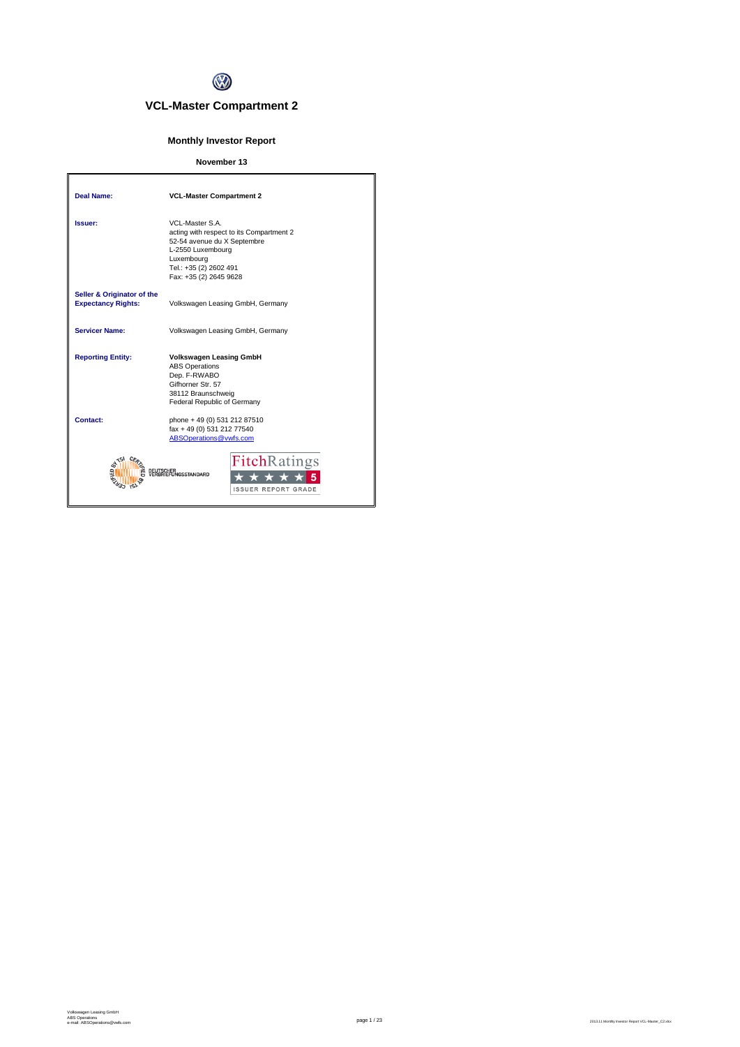

# **VCL-Master Compartment 2**

## **Monthly Investor Report**

## **November 13**

| <b>Deal Name:</b>                                       | <b>VCL-Master Compartment 2</b>                                                                                                                                                   |
|---------------------------------------------------------|-----------------------------------------------------------------------------------------------------------------------------------------------------------------------------------|
| Issuer:                                                 | VCL-Master S.A.<br>acting with respect to its Compartment 2<br>52-54 avenue du X Septembre<br>L-2550 Luxembourg<br>Luxembourg<br>Tel.: +35 (2) 2602 491<br>Fax: +35 (2) 2645 9628 |
| Seller & Originator of the<br><b>Expectancy Rights:</b> | Volkswagen Leasing GmbH, Germany                                                                                                                                                  |
| <b>Servicer Name:</b>                                   | Volkswagen Leasing GmbH, Germany                                                                                                                                                  |
| <b>Reporting Entity:</b>                                | <b>Volkswagen Leasing GmbH</b><br><b>ABS Operations</b><br>Dep. F-RWABO<br>Gifhorner Str. 57<br>38112 Braunschweig<br>Federal Republic of Germany                                 |
| Contact:                                                | phone + 49 (0) 531 212 87510<br>fax + 49 (0) 531 212 77540<br>ABSOperations@vwfs.com                                                                                              |
|                                                         | <b>Fitch</b> Ratings<br><b>NGSSTANDARD</b><br><b>ISSUER REPORT GRADE</b>                                                                                                          |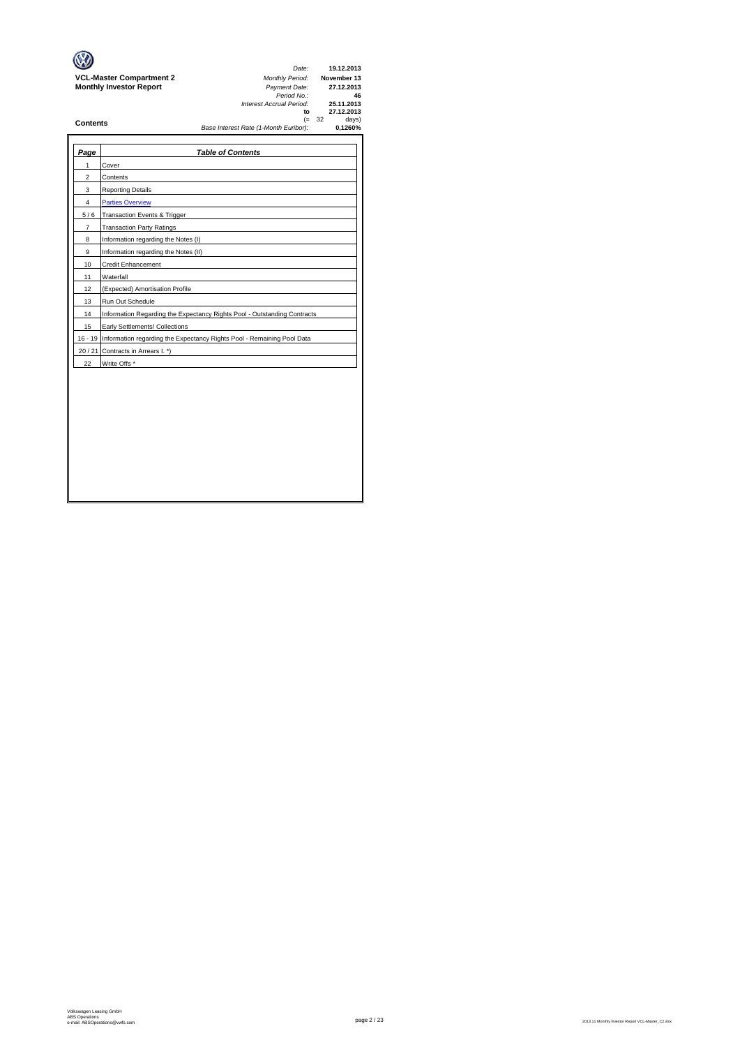| Page           | <b>Table of Contents</b>                                                       |
|----------------|--------------------------------------------------------------------------------|
| 1              | Cover                                                                          |
| $\overline{2}$ | Contents                                                                       |
| 3              | <b>Reporting Details</b>                                                       |
| 4              | <b>Parties Overview</b>                                                        |
| 5/6            | Transaction Events & Trigger                                                   |
| $\overline{7}$ | <b>Transaction Party Ratings</b>                                               |
| 8              | Information regarding the Notes (I)                                            |
| 9              | Information regarding the Notes (II)                                           |
| 10             | <b>Credit Enhancement</b>                                                      |
| 11             | Waterfall                                                                      |
| 12             | (Expected) Amortisation Profile                                                |
| 13             | Run Out Schedule                                                               |
| 14             | Information Regarding the Expectancy Rights Pool - Outstanding Contracts       |
| 15             | Early Settlements/ Collections                                                 |
|                | 16 - 19 Information regarding the Expectancy Rights Pool - Remaining Pool Data |
|                | 20 / 21 Contracts in Arrears I. *)                                             |
| 22             | Write Offs *                                                                   |
|                |                                                                                |
|                |                                                                                |
|                |                                                                                |
|                |                                                                                |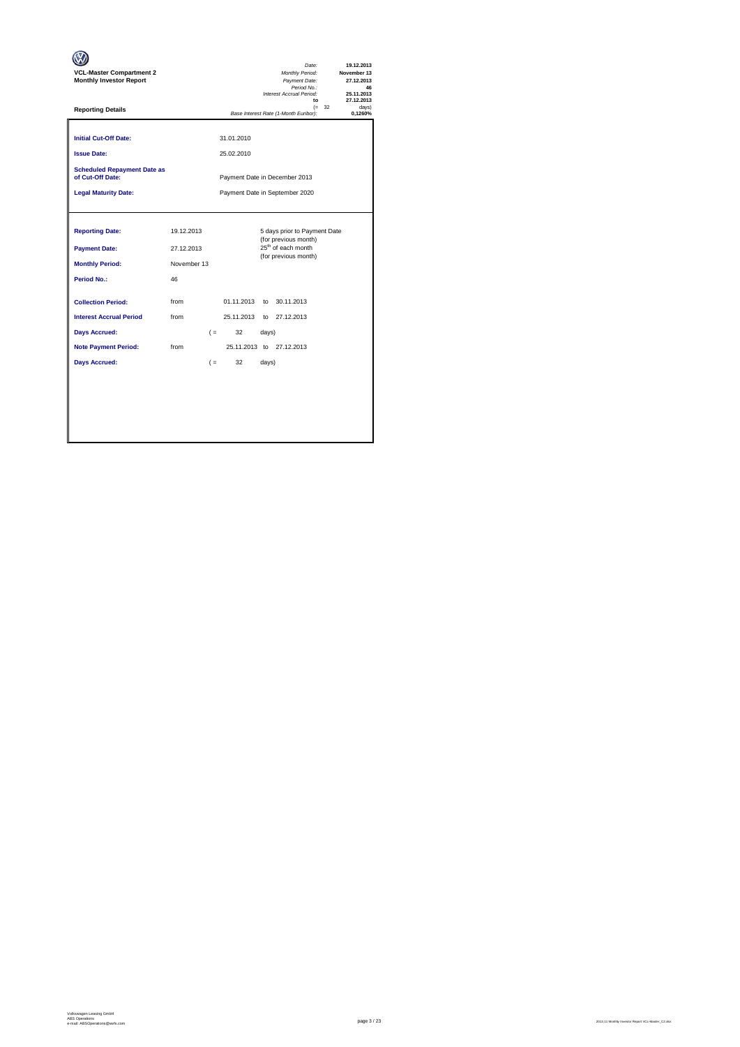| <b>VCL-Master Compartment 2</b><br><b>Monthly Investor Report</b>                              |                                               |       |                          |       | Date:<br>Monthly Period:<br>Payment Date:<br>Period No.:<br>Interest Accrual Period:<br>to                     |          | 19.12.2013<br>November 13<br>27.12.2013<br>46<br>25.11.2013<br>27.12.2013 |
|------------------------------------------------------------------------------------------------|-----------------------------------------------|-------|--------------------------|-------|----------------------------------------------------------------------------------------------------------------|----------|---------------------------------------------------------------------------|
| <b>Reporting Details</b>                                                                       |                                               |       |                          |       | Base Interest Rate (1-Month Euribor):                                                                          | $(= 32)$ | davs)<br>0.1260%                                                          |
| <b>Initial Cut-Off Date:</b><br><b>Issue Date:</b>                                             |                                               |       | 31.01.2010<br>25.02.2010 |       |                                                                                                                |          |                                                                           |
| <b>Scheduled Repayment Date as</b><br>of Cut-Off Date:                                         |                                               |       |                          |       | Payment Date in December 2013                                                                                  |          |                                                                           |
| <b>Legal Maturity Date:</b>                                                                    |                                               |       |                          |       | Payment Date in September 2020                                                                                 |          |                                                                           |
| <b>Reporting Date:</b><br><b>Payment Date:</b><br><b>Monthly Period:</b><br><b>Period No.:</b> | 19.12.2013<br>27.12.2013<br>November 13<br>46 |       |                          |       | 5 days prior to Payment Date<br>(for previous month)<br>25 <sup>th</sup> of each month<br>(for previous month) |          |                                                                           |
| <b>Collection Period:</b><br><b>Interest Accrual Period</b>                                    | from<br>from                                  |       | 01.11.2013<br>25.11.2013 |       | to 30.11.2013<br>to 27.12.2013                                                                                 |          |                                                                           |
| <b>Days Accrued:</b>                                                                           |                                               | $($ = | 32                       | days) |                                                                                                                |          |                                                                           |
| <b>Note Payment Period:</b>                                                                    | from                                          |       |                          |       | 25.11.2013 to 27.12.2013                                                                                       |          |                                                                           |
| <b>Days Accrued:</b>                                                                           |                                               | $($ = | 32                       | days) |                                                                                                                |          |                                                                           |
|                                                                                                |                                               |       |                          |       |                                                                                                                |          |                                                                           |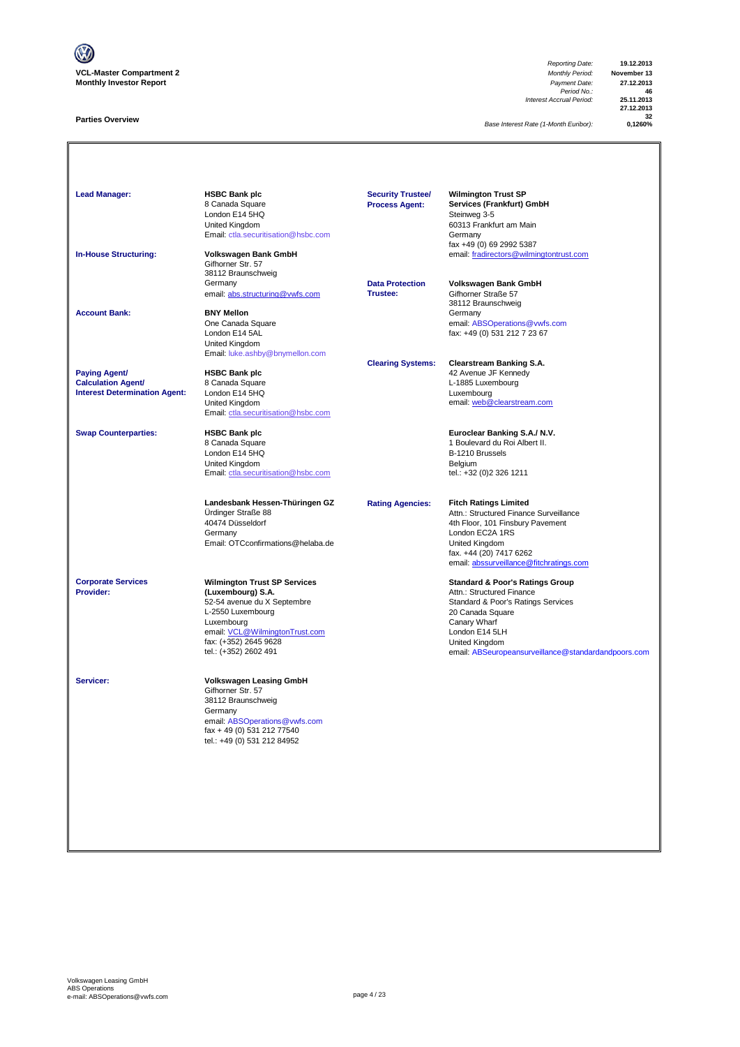

### **Parties Overview**

*Reporting Date:* **19.12.2013** *Period No.:* **46** *Interest Accrual Period:* **25.11.2013**

**27.12.2013 32**

**Base Interest Rate (1-Month Euribor):** 

| <b>Lead Manager:</b>                                                                      | <b>HSBC Bank plc</b><br>8 Canada Square<br>London E14 5HQ<br>United Kingdom<br>Email: ctla.securitisation@hsbc.com                                                                                             | <b>Security Trustee/</b><br><b>Process Agent:</b> | <b>Wilmington Trust SP</b><br>Services (Frankfurt) GmbH<br>Steinweg 3-5<br>60313 Frankfurt am Main<br>Germany<br>fax +49 (0) 69 2992 5387                                                                                                    |
|-------------------------------------------------------------------------------------------|----------------------------------------------------------------------------------------------------------------------------------------------------------------------------------------------------------------|---------------------------------------------------|----------------------------------------------------------------------------------------------------------------------------------------------------------------------------------------------------------------------------------------------|
| <b>In-House Structuring:</b>                                                              | Volkswagen Bank GmbH<br>Gifhorner Str. 57<br>38112 Braunschweig<br>Germany<br>email: abs.structuring@vwfs.com                                                                                                  | <b>Data Protection</b><br>Trustee:                | email: fradirectors@wilmingtontrust.com<br>Volkswagen Bank GmbH<br>Gifhorner Straße 57                                                                                                                                                       |
| <b>Account Bank:</b>                                                                      | <b>BNY Mellon</b><br>One Canada Square<br>London E14 5AL<br>United Kingdom<br>Email: luke.ashby@bnymellon.com                                                                                                  |                                                   | 38112 Braunschweig<br>Germany<br>email: ABSOperations@vwfs.com<br>fax: +49 (0) 531 212 7 23 67                                                                                                                                               |
| <b>Paying Agent/</b><br><b>Calculation Agent/</b><br><b>Interest Determination Agent:</b> | <b>HSBC Bank plc</b><br>8 Canada Square<br>London E14 5HQ<br>United Kingdom<br>Email: ctla.securitisation@hsbc.com                                                                                             | <b>Clearing Systems:</b>                          | <b>Clearstream Banking S.A.</b><br>42 Avenue JF Kennedy<br>L-1885 Luxembourg<br>Luxembourg<br>email: web@clearstream.com                                                                                                                     |
| <b>Swap Counterparties:</b>                                                               | <b>HSBC Bank plc</b><br>8 Canada Square<br>London E14 5HQ<br>United Kingdom<br>Email: ctla.securitisation@hsbc.com                                                                                             |                                                   | Euroclear Banking S.A./ N.V.<br>1 Boulevard du Roi Albert II.<br>B-1210 Brussels<br>Belgium<br>tel.: +32 (0)2 326 1211                                                                                                                       |
|                                                                                           | Landesbank Hessen-Thüringen GZ<br>Ürdinger Straße 88<br>40474 Düsseldorf<br>Germany<br>Email: OTCconfirmations@helaba.de                                                                                       | <b>Rating Agencies:</b>                           | <b>Fitch Ratings Limited</b><br>Attn.: Structured Finance Surveillance<br>4th Floor, 101 Finsbury Pavement<br>London EC2A 1RS<br>United Kingdom<br>fax. +44 (20) 7417 6262<br>email: abssurveillance@fitchratings.com                        |
| <b>Corporate Services</b><br>Provider:                                                    | <b>Wilmington Trust SP Services</b><br>(Luxembourg) S.A.<br>52-54 avenue du X Septembre<br>L-2550 Luxembourg<br>Luxembourg<br>email: VCL@WilmingtonTrust.com<br>fax: (+352) 2645 9628<br>tel.: (+352) 2602 491 |                                                   | <b>Standard &amp; Poor's Ratings Group</b><br>Attn.: Structured Finance<br>Standard & Poor's Ratings Services<br>20 Canada Square<br>Canary Wharf<br>London E14 5LH<br>United Kingdom<br>email: ABSeuropeansurveillance@standardandpoors.com |
| Servicer:                                                                                 | <b>Volkswagen Leasing GmbH</b><br>Gifhorner Str. 57<br>38112 Braunschweig<br>Germany<br>email: ABSOperations@vwfs.com<br>fax + 49 (0) 531 212 77540<br>tel.: +49 (0) 531 212 84952                             |                                                   |                                                                                                                                                                                                                                              |
|                                                                                           |                                                                                                                                                                                                                |                                                   |                                                                                                                                                                                                                                              |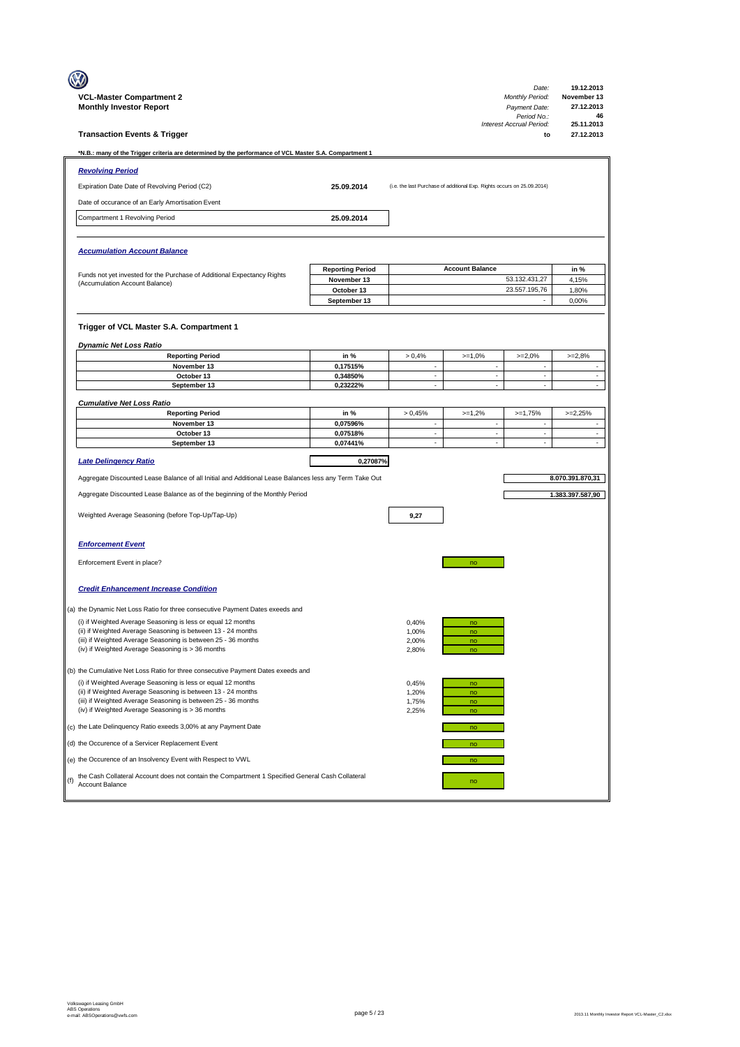|                                                                                                                                                        |                           |                          |                                                                         | Date:                                   | 19.12.2013                |
|--------------------------------------------------------------------------------------------------------------------------------------------------------|---------------------------|--------------------------|-------------------------------------------------------------------------|-----------------------------------------|---------------------------|
| <b>VCL-Master Compartment 2</b><br><b>Monthly Investor Report</b>                                                                                      |                           |                          |                                                                         | <b>Monthly Period:</b><br>Payment Date: | November 13<br>27.12.2013 |
|                                                                                                                                                        |                           |                          |                                                                         | Period No.:<br>Interest Accrual Period: | 46<br>25.11.2013          |
| <b>Transaction Events &amp; Trigger</b>                                                                                                                |                           |                          |                                                                         | to                                      | 27.12.2013                |
| *N.B.: many of the Trigger criteria are determined by the performance of VCL Master S.A. Compartment 1                                                 |                           |                          |                                                                         |                                         |                           |
| <b>Revolving Period</b>                                                                                                                                |                           |                          |                                                                         |                                         |                           |
| Expiration Date Date of Revolving Period (C2)                                                                                                          | 25.09.2014                |                          | (i.e. the last Purchase of additional Exp. Rights occurs on 25.09.2014) |                                         |                           |
| Date of occurance of an Early Amortisation Event                                                                                                       |                           |                          |                                                                         |                                         |                           |
| Compartment 1 Revolving Period                                                                                                                         | 25.09.2014                |                          |                                                                         |                                         |                           |
|                                                                                                                                                        |                           |                          |                                                                         |                                         |                           |
| <b>Accumulation Account Balance</b>                                                                                                                    |                           |                          |                                                                         |                                         |                           |
| Funds not yet invested for the Purchase of Additional Expectancy Rights                                                                                | <b>Reporting Period</b>   |                          | <b>Account Balance</b>                                                  |                                         | in %                      |
| (Accumulation Account Balance)                                                                                                                         | November 13<br>October 13 |                          |                                                                         | 53.132.431,27<br>23.557.195,76          | 4,15%<br>1,80%            |
|                                                                                                                                                        | September 13              |                          |                                                                         |                                         | 0,00%                     |
|                                                                                                                                                        |                           |                          |                                                                         |                                         |                           |
| Trigger of VCL Master S.A. Compartment 1                                                                                                               |                           |                          |                                                                         |                                         |                           |
| <b>Dynamic Net Loss Ratio</b>                                                                                                                          |                           |                          |                                                                         |                                         |                           |
| <b>Reporting Period</b>                                                                                                                                | in %                      | > 0,4%                   | $>=1,0%$                                                                | $>=2,0%$                                | $>=2,8%$                  |
| November 13<br>October 13                                                                                                                              | 0,17515%<br>0,34850%      | ÷,<br>÷,                 | $\overline{\phantom{a}}$<br>÷,                                          | ÷,<br>÷,                                | ä,<br>Ĭ.                  |
| September 13                                                                                                                                           | 0,23222%                  | $\overline{\phantom{a}}$ | $\overline{\phantom{a}}$                                                | $\overline{\phantom{a}}$                | $\overline{\phantom{a}}$  |
| <b>Cumulative Net Loss Ratio</b>                                                                                                                       |                           |                          |                                                                         |                                         |                           |
| <b>Reporting Period</b>                                                                                                                                | in %                      | > 0.45%                  | $>=1,2%$                                                                | $>=1,75%$                               | $>=2,25%$                 |
| November 13                                                                                                                                            | 0,07596%                  | ÷,                       | ÷.                                                                      | $\overline{\phantom{a}}$                | $\overline{\phantom{a}}$  |
| October 13<br>September 13                                                                                                                             | 0,07518%<br>0,07441%      |                          | ÷,                                                                      |                                         | ä,                        |
| <b>Late Delingency Ratio</b>                                                                                                                           | 0,27087%                  |                          |                                                                         |                                         |                           |
| Aggregate Discounted Lease Balance of all Initial and Additional Lease Balances less any Term Take Out                                                 |                           |                          |                                                                         |                                         | 8.070.391.870,31          |
| Aggregate Discounted Lease Balance as of the beginning of the Monthly Period                                                                           |                           |                          |                                                                         |                                         | 1.383.397.587,90          |
| Weighted Average Seasoning (before Top-Up/Tap-Up)                                                                                                      |                           | 9,27                     |                                                                         |                                         |                           |
| <b>Enforcement Event</b>                                                                                                                               |                           |                          |                                                                         |                                         |                           |
| Enforcement Event in place?                                                                                                                            |                           |                          | no                                                                      |                                         |                           |
|                                                                                                                                                        |                           |                          |                                                                         |                                         |                           |
| <b>Credit Enhancement Increase Condition</b>                                                                                                           |                           |                          |                                                                         |                                         |                           |
| (a) the Dynamic Net Loss Ratio for three consecutive Payment Dates exeeds and                                                                          |                           |                          |                                                                         |                                         |                           |
| (i) if Weighted Average Seasoning is less or equal 12 months                                                                                           |                           | 0,40%                    | no                                                                      |                                         |                           |
| (ii) if Weighted Average Seasoning is between 13 - 24 months<br>(iii) if Weighted Average Seasoning is between 25 - 36 months                          |                           | 1,00%<br>2,00%           | no<br>no                                                                |                                         |                           |
| (iv) if Weighted Average Seasoning is > 36 months                                                                                                      |                           | 2,80%                    | no                                                                      |                                         |                           |
| (b) the Cumulative Net Loss Ratio for three consecutive Payment Dates exeeds and                                                                       |                           |                          |                                                                         |                                         |                           |
| (i) if Weighted Average Seasoning is less or equal 12 months                                                                                           |                           | 0,45%                    | no                                                                      |                                         |                           |
| (ii) if Weighted Average Seasoning is between 13 - 24 months                                                                                           |                           | 1,20%                    | no                                                                      |                                         |                           |
| (iii) if Weighted Average Seasoning is between 25 - 36 months<br>(iv) if Weighted Average Seasoning is > 36 months                                     |                           | 1,75%<br>2,25%           | no<br>no                                                                |                                         |                           |
| (c) the Late Delinquency Ratio exeeds 3,00% at any Payment Date                                                                                        |                           |                          | no                                                                      |                                         |                           |
| (d) the Occurence of a Servicer Replacement Event                                                                                                      |                           |                          | no                                                                      |                                         |                           |
| (e) the Occurence of an Insolvency Event with Respect to VWL                                                                                           |                           |                          | no                                                                      |                                         |                           |
| the Cash Collateral Account does not contain the Compartment 1 Specified General Cash Collateral<br>$(f)$ $\frac{u \cdot v}{\sqrt{2}}$ Account Balance |                           |                          | no                                                                      |                                         |                           |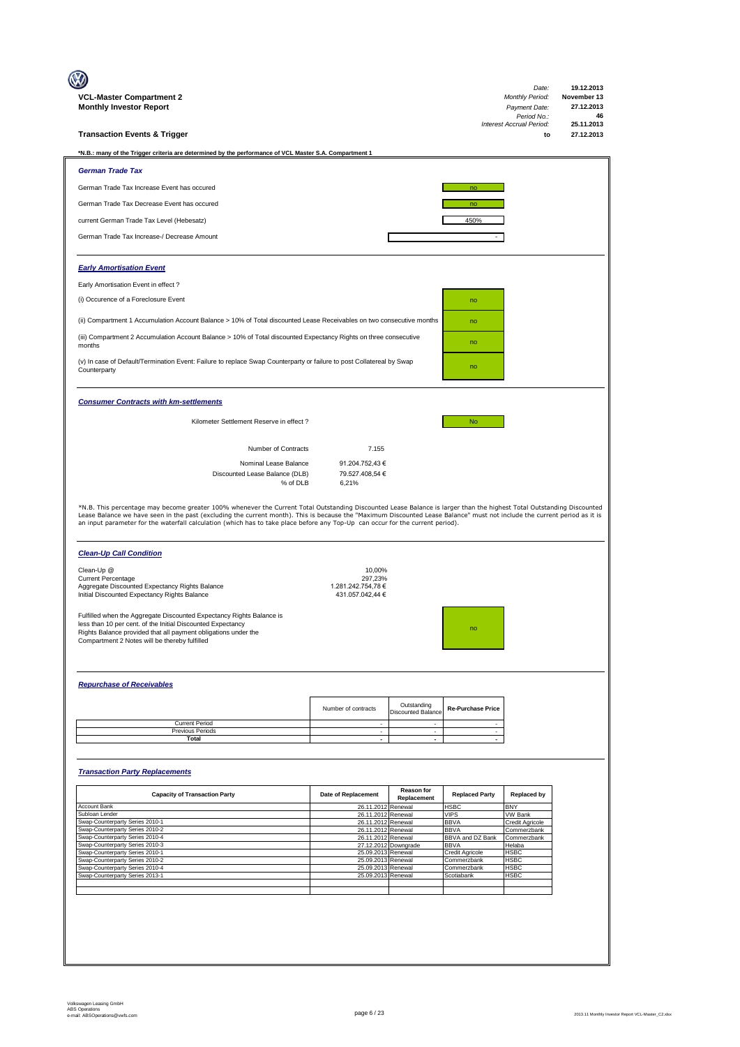| VCL-Master Compartment 2<br><b>Monthly Investor Report</b>                                                                                                                                                                                             |                                                   |                                          |                                 | Date:<br><b>Monthly Period:</b><br>Payment Date:<br>Period No.:<br>Interest Accrual Period: | 19.12.2013<br>November 13<br>27.12.2013<br>46<br>25.11.2013 |
|--------------------------------------------------------------------------------------------------------------------------------------------------------------------------------------------------------------------------------------------------------|---------------------------------------------------|------------------------------------------|---------------------------------|---------------------------------------------------------------------------------------------|-------------------------------------------------------------|
| <b>Transaction Events &amp; Trigger</b>                                                                                                                                                                                                                |                                                   |                                          |                                 | to                                                                                          | 27.12.2013                                                  |
| *N.B.: many of the Trigger criteria are determined by the performance of VCL Master S.A. Compartment 1                                                                                                                                                 |                                                   |                                          |                                 |                                                                                             |                                                             |
| <b>German Trade Tax</b>                                                                                                                                                                                                                                |                                                   |                                          |                                 |                                                                                             |                                                             |
| German Trade Tax Increase Event has occured                                                                                                                                                                                                            |                                                   |                                          | no                              |                                                                                             |                                                             |
| German Trade Tax Decrease Event has occured                                                                                                                                                                                                            |                                                   |                                          | no                              |                                                                                             |                                                             |
| current German Trade Tax Level (Hebesatz)                                                                                                                                                                                                              |                                                   |                                          | 450%                            |                                                                                             |                                                             |
| German Trade Tax Increase-/ Decrease Amount                                                                                                                                                                                                            |                                                   |                                          |                                 |                                                                                             |                                                             |
| <b>Early Amortisation Event</b>                                                                                                                                                                                                                        |                                                   |                                          |                                 |                                                                                             |                                                             |
| Early Amortisation Event in effect?                                                                                                                                                                                                                    |                                                   |                                          |                                 |                                                                                             |                                                             |
| (i) Occurence of a Foreclosure Event                                                                                                                                                                                                                   |                                                   |                                          | no                              |                                                                                             |                                                             |
| (ii) Compartment 1 Accumulation Account Balance > 10% of Total discounted Lease Receivables on two consecutive months                                                                                                                                  |                                                   |                                          | no                              |                                                                                             |                                                             |
| (iii) Compartment 2 Accumulation Account Balance > 10% of Total discounted Expectancy Rights on three consecutive                                                                                                                                      |                                                   |                                          |                                 |                                                                                             |                                                             |
| months                                                                                                                                                                                                                                                 |                                                   |                                          | no                              |                                                                                             |                                                             |
| (v) In case of Default/Termination Event: Failure to replace Swap Counterparty or failure to post Collatereal by Swap<br>Counterparty                                                                                                                  |                                                   |                                          | no                              |                                                                                             |                                                             |
| <b>Consumer Contracts with km-settlements</b>                                                                                                                                                                                                          |                                                   |                                          |                                 |                                                                                             |                                                             |
| Kilometer Settlement Reserve in effect ?                                                                                                                                                                                                               |                                                   |                                          | <b>No</b>                       |                                                                                             |                                                             |
|                                                                                                                                                                                                                                                        |                                                   |                                          |                                 |                                                                                             |                                                             |
| Number of Contracts                                                                                                                                                                                                                                    | 7.155                                             |                                          |                                 |                                                                                             |                                                             |
| Nominal Lease Balance<br>Discounted Lease Balance (DLB)<br>% of DLB                                                                                                                                                                                    | 91.204.752,43 €<br>79.527.408,54 €<br>6,21%       |                                          |                                 |                                                                                             |                                                             |
| an input parameter for the waterfall calculation (which has to take place before any Top-Up can occur for the current period).<br><b>Clean-Up Call Condition</b><br>Clean-Up @                                                                         | 10,00%                                            |                                          |                                 |                                                                                             |                                                             |
| <b>Current Percentage</b><br>Aggregate Discounted Expectancy Rights Balance<br>Initial Discounted Expectancy Rights Balance                                                                                                                            | 297,23%<br>1.281.242.754.78 €<br>431.057.042,44 € |                                          |                                 |                                                                                             |                                                             |
| Fulfilled when the Aggregate Discounted Expectancy Rights Balance is<br>less than 10 per cent. of the Initial Discounted Expectancy<br>Rights Balance provided that all payment obligations under the<br>Compartment 2 Notes will be thereby fulfilled |                                                   |                                          |                                 |                                                                                             |                                                             |
| <b>Repurchase of Receivables</b>                                                                                                                                                                                                                       |                                                   |                                          |                                 |                                                                                             |                                                             |
|                                                                                                                                                                                                                                                        |                                                   |                                          |                                 |                                                                                             |                                                             |
|                                                                                                                                                                                                                                                        | Number of contracts                               | Outstanding<br><b>Discounted Balance</b> | <b>Re-Purchase Price</b>        |                                                                                             |                                                             |
| <b>Current Period</b><br>Previous Periods                                                                                                                                                                                                              | $\sim$<br>$\sim$                                  | $\sim$<br>$\sim$                         | $\sim$<br>$\sim$                |                                                                                             |                                                             |
| Total                                                                                                                                                                                                                                                  | $\overline{\phantom{a}}$                          | $\sim$                                   | $\overline{\phantom{a}}$        |                                                                                             |                                                             |
| <b>Transaction Party Replacements</b>                                                                                                                                                                                                                  |                                                   |                                          |                                 |                                                                                             |                                                             |
| <b>Capacity of Transaction Party</b>                                                                                                                                                                                                                   | Date of Replacement                               | <b>Reason for</b>                        | <b>Replaced Party</b>           | <b>Replaced by</b>                                                                          |                                                             |
| Account Bank                                                                                                                                                                                                                                           | 26.11.2012                                        | Replacement<br>Renewal                   | <b>HSBC</b>                     | <b>BNY</b>                                                                                  |                                                             |
| Subloan Lender<br>Swap-Counterparty Series 2010-1                                                                                                                                                                                                      | 26.11.2012<br>26.11.2012                          | Renewal<br>Renewal                       | <b>VIPS</b><br><b>BBVA</b>      | <b>VW Bank</b><br>Credit Agricole                                                           |                                                             |
| Swap-Counterparty Series 2010-2<br>Swap-Counterparty Series 2010-4                                                                                                                                                                                     | 26.11.2012<br>26.11.2012                          | Renewal<br>Renewal                       | <b>BBVA</b><br>BBVA and DZ Bank | Commerzbank<br>Commerzbank                                                                  |                                                             |
| Swap-Counterparty Series 2010-3                                                                                                                                                                                                                        |                                                   | 27.12.2012 Downgrade                     | <b>BBVA</b>                     | Helaba                                                                                      |                                                             |
| Swap-Counterparty Series 2010-1<br>Swap-Counterparty Series 2010-2                                                                                                                                                                                     | 25.09.2013 Renewal<br>25.09.2013                  | Renewal                                  | Credit Agricole<br>Commerzbank  | HSBC<br><b>HSBC</b>                                                                         |                                                             |
| Swap-Counterparty Series 2010-4                                                                                                                                                                                                                        | 25.09.2013 Renewal                                |                                          | Commerzbank                     | <b>HSBC</b>                                                                                 |                                                             |
| Swap-Counterparty Series 2013-1                                                                                                                                                                                                                        | 25.09.2013                                        | Renewal                                  | Scotiabank                      | <b>HSBC</b>                                                                                 |                                                             |
|                                                                                                                                                                                                                                                        |                                                   |                                          |                                 |                                                                                             |                                                             |
|                                                                                                                                                                                                                                                        |                                                   |                                          |                                 |                                                                                             |                                                             |
|                                                                                                                                                                                                                                                        |                                                   |                                          |                                 |                                                                                             |                                                             |
|                                                                                                                                                                                                                                                        |                                                   |                                          |                                 |                                                                                             |                                                             |
|                                                                                                                                                                                                                                                        |                                                   |                                          |                                 |                                                                                             |                                                             |
|                                                                                                                                                                                                                                                        |                                                   |                                          |                                 |                                                                                             |                                                             |
|                                                                                                                                                                                                                                                        |                                                   |                                          |                                 |                                                                                             |                                                             |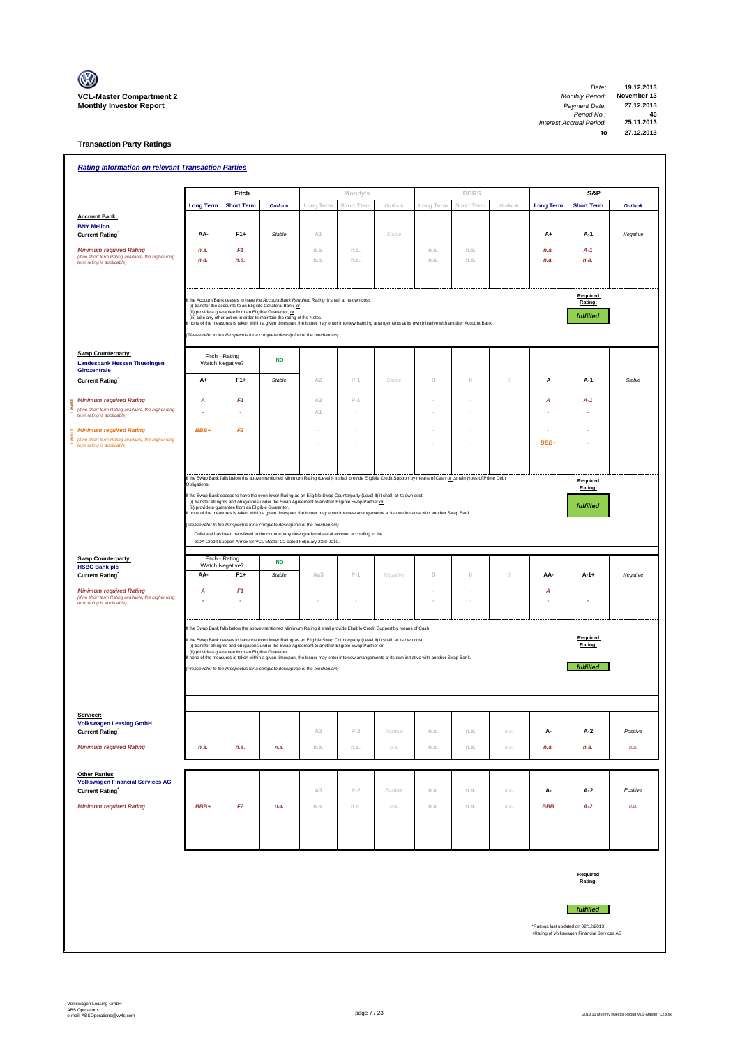

| <b>Rating Information on relevant Transaction Parties</b>                                                           |                        |                                                         |                                                                                                                                                                                                                                                                                                                            |                |            |                                                                                                                                                                                                                                                                                                                                                                                                             |           |             |          |                  |                                                                                    |          |
|---------------------------------------------------------------------------------------------------------------------|------------------------|---------------------------------------------------------|----------------------------------------------------------------------------------------------------------------------------------------------------------------------------------------------------------------------------------------------------------------------------------------------------------------------------|----------------|------------|-------------------------------------------------------------------------------------------------------------------------------------------------------------------------------------------------------------------------------------------------------------------------------------------------------------------------------------------------------------------------------------------------------------|-----------|-------------|----------|------------------|------------------------------------------------------------------------------------|----------|
|                                                                                                                     |                        | Fitch                                                   |                                                                                                                                                                                                                                                                                                                            |                | Moody's    |                                                                                                                                                                                                                                                                                                                                                                                                             |           | <b>DBRS</b> |          |                  | S&P                                                                                |          |
|                                                                                                                     | <b>Long Term</b>       | <b>Short Term</b>                                       | <b>Outlook</b>                                                                                                                                                                                                                                                                                                             | Long Term      | Short Term | Outlook                                                                                                                                                                                                                                                                                                                                                                                                     | Long Term | Short Term  | Outlook  | <b>Long Term</b> | <b>Short Term</b>                                                                  | Outlook  |
| <b>Account Bank:</b>                                                                                                |                        |                                                         |                                                                                                                                                                                                                                                                                                                            |                |            |                                                                                                                                                                                                                                                                                                                                                                                                             |           |             |          |                  |                                                                                    |          |
| <b>BNY Mellon</b><br><b>Current Rating</b>                                                                          | AA-                    | $F1+$                                                   | Stable                                                                                                                                                                                                                                                                                                                     | A1             |            | Stable                                                                                                                                                                                                                                                                                                                                                                                                      |           |             |          | A+               | A-1                                                                                | Negative |
|                                                                                                                     |                        |                                                         |                                                                                                                                                                                                                                                                                                                            |                |            |                                                                                                                                                                                                                                                                                                                                                                                                             |           |             |          |                  |                                                                                    |          |
| <b>Minimum required Rating</b><br>(if no short term Rating available, the higher long                               | n.a.                   | F <sub>1</sub>                                          |                                                                                                                                                                                                                                                                                                                            | n.a.           | n.a.       |                                                                                                                                                                                                                                                                                                                                                                                                             | n.a.      | n.a.        |          | n.a.             | $A-1$                                                                              |          |
| term rating is applicable)                                                                                          | n.a.                   | n.a.                                                    |                                                                                                                                                                                                                                                                                                                            | n.a.           | n.a.       |                                                                                                                                                                                                                                                                                                                                                                                                             | n.a.      | n.a.        |          | n.a.             | n.a.                                                                               |          |
|                                                                                                                     |                        | (ii) provide a guarantee from an Eligible Guarantor, or | f the Account Bank ceases to have the Account Bank Required Rating it shall, at its own cost,<br>(i) transfer the accounts to an Eligible Collateral Bank, or<br>(iii) take any other action in order to maintain the rating of the Notes.<br>(Please refer to the Prospectus for a complete description of the mechanism) |                |            | f none of the measures is taken within a given timespan, the Issuer may enter into new banking arrangements at its own initiative with another Account Bank.                                                                                                                                                                                                                                                |           |             |          |                  | Required<br>Rating:<br>fulfilled                                                   |          |
| <b>Swap Counterparty:</b><br><b>Landesbank Hessen Thueringen</b>                                                    | Watch Negative?        | Fitch - Rating                                          | <b>NO</b>                                                                                                                                                                                                                                                                                                                  |                |            |                                                                                                                                                                                                                                                                                                                                                                                                             |           |             |          |                  |                                                                                    |          |
| Girozentrale<br><b>Current Rating</b>                                                                               | A+                     | $F1+$                                                   | Stable                                                                                                                                                                                                                                                                                                                     | A <sub>2</sub> | $P-1$      | Stable                                                                                                                                                                                                                                                                                                                                                                                                      | $\cup$    | $\circ$     | $\theta$ | А                | A-1                                                                                | Stable   |
| <b>Minimum required Rating</b>                                                                                      | А                      | F <sub>1</sub>                                          |                                                                                                                                                                                                                                                                                                                            | A <sub>2</sub> | $P-1$      |                                                                                                                                                                                                                                                                                                                                                                                                             |           |             |          | A                | $A-1$                                                                              |          |
| (if no short term Rating available, the higher long                                                                 |                        |                                                         |                                                                                                                                                                                                                                                                                                                            |                |            |                                                                                                                                                                                                                                                                                                                                                                                                             |           |             |          |                  |                                                                                    |          |
| term rating is applicable)                                                                                          |                        |                                                         |                                                                                                                                                                                                                                                                                                                            | A1             |            |                                                                                                                                                                                                                                                                                                                                                                                                             |           |             |          |                  |                                                                                    |          |
| <b>Minimum required Rating</b>                                                                                      | BBB+                   | F2                                                      |                                                                                                                                                                                                                                                                                                                            |                |            |                                                                                                                                                                                                                                                                                                                                                                                                             |           |             |          |                  |                                                                                    |          |
| (if no short term Rating available, the higher long<br>term rating is applicable)                                   |                        |                                                         |                                                                                                                                                                                                                                                                                                                            |                |            |                                                                                                                                                                                                                                                                                                                                                                                                             |           |             |          | BBB+             |                                                                                    |          |
|                                                                                                                     |                        |                                                         |                                                                                                                                                                                                                                                                                                                            |                |            |                                                                                                                                                                                                                                                                                                                                                                                                             |           |             |          |                  |                                                                                    |          |
|                                                                                                                     | Obligations            |                                                         |                                                                                                                                                                                                                                                                                                                            |                |            | If the Swap Bank falls below the above mentioned Minimum Rating (Level I) it shall provide Eligible Credit Support by means of Cash or certain types of Prime Debt                                                                                                                                                                                                                                          |           |             |          |                  | Required<br>Rating:                                                                |          |
| Swap Counterparty:                                                                                                  | Fitch - Rating         |                                                         | Please refer to the Prospectus for a complete description of the mechanism)<br>Collateral has been transfered to the counterparty downgrade collateral account according to the<br>ISDA Credit Support Annex for VCL Master C2 dated February 23rd 2010.<br><b>NO</b>                                                      |                |            |                                                                                                                                                                                                                                                                                                                                                                                                             |           |             |          |                  |                                                                                    |          |
| <b>HSBC Bank plc</b><br><b>Current Rating</b>                                                                       | Watch Negative?<br>AA- | $F1+$                                                   | Stable                                                                                                                                                                                                                                                                                                                     | Aa3            | $P-1$      | Negative                                                                                                                                                                                                                                                                                                                                                                                                    | $\circ$   | $\theta$    | 0        | AA-              | $A-1+$                                                                             | Negative |
| <b>Minimum required Rating</b><br>(if no short term Rating available, the higher long<br>term rating is applicable) | A                      | F <sub>1</sub>                                          |                                                                                                                                                                                                                                                                                                                            |                |            |                                                                                                                                                                                                                                                                                                                                                                                                             |           |             |          | А                |                                                                                    |          |
|                                                                                                                     |                        |                                                         |                                                                                                                                                                                                                                                                                                                            |                |            |                                                                                                                                                                                                                                                                                                                                                                                                             |           |             |          |                  |                                                                                    |          |
|                                                                                                                     |                        | (ii) provide a guarantee from an Eligible Guarantor.    | (i) transfer all rights and obligations under the Swap Agreement to another Eligible Swap Partner or<br>(Please refer to the Prospectus for a complete description of the mechanism)                                                                                                                                       |                |            | If the Swap Bank falls below the above mentioned Minimum Rating it shall provide Eligible Credit Support by means of Cash<br>f the Swap Bank ceases to have the even lower Rating as an Eligible Swap Counterparty (Level II) it shall, at its own cost,<br>none of the measures is taken within a given timespan, the Issuer may enter into new arrangements at its own initiative with another Swap Bank. |           |             |          |                  | Required<br>Rating:<br>fulfilled                                                   |          |
| Servicer:<br><b>Volkswagen Leasing GmbH</b>                                                                         |                        |                                                         |                                                                                                                                                                                                                                                                                                                            |                |            |                                                                                                                                                                                                                                                                                                                                                                                                             |           |             |          |                  |                                                                                    |          |
| <b>Current Rating</b>                                                                                               |                        |                                                         |                                                                                                                                                                                                                                                                                                                            | A3             | $P-2$      | Positive                                                                                                                                                                                                                                                                                                                                                                                                    | n.a.      | n.a.        | n.a.     | А-               | A-2                                                                                | Positive |
| <b>Minimum required Rating</b>                                                                                      | n.a.                   | n.a.                                                    | n.a.                                                                                                                                                                                                                                                                                                                       | n.a.           | n.a.       | n.a.                                                                                                                                                                                                                                                                                                                                                                                                        | n.a.      | n.a.        | n.a.     | n.a.             | n.a.                                                                               | n.a.     |
| <b>Other Parties</b>                                                                                                |                        |                                                         |                                                                                                                                                                                                                                                                                                                            |                |            |                                                                                                                                                                                                                                                                                                                                                                                                             |           |             |          |                  |                                                                                    |          |
| <b>Volkswagen Financial Services AG</b><br><b>Current Rating</b>                                                    |                        |                                                         |                                                                                                                                                                                                                                                                                                                            | A3             | $P-2$      | Positive                                                                                                                                                                                                                                                                                                                                                                                                    | n.a.      | n.a.        | n.a.     | А-               | A-2                                                                                | Positive |
| <b>Minimum required Rating</b>                                                                                      | BBB+                   | F2                                                      | n.a.                                                                                                                                                                                                                                                                                                                       | n.a.           | n.a.       | n.a.                                                                                                                                                                                                                                                                                                                                                                                                        | n.a.      | n.a.        | n.a.     | <b>BBB</b>       | $A-2$                                                                              | n.a.     |
|                                                                                                                     |                        |                                                         |                                                                                                                                                                                                                                                                                                                            |                |            |                                                                                                                                                                                                                                                                                                                                                                                                             |           |             |          |                  |                                                                                    |          |
|                                                                                                                     |                        |                                                         |                                                                                                                                                                                                                                                                                                                            |                |            |                                                                                                                                                                                                                                                                                                                                                                                                             |           |             |          |                  |                                                                                    |          |
|                                                                                                                     |                        |                                                         |                                                                                                                                                                                                                                                                                                                            |                |            |                                                                                                                                                                                                                                                                                                                                                                                                             |           |             |          |                  | Required<br>Rating:                                                                |          |
|                                                                                                                     |                        |                                                         |                                                                                                                                                                                                                                                                                                                            |                |            |                                                                                                                                                                                                                                                                                                                                                                                                             |           |             |          |                  | <i>fulfilled</i>                                                                   |          |
|                                                                                                                     |                        |                                                         |                                                                                                                                                                                                                                                                                                                            |                |            |                                                                                                                                                                                                                                                                                                                                                                                                             |           |             |          |                  | *Ratings last updated on 02/12/2013<br>+Rating of Volkswagen Financial Services AG |          |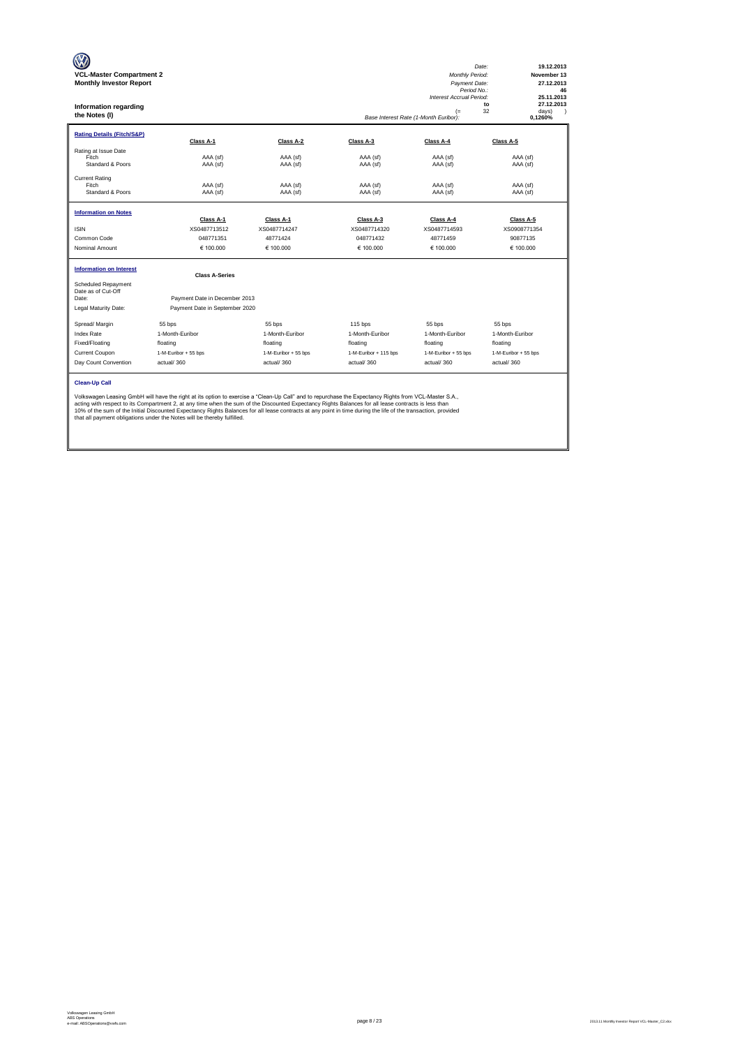| <b>VCL-Master Compartment 2</b><br><b>Monthly Investor Report</b><br><b>Information regarding</b><br>the Notes (I) |                                                                                                                                                                                                                                                                                                                                                                                                                                                                                                                                                           |                      |                       | Monthly Period:<br>Payment Date:<br>Period No.:<br><b>Interest Accrual Period:</b><br>$($ =<br>Base Interest Rate (1-Month Euribor): | Date:<br>19.12.2013<br>November 13<br>27.12.2013<br>46<br>25.11.2013<br>27.12.2013<br>to<br>32<br>days)<br>0,1260% |
|--------------------------------------------------------------------------------------------------------------------|-----------------------------------------------------------------------------------------------------------------------------------------------------------------------------------------------------------------------------------------------------------------------------------------------------------------------------------------------------------------------------------------------------------------------------------------------------------------------------------------------------------------------------------------------------------|----------------------|-----------------------|--------------------------------------------------------------------------------------------------------------------------------------|--------------------------------------------------------------------------------------------------------------------|
| <b>Rating Details (Fitch/S&amp;P)</b>                                                                              | Class A-1                                                                                                                                                                                                                                                                                                                                                                                                                                                                                                                                                 | Class A-2            | Class A-3             | Class A-4                                                                                                                            | Class A-5                                                                                                          |
| Rating at Issue Date<br>Fitch<br>Standard & Poors                                                                  | AAA (sf)<br>AAA (sf)                                                                                                                                                                                                                                                                                                                                                                                                                                                                                                                                      | AAA (sf)<br>AAA (sf) | AAA (sf)<br>AAA (sf)  | AAA (sf)<br>AAA (sf)                                                                                                                 | AAA (sf)<br>AAA (sf)                                                                                               |
| <b>Current Rating</b><br>Fitch<br>Standard & Poors                                                                 | AAA (sf)<br>AAA (sf)                                                                                                                                                                                                                                                                                                                                                                                                                                                                                                                                      | AAA (sf)<br>AAA (sf) | AAA (sf)<br>AAA (sf)  | AAA (sf)<br>AAA (sf)                                                                                                                 | AAA (sf)<br>AAA (sf)                                                                                               |
| <b>Information on Notes</b>                                                                                        | Class A-1                                                                                                                                                                                                                                                                                                                                                                                                                                                                                                                                                 | Class A-1            | Class A-3             | Class A-4                                                                                                                            | Class A-5                                                                                                          |
| <b>ISIN</b>                                                                                                        | XS0487713512                                                                                                                                                                                                                                                                                                                                                                                                                                                                                                                                              | XS0487714247         | XS0487714320          | XS0487714593                                                                                                                         | XS0908771354                                                                                                       |
| Common Code                                                                                                        | 048771351                                                                                                                                                                                                                                                                                                                                                                                                                                                                                                                                                 | 48771424             | 048771432             | 48771459                                                                                                                             | 90877135                                                                                                           |
| Nominal Amount                                                                                                     | € 100,000                                                                                                                                                                                                                                                                                                                                                                                                                                                                                                                                                 | € 100,000            | € 100.000             | € 100.000                                                                                                                            | € 100.000                                                                                                          |
| <b>Information on Interest</b>                                                                                     | <b>Class A-Series</b>                                                                                                                                                                                                                                                                                                                                                                                                                                                                                                                                     |                      |                       |                                                                                                                                      |                                                                                                                    |
| Scheduled Repayment<br>Date as of Cut-Off<br>Date:                                                                 | Payment Date in December 2013                                                                                                                                                                                                                                                                                                                                                                                                                                                                                                                             |                      |                       |                                                                                                                                      |                                                                                                                    |
| Legal Maturity Date:                                                                                               | Payment Date in September 2020                                                                                                                                                                                                                                                                                                                                                                                                                                                                                                                            |                      |                       |                                                                                                                                      |                                                                                                                    |
| Spread/ Margin                                                                                                     | 55 bps                                                                                                                                                                                                                                                                                                                                                                                                                                                                                                                                                    | 55 bps               | $115$ bps             | 55 bps                                                                                                                               | 55 bps                                                                                                             |
| <b>Index Rate</b>                                                                                                  | 1-Month-Euribor                                                                                                                                                                                                                                                                                                                                                                                                                                                                                                                                           | 1-Month-Euribor      | 1-Month-Euribor       | 1-Month-Euribor                                                                                                                      | 1-Month-Euribor                                                                                                    |
| Fixed/Floating                                                                                                     | floating                                                                                                                                                                                                                                                                                                                                                                                                                                                                                                                                                  | floating             | floating              | floating                                                                                                                             | floating                                                                                                           |
| Current Coupon                                                                                                     | 1-M-Euribor + 55 bps                                                                                                                                                                                                                                                                                                                                                                                                                                                                                                                                      | 1-M-Euribor + 55 bps | 1-M-Euribor + 115 bps | 1-M-Euribor + 55 bps                                                                                                                 | 1-M-Euribor + 55 bps                                                                                               |
| Day Count Convention                                                                                               | actual/360                                                                                                                                                                                                                                                                                                                                                                                                                                                                                                                                                | actual/360           | actual/360            | actual/360                                                                                                                           | actual/360                                                                                                         |
| <b>Clean-Up Call</b>                                                                                               | Volkswagen Leasing GmbH will have the right at its option to exercise a "Clean-Up Call" and to repurchase the Expectancy Rights from VCL-Master S.A.,<br>acting with respect to its Compartment 2, at any time when the sum of the Discounted Expectancy Rights Balances for all lease contracts is less than<br>10% of the sum of the Initial Discounted Expectancy Rights Balances for all lease contracts at any point in time during the life of the transaction, provided<br>that all payment obligations under the Notes will be thereby fulfilled. |                      |                       |                                                                                                                                      |                                                                                                                    |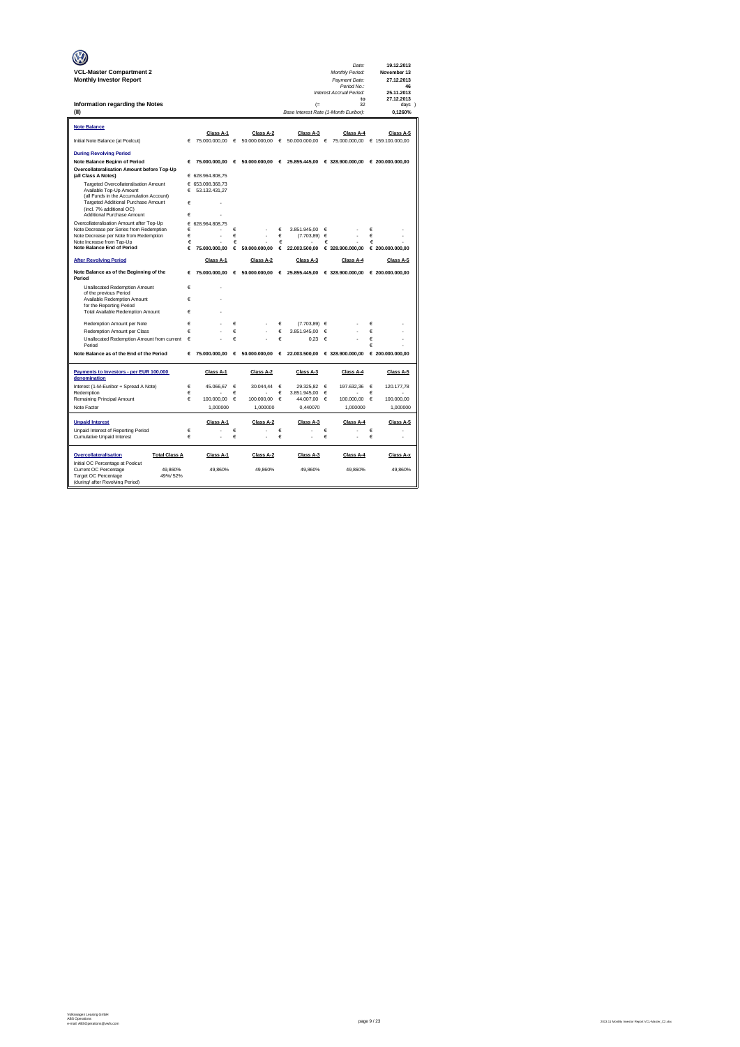| <b>VCL-Master Compartment 2</b>                                     |        |                                   |            |               |        |                                       |            | Date:<br>Monthly Period:                        |        | 19.12.2013<br>November 13 |
|---------------------------------------------------------------------|--------|-----------------------------------|------------|---------------|--------|---------------------------------------|------------|-------------------------------------------------|--------|---------------------------|
| <b>Monthly Investor Report</b>                                      |        |                                   |            |               |        |                                       |            | Payment Date:                                   |        | 27.12.2013                |
|                                                                     |        |                                   |            |               |        |                                       |            | Period No.:                                     |        | 46                        |
|                                                                     |        |                                   |            |               |        |                                       |            | Interest Accrual Period:<br>to                  |        | 25.11.2013<br>27.12.2013  |
| Information regarding the Notes                                     |        |                                   |            |               |        | $($ =                                 |            | 32                                              |        | days 1                    |
| (II)                                                                |        |                                   |            |               |        | Base Interest Rate (1-Month Euribor): |            |                                                 |        | 0.1260%                   |
| <b>Note Balance</b>                                                 |        |                                   |            |               |        |                                       |            |                                                 |        |                           |
|                                                                     |        | Class A-1                         |            | Class A-2     |        | Class A-3                             |            | Class A-4                                       |        | Class A-5                 |
| Initial Note Balance (at Poolcut)                                   | €      | 75.000.000,00                     | $\epsilon$ | 50.000.000,00 | €      | 50.000.000,00                         | $\epsilon$ | 75.000.000,00                                   |        | € 159.100.000,00          |
| <b>During Revolving Period</b>                                      |        |                                   |            |               |        |                                       |            |                                                 |        |                           |
| <b>Note Balance Beginn of Period</b>                                | €      | 75,000,000,00                     | €          | 50,000,000,00 | €      |                                       |            | 25.855.445.00 € 328.900.000.00 € 200.000.000.00 |        |                           |
| Overcollateralisation Amount before Top-Up                          |        |                                   |            |               |        |                                       |            |                                                 |        |                           |
| (all Class A Notes)<br>Targeted Overcollateralisation Amount        |        | € 628.964.808,75                  |            |               |        |                                       |            |                                                 |        |                           |
| Available Top-Up Amount                                             | €      | € 653.098.368.73<br>53.132.431,27 |            |               |        |                                       |            |                                                 |        |                           |
| (all Funds in the Accumulation Account)                             |        |                                   |            |               |        |                                       |            |                                                 |        |                           |
| Targeted Additional Purchase Amount<br>(incl. 7% additional OC)     | €      |                                   |            |               |        |                                       |            |                                                 |        |                           |
| Additional Purchase Amount                                          | €      |                                   |            |               |        |                                       |            |                                                 |        |                           |
| Overcollateralisation Amount after Top-Up                           | €      | 628.964.808.75                    |            |               |        |                                       |            |                                                 |        |                           |
| Note Decrease per Series from Redemption                            | €      |                                   | €          |               | €      | 3.851.945.00                          | €          |                                                 | €      |                           |
| Note Decrease per Note from Redemption<br>Note Increase from Tap-Up | €<br>€ |                                   | €<br>€     |               | €<br>€ | (7.703, 89)                           | €<br>€     |                                                 | €<br>€ |                           |
| <b>Note Balance End of Period</b>                                   | €      | 75.000.000.00                     | €          | 50,000,000.00 | €      | 22.003.500,00                         |            | € 328,900,000.00                                |        | € 200.000.000.00          |
| <b>After Revolving Period</b>                                       |        | Class A-1                         |            | Class A-2     |        | Class A-3                             |            | Class A-4                                       |        | Class A-5                 |
| Note Balance as of the Beginning of the<br>Period                   | €      | 75.000.000,00                     | €          |               |        | 50.000.000,00 € 25.855.445,00         |            | € 328.900.000,00                                |        | € 200.000.000,00          |
| Unallocated Redemption Amount                                       | €      |                                   |            |               |        |                                       |            |                                                 |        |                           |
| of the previous Period                                              |        |                                   |            |               |        |                                       |            |                                                 |        |                           |
| Available Redemption Amount<br>for the Reporting Period             | €      |                                   |            |               |        |                                       |            |                                                 |        |                           |
| Total Available Redemption Amount                                   | €      |                                   |            |               |        |                                       |            |                                                 |        |                           |
| Redemotion Amount per Note                                          | €      |                                   | €          |               | €      | (7.703.89)                            | €          |                                                 | €      |                           |
| Redemption Amount per Class                                         | €      |                                   | €          |               | €      | 3.851.945.00                          | €          |                                                 | €      |                           |
| Unallocated Redemption Amount from current                          | €      |                                   | €          |               | €      | 0.23                                  | €          |                                                 | €      |                           |
| Period                                                              |        |                                   |            |               |        |                                       |            |                                                 | €      |                           |
| Note Balance as of the End of the Period                            | €      | 75.000.000.00                     | €          | 50.000.000,00 | €      | 22.003.500,00                         |            | € 328.900.000,00                                |        | € 200.000.000.00          |
| Payments to Investors - per EUR 100.000                             |        | Class A-1                         |            | Class A-2     |        | Class A-3                             |            | Class A-4                                       |        | Class A-5                 |
| denomination                                                        |        |                                   |            |               |        |                                       |            |                                                 |        |                           |
| Interest (1-M-Euribor + Spread A Note)<br>Redemption                | €<br>€ | 45.066,67                         | €<br>€     | 30.044.44     | €<br>€ | 29.325.82<br>3.851.945,00             | €<br>€     | 197.632,36                                      | €<br>€ | 120.177,78                |
| Remaining Principal Amount                                          | €      | 100,000.00                        | €          | 100.000,00    | €      | 44.007.00                             | €          | 100,000,00                                      | €      | 100,000.00                |
| Note Factor                                                         |        | 1.000000                          |            | 1.000000      |        | 0.440070                              |            | 1.000000                                        |        | 1.000000                  |
|                                                                     |        |                                   |            |               |        |                                       |            |                                                 |        |                           |
| <b>Unpaid Interest</b>                                              |        | Class A-1                         |            | Class A-2     |        | Class A-3                             |            | Class A-4                                       |        | Class A-5                 |
| Unpaid Interest of Reporting Period                                 | €<br>€ |                                   | €<br>€     |               | €<br>€ |                                       | €          |                                                 | €      | ä,                        |
| <b>Cumulative Unpaid Interest</b>                                   |        |                                   |            |               |        |                                       | €          |                                                 | €      |                           |
| Overcollateralisation<br><b>Total Class A</b>                       |        | Class A-1                         |            | Class A-2     |        | Class A-3                             |            | Class A-4                                       |        | Class A-x                 |
| Initial OC Percentage at Poolcut                                    |        |                                   |            |               |        |                                       |            |                                                 |        |                           |
| Current OC Percentage<br>49.860%<br>Target OC Percentage<br>49%/52% |        | 49.860%                           |            | 49.860%       |        | 49.860%                               |            | 49.860%                                         |        | 49.860%                   |
| (during/ after Revolving Period)                                    |        |                                   |            |               |        |                                       |            |                                                 |        |                           |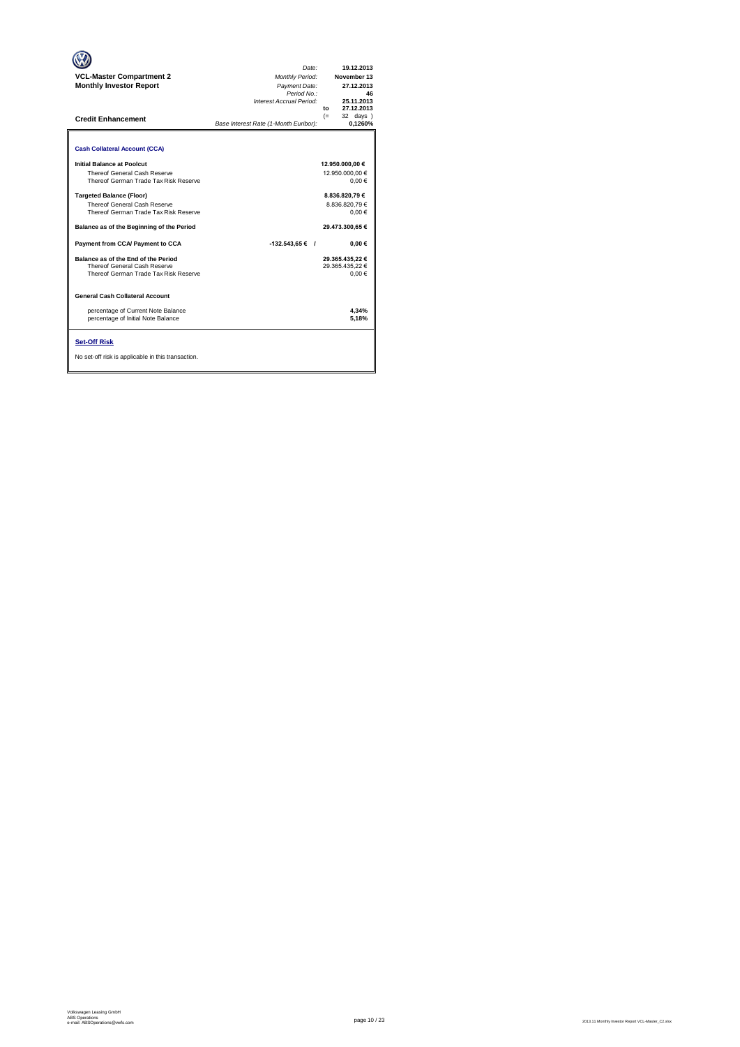| <b>VCL-Master Compartment 2</b><br><b>Monthly Investor Report</b><br><b>Credit Enhancement</b>               | Date:<br>Monthly Period:<br>Payment Date:<br>Period No.:<br>Interest Accrual Period:<br>Base Interest Rate (1-Month Euribor): | 19.12.2013<br>November 13<br>27.12.2013<br>46<br>25.11.2013<br>27.12.2013<br>to<br>$(=$<br>32 days<br>0.1260% |
|--------------------------------------------------------------------------------------------------------------|-------------------------------------------------------------------------------------------------------------------------------|---------------------------------------------------------------------------------------------------------------|
| <b>Cash Collateral Account (CCA)</b>                                                                         |                                                                                                                               |                                                                                                               |
| Initial Balance at Poolcut<br>Thereof General Cash Reserve<br>Thereof German Trade Tax Risk Reserve          |                                                                                                                               | 12.950.000,00 €<br>12.950.000.00 €<br>$0.00 \in$                                                              |
| <b>Targeted Balance (Floor)</b><br>Thereof General Cash Reserve<br>Thereof German Trade Tax Risk Reserve     |                                                                                                                               | 8.836.820.79€<br>8.836.820.79€<br>0.00€                                                                       |
| Balance as of the Beginning of the Period                                                                    |                                                                                                                               | 29.473.300,65 €                                                                                               |
| Payment from CCA/ Payment to CCA                                                                             | $-132.543.65 \in$ /                                                                                                           | $0.00 \in$                                                                                                    |
| Balance as of the End of the Period<br>Thereof General Cash Reserve<br>Thereof German Trade Tax Risk Reserve |                                                                                                                               | 29.365.435.22 €<br>29.365.435,22 €<br>0.00€                                                                   |
| <b>General Cash Collateral Account</b>                                                                       |                                                                                                                               |                                                                                                               |
| percentage of Current Note Balance<br>percentage of Initial Note Balance                                     |                                                                                                                               | 4.34%<br>5.18%                                                                                                |
| <b>Set-Off Risk</b><br>No set-off risk is applicable in this transaction.                                    |                                                                                                                               |                                                                                                               |

**. . . .** Trigger Level 1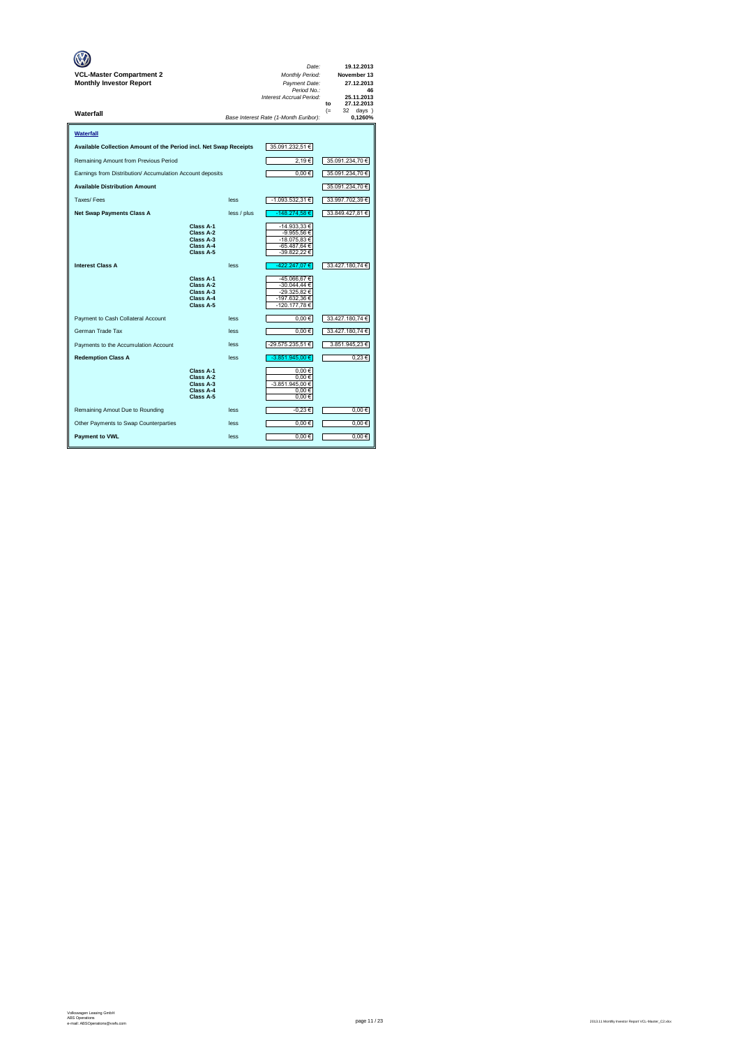| VCL-Master Compartment 2<br><b>Monthly Investor Report</b>        |                                                               |             | Date:<br>Monthly Period:<br>Payment Date:<br>Period No.:<br>Interest Accrual Period: | 19.12.2013<br>November 13<br>27.12.2013<br>46<br>25.11.2013<br>27.12.2013<br>to |
|-------------------------------------------------------------------|---------------------------------------------------------------|-------------|--------------------------------------------------------------------------------------|---------------------------------------------------------------------------------|
| Waterfall                                                         |                                                               |             | Base Interest Rate (1-Month Euribor):                                                | $(=$<br>32 days<br>0,1260%                                                      |
| Waterfall                                                         |                                                               |             |                                                                                      |                                                                                 |
| Available Collection Amount of the Period incl. Net Swap Receipts |                                                               |             | 35.091.232,51 €                                                                      |                                                                                 |
| Remaining Amount from Previous Period                             |                                                               |             | 2,19€                                                                                | 35.091.234,70 €                                                                 |
| Earnings from Distribution/ Accumulation Account deposits         |                                                               |             | $0,00 \in$                                                                           | 35.091.234,70 €                                                                 |
| <b>Available Distribution Amount</b>                              |                                                               |             |                                                                                      | 35.091.234,70 €                                                                 |
| Taxes/Fees                                                        |                                                               | less        | -1.093.532,31 €                                                                      | 33.997.702,39 €                                                                 |
| <b>Net Swap Payments Class A</b>                                  |                                                               | less / plus | -148.274,58€                                                                         | 33.849.427,81 €                                                                 |
|                                                                   | Class A-1<br>Class A-2<br>Class A-3<br>Class A-4<br>Class A-5 |             | -14.933,33 €<br>-9.955,56 €<br>-18.075.83 €<br>-65.487,64 €<br>-39.822,22 €          |                                                                                 |
| <b>Interest Class A</b>                                           |                                                               | less        | -422.247,07€                                                                         | 33.427.180,74 €                                                                 |
|                                                                   | Class A-1<br>Class A-2<br>Class A-3<br>Class A-4<br>Class A-5 |             | -45.066,67€<br>-30.044,44 €<br>-29.325,82 €<br>-197.632,36 €<br>-120.177,78€         |                                                                                 |
| Payment to Cash Collateral Account                                |                                                               | less        | $0.00 \in$                                                                           | 33.427.180,74 €                                                                 |
| German Trade Tax                                                  |                                                               | less        | $0,00 \in$                                                                           | 33.427.180,74 €                                                                 |
| Payments to the Accumulation Account                              |                                                               | less        | -29.575.235,51 €                                                                     | 3.851.945,23 €                                                                  |
| <b>Redemption Class A</b>                                         |                                                               | less        | -3.851.945.00 €                                                                      | 0.23 €                                                                          |
|                                                                   | Class A-1<br>Class A-2<br>Class A-3<br>Class A-4<br>Class A-5 |             | 0.00€<br>0.00€<br>-3.851.945,00 €<br>$0,00 \in$<br>$0,00 \in$                        |                                                                                 |
| Remaining Amout Due to Rounding                                   |                                                               | less        | $-0.23 \in$                                                                          | $0,00 \in$                                                                      |
| Other Payments to Swap Counterparties                             |                                                               | less        | $0,00 \in$                                                                           | $0,00 \in$                                                                      |
| <b>Payment to VWL</b>                                             |                                                               | less        | 0,00€                                                                                | 0.00€                                                                           |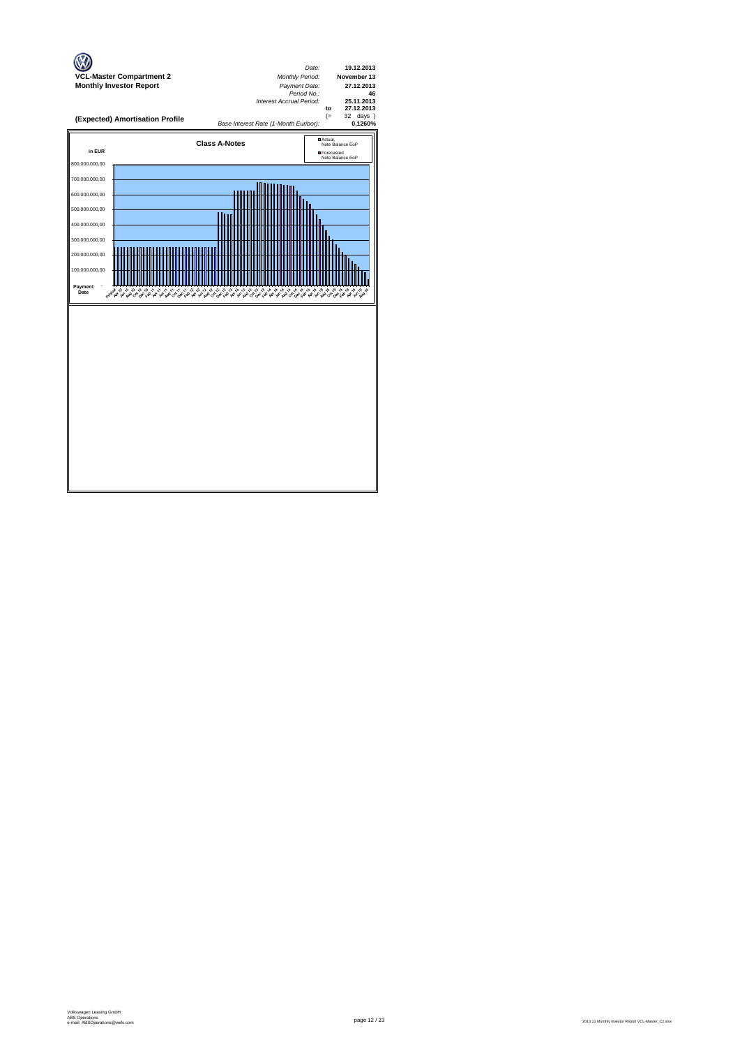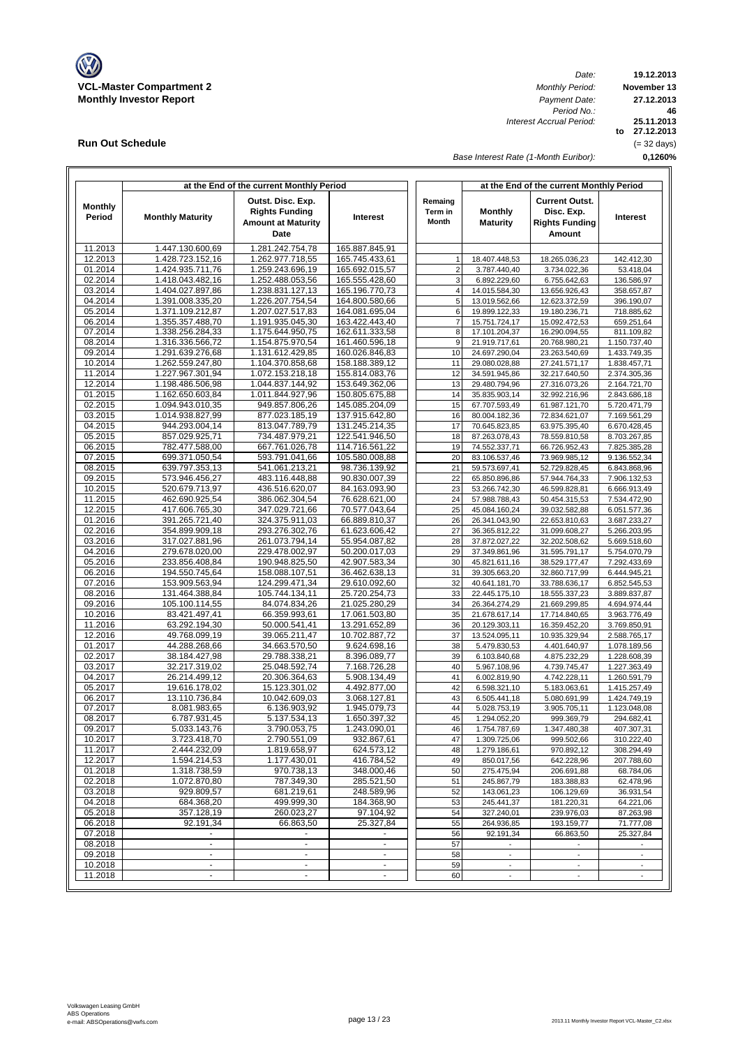

**Run Out Schedule**

*Date: Period No.: Interest Accrual Period:*

**19.12.2013 November 13 to 27.12.2013 25.11.2013 0,1260% 46 27.12.2013** (= 32 days)

*Base Interest Rate (1-Month Euribor):*

|                          |                                      | at the End of the current Monthly Period                                        |                                  |                             | at the End of the current Monthly Period |                                                                               |                              |
|--------------------------|--------------------------------------|---------------------------------------------------------------------------------|----------------------------------|-----------------------------|------------------------------------------|-------------------------------------------------------------------------------|------------------------------|
| <b>Monthly</b><br>Period | <b>Monthly Maturity</b>              | Outst. Disc. Exp.<br><b>Rights Funding</b><br><b>Amount at Maturity</b><br>Date | Interest                         | Remaing<br>Term in<br>Month | <b>Monthly</b><br><b>Maturity</b>        | <b>Current Outst.</b><br>Disc. Exp.<br><b>Rights Funding</b><br><b>Amount</b> | Interest                     |
| 11.2013                  | 1.447.130.600,69                     | 1.281.242.754,78                                                                | 165.887.845,91                   |                             |                                          |                                                                               |                              |
| 12.2013                  | 1.428.723.152,16                     | 1.262.977.718,55                                                                | 165.745.433,61                   | $\mathbf{1}$                | 18.407.448,53                            | 18.265.036,23                                                                 | 142.412,30                   |
| 01.2014                  | 1.424.935.711,76                     | 1.259.243.696.19                                                                | 165.692.015,57                   | $\overline{2}$              | 3.787.440,40                             | 3.734.022,36                                                                  | 53.418,04                    |
| 02.2014                  | 1.418.043.482,16                     | 1.252.488.053,56                                                                | 165.555.428,60                   | 3                           | 6.892.229,60                             | 6.755.642,63                                                                  | 136.586,97                   |
| 03.2014                  | 1.404.027.897,86                     | 1.238.831.127,13                                                                | 165.196.770,73                   | $\overline{4}$              | 14.015.584,30                            | 13.656.926,43                                                                 | 358.657,87                   |
| 04.2014<br>05.2014       | 1.391.008.335,20<br>1.371.109.212.87 | 1.226.207.754,54<br>1.207.027.517,83                                            | 164.800.580,66<br>164.081.695,04 | 5<br>6                      | 13.019.562,66                            | 12.623.372,59                                                                 | 396.190,07<br>718.885.62     |
| 06.2014                  | 1.355.357.488,70                     | 1.191.935.045.30                                                                | 163.422.443,40                   | $\overline{7}$              | 19.899.122,33<br>15.751.724,17           | 19.180.236,71<br>15.092.472,53                                                | 659.251,64                   |
| 07.2014                  | 1.338.256.284,33                     | 1.175.644.950,75                                                                | 162.611.333,58                   | 8                           | 17.101.204,37                            | 16.290.094,55                                                                 | 811.109,82                   |
| 08.2014                  | 1.316.336.566,72                     | 1.154.875.970,54                                                                | 161.460.596,18                   | 9                           | 21.919.717,61                            | 20.768.980,21                                                                 | 1.150.737,40                 |
| 09.2014                  | 1.291.639.276,68                     | 1.131.612.429,85                                                                | 160.026.846,83                   | 10                          | 24.697.290,04                            | 23.263.540,69                                                                 | 1.433.749,35                 |
| 10.2014                  | 1.262.559.247,80                     | 1.104.370.858,68                                                                | 158.188.389,12                   | 11                          | 29.080.028,88                            | 27.241.571,17                                                                 | 1.838.457,71                 |
| 11.2014                  | 1.227.967.301,94                     | 1.072.153.218,18                                                                | 155.814.083,76                   | 12                          | 34.591.945,86                            | 32.217.640,50                                                                 | 2.374.305,36                 |
| 12.2014                  | 1.198.486.506,98                     | 1.044.837.144,92                                                                | 153.649.362,06                   | 13                          | 29.480.794,96                            | 27.316.073,26                                                                 | 2.164.721,70                 |
| 01.2015                  | 1.162.650.603,84                     | 1.011.844.927,96                                                                | 150.805.675,88                   | 14                          | 35.835.903,14                            | 32.992.216,96                                                                 | 2.843.686,18                 |
| 02.2015                  | 1.094.943.010,35                     | 949.857.806,26                                                                  | 145.085.204,09                   | 15                          | 67.707.593,49                            | 61.987.121,70                                                                 | 5.720.471,79                 |
| 03.2015                  | 1.014.938.827,99                     | 877.023.185,19                                                                  | 137.915.642,80                   | 16                          | 80.004.182,36                            | 72.834.621,07                                                                 | 7.169.561,29                 |
| 04.2015<br>05.2015       | 944.293.004,14<br>857.029.925,71     | 813.047.789,79<br>734.487.979,21                                                | 131.245.214,35<br>122.541.946,50 | 17                          | 70.645.823,85                            | 63.975.395,40                                                                 | 6.670.428,45                 |
| 06.2015                  | 782.477.588,00                       | 667.761.026,78                                                                  | 114.716.561,22                   | 18<br>19                    | 87.263.078,43<br>74.552.337,71           | 78.559.810,58<br>66.726.952.43                                                | 8.703.267,85<br>7.825.385,28 |
| 07.2015                  | 699.371.050,54                       | 593.791.041,66                                                                  | 105.580.008,88                   | 20                          | 83.106.537,46                            | 73.969.985,12                                                                 | 9.136.552,34                 |
| 08.2015                  | 639.797.353,13                       | 541.061.213,21                                                                  | 98.736.139,92                    | 21                          | 59.573.697,41                            | 52.729.828.45                                                                 | 6.843.868.96                 |
| 09.2015                  | 573.946.456,27                       | 483.116.448,88                                                                  | 90.830.007,39                    | 22                          | 65.850.896,86                            | 57.944.764,33                                                                 | 7.906.132,53                 |
| 10.2015                  | 520.679.713,97                       | 436.516.620,07                                                                  | 84.163.093,90                    | 23                          | 53.266.742,30                            | 46.599.828,81                                                                 | 6.666.913,49                 |
| 11.2015                  | 462.690.925,54                       | 386.062.304,54                                                                  | 76.628.621,00                    | 24                          | 57.988.788,43                            | 50.454.315,53                                                                 | 7.534.472,90                 |
| 12.2015                  | 417.606.765,30                       | 347.029.721,66                                                                  | 70.577.043,64                    | 25                          | 45.084.160,24                            | 39.032.582,88                                                                 | 6.051.577,36                 |
| 01.2016                  | 391.265.721,40                       | 324.375.911.03                                                                  | 66.889.810.37                    | 26                          | 26.341.043.90                            | 22.653.810.63                                                                 | 3.687.233,27                 |
| 02.2016                  | 354.899.909,18                       | 293.276.302,76                                                                  | 61.623.606,42                    | 27                          | 36.365.812,22                            | 31.099.608,27                                                                 | 5.266.203,95                 |
| 03.2016                  | 317.027.881,96                       | 261.073.794,14                                                                  | 55.954.087,82                    | 28                          | 37.872.027,22                            | 32.202.508,62                                                                 | 5.669.518,60                 |
| 04.2016<br>05.2016       | 279.678.020,00<br>233.856.408,84     | 229.478.002,97<br>190.948.825,50                                                | 50.200.017,03<br>42.907.583,34   | 29<br>30                    | 37.349.861,96<br>45.821.611,16           | 31.595.791,17<br>38.529.177,47                                                | 5.754.070,79<br>7.292.433,69 |
| 06.2016                  | 194.550.745,64                       | 158.088.107,51                                                                  | 36.462.638,13                    | 31                          | 39.305.663,20                            | 32.860.717,99                                                                 | 6.444.945,21                 |
| 07.2016                  | 153.909.563,94                       | 124.299.471,34                                                                  | 29.610.092,60                    | 32                          | 40.641.181,70                            | 33.788.636,17                                                                 | 6.852.545,53                 |
| 08.2016                  | 131.464.388,84                       | 105.744.134,11                                                                  | 25.720.254,73                    | 33                          | 22.445.175,10                            | 18.555.337,23                                                                 | 3.889.837,87                 |
| 09.2016                  | 105.100.114,55                       | 84.074.834,26                                                                   | 21.025.280,29                    | 34                          | 26.364.274,29                            | 21.669.299,85                                                                 | 4.694.974,44                 |
| 10.2016                  | 83.421.497,41                        | 66.359.993,61                                                                   | 17.061.503,80                    | 35                          | 21.678.617,14                            | 17.714.840,65                                                                 | 3.963.776,49                 |
| 11.2016                  | 63.292.194,30                        | 50.000.541,41                                                                   | 13.291.652,89                    | 36                          | 20.129.303,11                            | 16.359.452,20                                                                 | 3.769.850,91                 |
| 12.2016                  | 49.768.099,19                        | 39.065.211,47                                                                   | 10.702.887,72                    | 37                          | 13.524.095,11                            | 10.935.329,94                                                                 | 2.588.765,17                 |
| 01.2017                  | 44.288.268,66                        | 34.663.570,50                                                                   | 9.624.698,16                     | 38                          | 5.479.830,53                             | 4.401.640,97                                                                  | 1.078.189,56                 |
| 02.2017                  | 38.184.427,98                        | 29.788.338,21                                                                   | 8.396.089,77                     | 39                          | 6.103.840,68                             | 4.875.232,29                                                                  | 1.228.608,39                 |
| 03.2017<br>04.2017       | 32.217.319,02<br>26.214.499,12       | 25.048.592,74<br>20.306.364,63                                                  | 7.168.726,28<br>5.908.134,49     | 40<br>41                    | 5.967.108,96<br>6.002.819,90             | 4.739.745,47<br>4.742.228,11                                                  | 1.227.363,49<br>1.260.591,79 |
| 05.2017                  | 19.616.178,02                        | 15.123.301,02                                                                   | 4.492.877,00                     | 42                          | 6.598.321,10                             | 5.183.063,61                                                                  | 1.415.257,49                 |
| 06.2017                  | 13.110.736,84                        | 10.042.609,03                                                                   | 3.068.127,81                     | 43                          | 6.505.441,18                             | 5.080.691,99                                                                  | 1.424.749,19                 |
| 07.2017                  | 8.081.983,65                         | 6.136.903,92                                                                    | 1.945.079,73                     | 44                          | 5.028.753,19                             | 3.905.705,11                                                                  | 1.123.048,08                 |
| 08.2017                  | 6.787.931,45                         | 5.137.534,13                                                                    | 1.650.397,32                     | 45                          | 1.294.052,20                             | 999.369.79                                                                    | 294.682,41                   |
| 09.2017                  | 5.033.143,76                         | 3.790.053,75                                                                    | 1.243.090,01                     | 46                          | 1.754.787,69                             | 1.347.480,38                                                                  | 407.307,31                   |
| 10.2017                  | 3.723.418,70                         | 2.790.551,09                                                                    | 932.867,61                       | 47                          | 1.309.725,06                             | 999.502,66                                                                    | 310.222,40                   |
| 11.2017                  | 2.444.232,09                         | 1.819.658,97                                                                    | 624.573,12                       | 48                          | 1.279.186,61                             | 970.892,12                                                                    | 308.294,49                   |
| 12.2017                  | 1.594.214,53                         | 1.177.430,01                                                                    | 416.784,52                       | 49                          | 850.017,56                               | 642.228,96                                                                    | 207.788,60                   |
| 01.2018<br>02.2018       | 1.318.738,59<br>1.072.870,80         | 970.738,13<br>787.349,30                                                        | 348.000,46<br>285.521,50         | 50<br>51                    | 275.475,94<br>245.867,79                 | 206.691,88<br>183.388,83                                                      | 68.784,06<br>62.478,96       |
| 03.2018                  | 929.809,57                           | 681.219,61                                                                      | 248.589,96                       | 52                          | 143.061,23                               | 106.129,69                                                                    | 36.931,54                    |
| 04.2018                  | 684.368,20                           | 499.999,30                                                                      | 184.368,90                       | 53                          | 245.441,37                               | 181.220,31                                                                    | 64.221,06                    |
| 05.2018                  | 357.128,19                           | 260.023,27                                                                      | 97.104,92                        | 54                          | 327.240,01                               | 239.976,03                                                                    | 87.263,98                    |
| 06.2018                  | 92.191,34                            | 66.863,50                                                                       | 25.327,84                        | 55                          | 264.936,85                               | 193.159,77                                                                    | 71.777,08                    |
| 07.2018                  |                                      | $\overline{\phantom{a}}$                                                        | ٠                                | 56                          | 92.191,34                                | 66.863,50                                                                     | 25.327,84                    |
| 08.2018                  | $\omega$                             | $\mathcal{L}_{\mathcal{A}}$                                                     | $\omega$                         | 57                          |                                          |                                                                               |                              |
| 09.2018                  |                                      |                                                                                 | $\overline{\phantom{a}}$         | 58                          | $\overline{\phantom{a}}$                 | $\overline{a}$                                                                |                              |
| 10.2018                  | $\blacksquare$                       | $\blacksquare$                                                                  | $\blacksquare$                   | 59                          | $\overline{\phantom{a}}$                 | $\overline{\phantom{a}}$                                                      | $\blacksquare$               |
| 11.2018                  | $\blacksquare$                       | $\blacksquare$                                                                  | ٠                                | 60                          | $\overline{\phantom{a}}$                 | $\overline{\phantom{a}}$                                                      | $\overline{\phantom{a}}$     |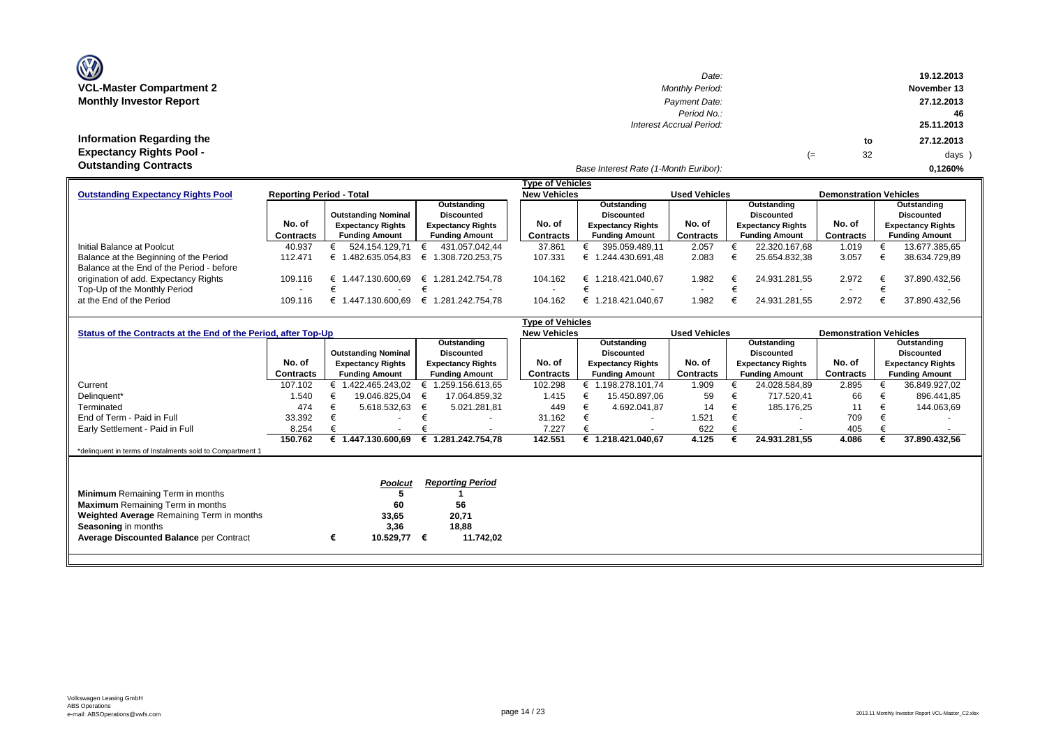| <b>OZ</b>                       |
|---------------------------------|
| <b>VCL-Master Compartment 2</b> |
| <b>Monthly Investor Report</b>  |

| $\mathbf{w}$                    | Date:                                 |    |    | 19.12.2013  |
|---------------------------------|---------------------------------------|----|----|-------------|
| <b>VCL-Master Compartment 2</b> | <b>Monthly Period:</b>                |    |    | November 13 |
| <b>Monthly Investor Report</b>  | Payment Date:                         |    |    | 27.12.2013  |
|                                 | Period No.:                           |    |    | -46         |
|                                 | Interest Accrual Period:              |    |    | 25.11.2013  |
| Information Regarding the       |                                       |    | to | 27.12.2013  |
| <b>Expectancy Rights Pool -</b> |                                       | (≕ | 32 | days )      |
| <b>Outstanding Contracts</b>    | Base Interest Rate (1-Month Euribor): |    |    | 0.1260%     |

|                                           |                                 |                            |                          | Tvpe of Vehicles    |                          |                      |                          |                               |                          |
|-------------------------------------------|---------------------------------|----------------------------|--------------------------|---------------------|--------------------------|----------------------|--------------------------|-------------------------------|--------------------------|
| <b>Outstanding Expectancy Rights Pool</b> | <b>Reporting Period - Total</b> |                            |                          | <b>New Vehicles</b> |                          | <b>Used Vehicles</b> |                          | <b>Demonstration Vehicles</b> |                          |
|                                           | Outstanding                     |                            |                          | Outstanding         |                          | Outstanding          |                          | Outstanding                   |                          |
|                                           |                                 | <b>Outstanding Nominal</b> | <b>Discounted</b>        |                     | Discounted               |                      | <b>Discounted</b>        |                               | Discounted               |
|                                           | No. of                          | <b>Expectancy Rights</b>   | <b>Expectancy Rights</b> | No. of              | <b>Expectancy Rights</b> | No. of               | <b>Expectancy Rights</b> | No. of                        | <b>Expectancy Rights</b> |
|                                           | <b>Contracts</b>                | <b>Funding Amount</b>      | <b>Funding Amount</b>    | Contracts           | <b>Funding Amount</b>    | Contracts            | <b>Funding Amount</b>    | Contracts                     | <b>Funding Amount</b>    |
| Initial Balance at Poolcut                | 40.937                          | 524.154.129.71             | 431.057.042.44           | 37.861              | 395.059.489.11           | 2.057                | 22.320.167.68            | 1.019                         | 13.677.385,65            |
| Balance at the Beginning of the Period    | 112.471                         | 1.482.635.054.83           | € 1.308.720.253.75       | 107.331             | 1.244.430.691.48<br>⊨    | 2.083                | 25.654.832.38            | 3.057                         | 38.634.729.89            |
| Balance at the End of the Period - before |                                 |                            |                          |                     |                          |                      |                          |                               |                          |
| origination of add. Expectancy Rights     | 109.116                         | 1.447.130.600.69<br>€      | € 1.281.242.754.78       | 104.162             | .218.421.040.67<br>€     | 1.982                | 24.931.281.55            | 2.972                         | 37.890.432.56            |
| Top-Up of the Monthly Period              |                                 |                            |                          |                     |                          |                      |                          | -                             |                          |
| at the End of the Period                  | 109.116                         | 1.447.130.600.69           | € 1.281.242.754.78       | 104.162             | 1.218.421.040.67<br>⊨    | 1.982                | 24.931.281.55            | 2.972                         | 37.890.432.56            |

|                                                                |           |   |                            |                   |                          |  | Type of Vehicles    |                          |                      |                          |                               |                          |
|----------------------------------------------------------------|-----------|---|----------------------------|-------------------|--------------------------|--|---------------------|--------------------------|----------------------|--------------------------|-------------------------------|--------------------------|
| Status of the Contracts at the End of the Period, after Top-Up |           |   |                            |                   |                          |  | <b>New Vehicles</b> |                          | <b>Used Vehicles</b> |                          | <b>Demonstration Vehicles</b> |                          |
|                                                                |           |   |                            |                   | Outstanding              |  |                     | Outstanding              |                      | Outstanding              |                               | Outstanding              |
|                                                                |           |   | <b>Outstanding Nominal</b> | <b>Discounted</b> |                          |  |                     | <b>Discounted</b>        |                      | <b>Discounted</b>        |                               | <b>Discounted</b>        |
|                                                                | No. of    |   | <b>Expectancy Rights</b>   |                   | <b>Expectancy Rights</b> |  | No. of              | <b>Expectancy Rights</b> | No. of               | <b>Expectancy Rights</b> | No. of                        | <b>Expectancy Rights</b> |
|                                                                | Contracts |   | <b>Funding Amount</b>      |                   | <b>Funding Amount</b>    |  | Contracts           | <b>Funding Amount</b>    | Contracts            | <b>Funding Amount</b>    | Contracts                     | <b>Funding Amount</b>    |
| Current                                                        | 107.102   |   | 1.422.465.243.02           |                   | 1.259.156.613,65         |  | 102.298             | 1.198.278.101.74         | 1.909                | 24.028.584,89            | 2.895                         | 36.849.927,02            |
| Delinquent*                                                    | 1.540     |   | 19.046.825,04              | €                 | 17.064.859,32            |  | 1.415               | 15.450.897,06            | 59                   | 717.520,41               | 66                            | 896.441,85               |
| Terminated                                                     | 474       |   | 5.618.532,63               | €                 | 5.021.281,81             |  | 449                 | 4.692.041,87             | 14                   | 185.176,25               | 11                            | 144.063,69               |
| End of Term - Paid in Full                                     | 33.392    |   | $\overline{\phantom{0}}$   |                   |                          |  | 31.162              | $\overline{\phantom{a}}$ | 1.521                | $\overline{\phantom{a}}$ | 709                           |                          |
| Early Settlement - Paid in Full                                | 8.254     |   | $\overline{\phantom{a}}$   |                   |                          |  | 7.227               |                          | 622                  | $\overline{\phantom{a}}$ | 405                           |                          |
|                                                                | 150.762   |   | € 1.447.130.600,69         |                   | € 1.281.242.754.78       |  | 142.551             | 1.218.421.040,67         | 4.125                | 24.931.281,55            | 4.086                         | 37.890.432,56            |
| *delinquent in terms of Instalments sold to Compartment 1      |           |   |                            |                   |                          |  |                     |                          |                      |                          |                               |                          |
|                                                                |           |   |                            |                   |                          |  |                     |                          |                      |                          |                               |                          |
|                                                                |           |   |                            |                   | <b>Reporting Period</b>  |  |                     |                          |                      |                          |                               |                          |
|                                                                |           |   | Poolcut                    |                   |                          |  |                     |                          |                      |                          |                               |                          |
| <b>Minimum</b> Remaining Term in months                        |           |   |                            |                   |                          |  |                     |                          |                      |                          |                               |                          |
| <b>Maximum</b> Remaining Term in months                        |           |   | 60                         |                   | 56                       |  |                     |                          |                      |                          |                               |                          |
| <b>Weighted Average Remaining Term in months</b>               |           |   | 33,65                      |                   | 20,71                    |  |                     |                          |                      |                          |                               |                          |
| <b>Seasoning in months</b>                                     |           |   | 3,36                       |                   | 18,88                    |  |                     |                          |                      |                          |                               |                          |
| <b>Average Discounted Balance per Contract</b>                 |           | € | 10.529,77                  | €                 | 11.742,02                |  |                     |                          |                      |                          |                               |                          |
|                                                                |           |   |                            |                   |                          |  |                     |                          |                      |                          |                               |                          |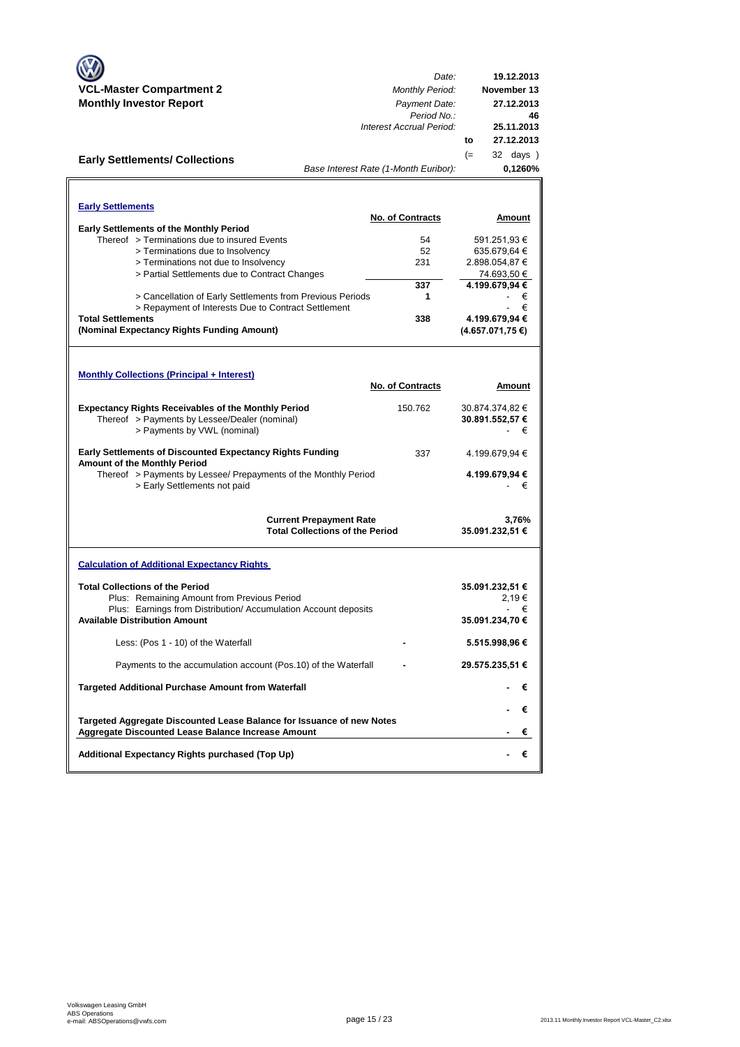| <b>VCL-Master Compartment 2</b>                                                                         | Date:                                   | 19.12.2013                   |
|---------------------------------------------------------------------------------------------------------|-----------------------------------------|------------------------------|
| <b>Monthly Investor Report</b>                                                                          | <b>Monthly Period:</b><br>Payment Date: | November 13<br>27.12.2013    |
|                                                                                                         | Period No.:                             | 46                           |
|                                                                                                         | Interest Accrual Period:                | 25.11.2013                   |
|                                                                                                         |                                         | 27.12.2013<br>to             |
| <b>Early Settlements/ Collections</b>                                                                   |                                         | $(=$<br>32 days )            |
|                                                                                                         | Base Interest Rate (1-Month Euribor):   | 0,1260%                      |
|                                                                                                         |                                         |                              |
| <b>Early Settlements</b>                                                                                |                                         |                              |
|                                                                                                         | <b>No. of Contracts</b>                 | Amount                       |
| <b>Early Settlements of the Monthly Period</b>                                                          |                                         |                              |
| Thereof > Terminations due to insured Events<br>> Terminations due to Insolvency                        | 54<br>52                                | 591.251,93 €<br>635.679,64 € |
| > Terminations not due to Insolvency                                                                    | 231                                     | 2.898.054,87 €               |
| > Partial Settlements due to Contract Changes                                                           |                                         | 74.693,50 €                  |
|                                                                                                         | 337                                     | 4.199.679,94 €               |
| > Cancellation of Early Settlements from Previous Periods                                               | 1                                       | €                            |
| > Repayment of Interests Due to Contract Settlement                                                     |                                         | €                            |
| <b>Total Settlements</b>                                                                                | 338                                     | 4.199.679,94 €               |
| (Nominal Expectancy Rights Funding Amount)                                                              |                                         | $(4.657.071.75)$ €)          |
|                                                                                                         |                                         |                              |
|                                                                                                         |                                         |                              |
| <b>Monthly Collections (Principal + Interest)</b>                                                       |                                         |                              |
|                                                                                                         | <b>No. of Contracts</b>                 | Amount                       |
| <b>Expectancy Rights Receivables of the Monthly Period</b>                                              | 150.762                                 | 30.874.374,82 €              |
| Thereof > Payments by Lessee/Dealer (nominal)                                                           |                                         | 30.891.552,57 €              |
| > Payments by VWL (nominal)                                                                             |                                         | €                            |
|                                                                                                         |                                         |                              |
| <b>Early Settlements of Discounted Expectancy Rights Funding</b><br>Amount of the Monthly Period        | 337                                     | 4.199.679,94 €               |
| Thereof > Payments by Lessee/ Prepayments of the Monthly Period                                         |                                         | 4.199.679,94 €               |
| > Early Settlements not paid                                                                            |                                         | €                            |
|                                                                                                         |                                         |                              |
|                                                                                                         | <b>Current Prepayment Rate</b>          | 3,76%                        |
|                                                                                                         | <b>Total Collections of the Period</b>  | 35.091.232,51 €              |
|                                                                                                         |                                         |                              |
| <b>Calculation of Additional Expectancy Rights</b>                                                      |                                         |                              |
|                                                                                                         |                                         |                              |
| <b>Total Collections of the Period</b>                                                                  |                                         | 35.091.232,51 €              |
| Plus: Remaining Amount from Previous Period                                                             |                                         | 2,19€                        |
| Plus: Earnings from Distribution/ Accumulation Account deposits<br><b>Available Distribution Amount</b> |                                         | €<br>35.091.234,70 €         |
| Less: (Pos 1 - 10) of the Waterfall                                                                     |                                         | 5.515.998,96 €               |
| Payments to the accumulation account (Pos.10) of the Waterfall                                          |                                         | 29.575.235,51 €              |
| <b>Targeted Additional Purchase Amount from Waterfall</b>                                               |                                         | €<br>. .                     |
|                                                                                                         |                                         |                              |
| Targeted Aggregate Discounted Lease Balance for Issuance of new Notes                                   |                                         | €                            |
| <b>Aggregate Discounted Lease Balance Increase Amount</b>                                               |                                         | €                            |
|                                                                                                         |                                         |                              |
| Additional Expectancy Rights purchased (Top Up)                                                         |                                         | €                            |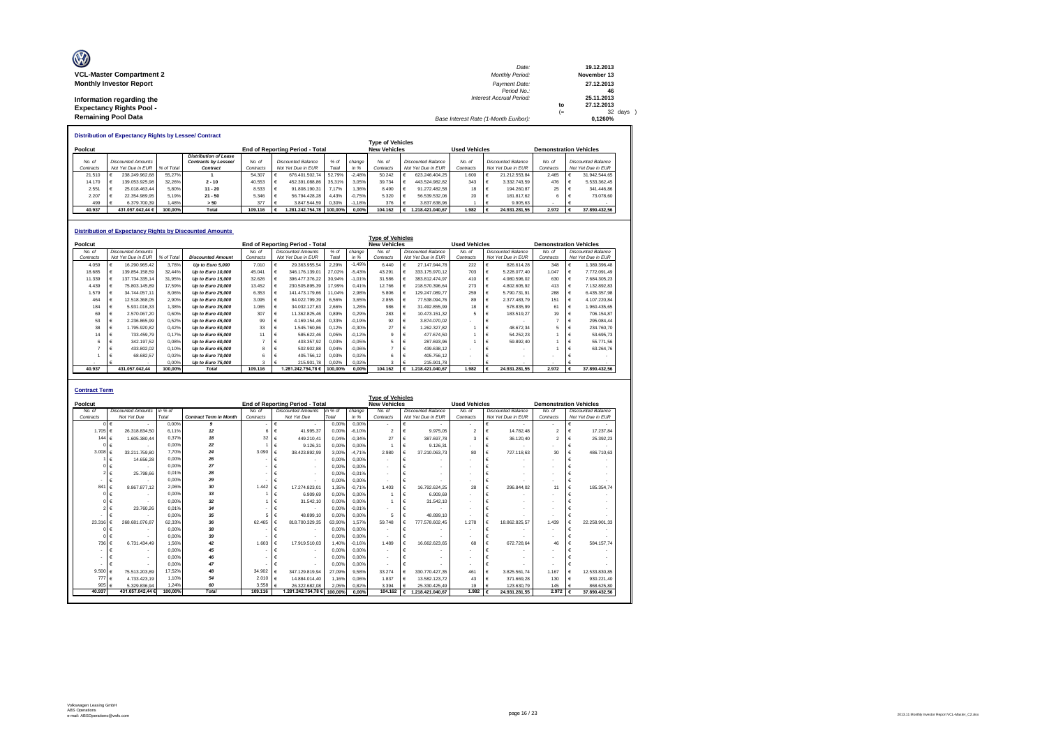| Ø                               | Date:                                 |      | 19.12.2013    |
|---------------------------------|---------------------------------------|------|---------------|
| <b>VCL-Master Compartment 2</b> | <b>Monthly Period:</b>                |      | November 13   |
| <b>Monthly Investor Report</b>  | Payment Date:                         |      | 27.12.2013    |
|                                 | Period No.:                           |      | 46            |
| Information regarding the       | <b>Interest Accrual Period:</b>       |      | 25.11.2013    |
| <b>Expectancy Rights Pool -</b> |                                       | to   | 27.12.2013    |
|                                 |                                       | $(=$ | $32$ days $)$ |
| <b>Remaining Pool Data</b>      | Base Interest Rate (1-Month Euribor): |      | 0.1260%       |

**Distribution of Expectancy Rights by Lessee/ Contract**

|           | <b>Type of Vehicles</b>                                                               |                           |            |                              |           |  |                    |         |          |           |  |                               |           |  |                           |           |  |                    |
|-----------|---------------------------------------------------------------------------------------|---------------------------|------------|------------------------------|-----------|--|--------------------|---------|----------|-----------|--|-------------------------------|-----------|--|---------------------------|-----------|--|--------------------|
| Poolcut   | <b>New Vehicles</b><br><b>Used Vehicles</b><br><b>End of Reporting Period - Total</b> |                           |            |                              |           |  |                    |         |          |           |  | <b>Demonstration Vehicles</b> |           |  |                           |           |  |                    |
|           |                                                                                       |                           |            | <b>Distribution of Lease</b> |           |  |                    |         |          |           |  |                               |           |  |                           |           |  |                    |
| No. of    |                                                                                       | <b>Discounted Amounts</b> |            | Contracts by Lessee/         | No. of    |  | Discounted Balance | $%$ of  | change   | No. of    |  | Discounted Balance            | No. of    |  | <b>Discounted Balance</b> | No. of    |  | Discounted Balance |
| Contracts |                                                                                       | Not Yet Due in EUR        | % of Total | Contract                     | Contracts |  | Not Yet Due in EUR | Total   | in %     | Contracts |  | Not Yet Due in EUR            | Contracts |  | Not Yet Due in EUR        | Contracts |  | Not Yet Due in EUR |
| 21.510    |                                                                                       | 238.249.962.68            | 55.27%     |                              | 54.307    |  | 676.401.502.74     | 52.79%  | $-2.48%$ | 50.242    |  | 623.246.404.25                | 1.600     |  | 21.212.553.84             | 2.465     |  | 31.942.544.65      |
| 14.170    |                                                                                       | 139.053.925.98            | 32.26%     | $2 - 10$                     | 40.553    |  | 452.391.088.86     | 35.31%  | 3.05%    | 39.734    |  | 443.524.982.82                | 343       |  | 3.332.743.59              | 476       |  | 5.533.362.45       |
| 2.551     |                                                                                       | 25.018.463.44             | 5.80%      | $11 - 20$                    | 8.533     |  | 91.808.190.31      | 7.17%   | 1.36%    | 8.490     |  | 91.272.482.58                 | 18        |  | 194.260.87                | 25        |  | 341,446.86         |
| 2.207     |                                                                                       | 22.354.989.95             | 5.19%      | $21 - 50$                    | 5.346     |  | 56.794.428.28      | 4.43%   | $-0.75%$ | 5.320     |  | 56.539.532.06                 | 20        |  | 181.817.62                |           |  | 73.078.60          |
| 499       | . .                                                                                   | 6.379.700.39              | 1.48%      | > 50                         | 377       |  | 3.847.544.59 0.30% |         | $-1.18%$ | 376       |  | 3.837.638.96                  |           |  | 9.905.63                  |           |  |                    |
| 40.937    |                                                                                       | 431.057.042.44 €          | 100.00%    | Total                        | 109.116   |  | 1.281.242.754.78   | 100.00% | 0.00%    | 104.162   |  | 1.218.421.040.67              | 1.982     |  | 24.931.281.55             | 2.972     |  | 37.890.432.56      |

|           |   |                           |            | <b>Distribution of Expectancy Rights by Discounted Amounts</b> |                |                                 |         |          | <b>Type of Vehicles</b> |   |                           |                      |   |                           |                               |                  |                           |
|-----------|---|---------------------------|------------|----------------------------------------------------------------|----------------|---------------------------------|---------|----------|-------------------------|---|---------------------------|----------------------|---|---------------------------|-------------------------------|------------------|---------------------------|
| Poolcut   |   |                           |            |                                                                |                | End of Reporting Period - Total |         |          | <b>New Vehicles</b>     |   |                           | <b>Used Vehicles</b> |   |                           | <b>Demonstration Vehicles</b> |                  |                           |
| No. of    |   | <b>Discounted Amounts</b> |            |                                                                | No of          | <b>Discounted Amounts</b>       | $%$ of  | change   | No. of                  |   | <b>Discounted Balance</b> | No. of               |   | <b>Discounted Balance</b> | No. of                        |                  | <b>Discounted Balance</b> |
| Contracts |   | Not Yet Due in EUR        | % of Total | <b>Discounted Amount</b>                                       | Contracts      | Not Yet Due in EUR              | Total   | in %     | Contracts               |   | Not Yet Due in EUR        | Contracts            |   | Not Yet Due in EUR        | Contracts                     |                  | Not Yet Due in EUR        |
| 4.059     |   | 16.290.965.42             | 3.78%      | Up to Euro 5,000                                               | 7.010          | 29.363.955.54                   | 2.29%   | $-1.49%$ | 6.440                   |   | 27.147.944.78             | 222                  |   | 826.614.28                | 348                           |                  | 1.389.396.48              |
| 18.685    | € | 139.854.158.59            | 32.44%     | Up to Euro 10,000                                              | 45.041         | 346.176.139.01                  | 27,02%  | $-5.43%$ | 43.291                  | € | 333.175.970.12            | 703                  |   | 5.228.077.40              | 1.047                         | €                | 7.772.091.49              |
| 11.339    |   | 137.734.335.14            | 31.95%     | Up to Euro 15,000                                              | 32.626         | 396.477.376.22                  | 30.94%  | $-1.01%$ | 31,586                  | € | 383.812.474.97            | 410                  |   | 4.980.596.02              | 630                           | €                | 7.684.305.23              |
| 4.439     |   | 75.803.145.89             | 17.59%     | Up to Euro 20,000                                              | 13.452         | 230.505.895,39                  | 17,99%  | 0.41%    | 12.766                  | € | 218.570.396.64            | 273                  |   | 4.802.605.92              | 413                           | €                | 7.132.892.83              |
| 1.579     |   | 34,744,057.11             | 8.06%      | Up to Euro 25,000                                              | 6.353          | 141.473.179.66                  | 11.04%  | 2.98%    | 5,806                   | € | 129.247.089.77            | 259                  |   | 5.790.731.91              | 288                           | €                | 6.435.357,98              |
| 464       |   | 12.518.368.05             | 2.90%      | Up to Euro 30,000                                              | 3.095          | 84.022.799.39                   | 6.56%   | 3.65%    | 2.855                   |   | 77.538.094.76             | 89                   |   | 2.377.483.79              | 151                           | €                | 4.107.220.84              |
| 184       |   | 5.931.016.33              | 1.38%      | Up to Euro 35,000                                              | 1.065          | 34.032.127.63                   | 2.66%   | 1,28%    | 986                     |   | 31.492.855.99             | 18                   |   | 578,835.99                | 61                            | €                | 1.960.435.65              |
| 69        |   | 2.570.067.20              | 0.60%      | Up to Euro 40,000                                              | 307            | 11.362.825.46                   | 0.89%   | 0.29%    | 283                     |   | 10.473.151.32             |                      |   | 183.519.27                | 19                            | €                | 706.154,87                |
| 53        |   | 2.236.865.99              | 0.52%      | Up to Euro 45,000                                              | 99             | 4.169.154,46                    | 0.33%   | $-0.19%$ | 92                      | € | 3.874.070.02              |                      |   |                           | 7                             | €                | 295.084.44                |
| 38        |   | 1.795.920.82              | 0.42%      | Up to Euro 50,000                                              | 33             | 1.545.760.86                    | 0.12%   | $-0.30%$ | 27                      | € | 1.262.327.82              |                      |   | 48.672.34                 | 5.                            |                  | 234,760.70                |
| 14        |   | 733.459.79                | 0.17%      | Up to Euro 55,000                                              | 11             | 585.622,46                      | 0.05%   | $-0.12%$ | $\mathbf{Q}$            | € | 477.674.50                |                      |   | 54.252.23                 |                               | ۱€               | 53.695,73                 |
| 6         |   | 342.197,52                | 0.08%      | Up to Euro 60,000                                              |                | 403.357,92                      | 0.03%   | $-0.05%$ | 5                       | € | 287.693.96                |                      |   | 59.892.40                 |                               | $\mathbf{f} \in$ | 55.771,56                 |
|           |   | 433.802.02                | 0.10%      | Up to Euro 65,000                                              | s.             | 502.902,88                      | 0.04%   | $-0.06%$ |                         | € | 439.638.12                |                      |   |                           |                               | €                | 63.264,76                 |
|           |   | 68.682.57                 | 0.02%      | Up to Euro 70,000                                              |                | 405.756.12                      | 0.03%   | 0.02%    |                         | € | 405.756.12                |                      |   |                           |                               |                  |                           |
|           |   |                           | 0.00%      | Up to Euro 75,000                                              | $\overline{a}$ | 215,901.78                      | 0.02%   | 0.02%    | 3                       |   | 215,901.78                |                      |   |                           | $\overline{\phantom{a}}$      |                  |                           |
| 40.937    |   | 431.057.042.44            | 100.00%    | <b>Total</b>                                                   | 109.116        | 1.281.242.754,78 €              | 100.00% | 0.00%    | 104.162                 |   | € 1.218.421.040,67        | 1.982                | € | 24.931.281.55             | 2.972                         | €                | 37.890.432.56             |

|                  | <b>Contract Term</b>        |         |                               |           |                                 |         |          |                          |            |                    |                          |  |                           |                               |   |                           |
|------------------|-----------------------------|---------|-------------------------------|-----------|---------------------------------|---------|----------|--------------------------|------------|--------------------|--------------------------|--|---------------------------|-------------------------------|---|---------------------------|
|                  |                             |         |                               |           |                                 |         |          | <b>Type of Vehicles</b>  |            |                    |                          |  |                           |                               |   |                           |
| Poolcut          |                             |         |                               |           | End of Reporting Period - Total |         |          | <b>New Vehicles</b>      |            |                    | <b>Used Vehicles</b>     |  |                           | <b>Demonstration Vehicles</b> |   |                           |
| No. of           | <b>Discounted Amounts</b>   | in % of |                               | No. of    | <b>Discounted Amounts</b>       | in % of | change   | No. of                   |            | Discounted Balance | No. of                   |  | <b>Discounted Balance</b> | No. of                        |   | <b>Discounted Balance</b> |
| Contracts        | Not Yet Due                 | Total   | <b>Contract Term in Month</b> | Contracts | Not Yet Due                     | Total   | in %     | Contracts                |            | Not Yet Due in EUR | Contracts                |  | Not Yet Due in EUR        | Contracts                     |   | Not Yet Due in EUR        |
|                  | $0 \in$                     | 0.00%   | 9                             |           | €<br>$\blacksquare$             | 0.00%   | 0.00%    | $\sim$                   | €          |                    |                          |  |                           |                               | € |                           |
| 1.705            | 26.318.834.50<br>$\epsilon$ | 6.11%   | 12                            | 6         | €<br>41.995.37                  | 0.00%   | $-6.10%$ | $\mathcal{P}$            | €          | 9.975.05           | $\mathcal{P}$            |  | 14.782.48                 | $\overline{2}$                | € | 17.237.84                 |
| 144 $6$          | 1.605.380.44                | 0.37%   | 18                            | 32        | €<br>449.210.41                 | 0.04%   | $-0.34%$ | 27                       | €          | 387.697.78         | 3                        |  | 36,120.40                 | $\overline{2}$                | € | 25,392.23                 |
|                  | €                           | 0.00%   | 22                            |           | €<br>9.126.31                   | 0.00%   | 0.00%    |                          | $\epsilon$ | 9.126.31           |                          |  |                           |                               | € |                           |
| 3.008 $\epsilon$ | 33.211.759.80               | 7.70%   | 24                            | 3.090     | €<br>38.423.892.99              | 3.00%   | $-4.71%$ | 2.980                    | $\epsilon$ | 37.210.063.73      | 80                       |  | 727.118.63                | 30                            | € | 486,710.63                |
|                  | 14.656.28<br>€              | 0.00%   | 26                            |           | €<br>$\sim$                     | 0.00%   | 0.00%    | $\overline{\phantom{a}}$ | €          |                    |                          |  |                           |                               | € |                           |
|                  |                             | 0.00%   | 27                            |           | €<br>$\overline{\phantom{a}}$   | 0.00%   | 0.00%    | $\overline{\phantom{a}}$ | $\epsilon$ |                    |                          |  |                           |                               |   |                           |
|                  | 25.798.66                   | 0.01%   | 28                            |           | €<br>$\overline{\phantom{a}}$   | 0.00%   | $-0.01%$ | $\overline{\phantom{a}}$ | €          |                    |                          |  |                           |                               |   |                           |
|                  | €                           | 0.00%   | 29                            |           | €<br>$\overline{\phantom{a}}$   | 0.00%   | 0.00%    | $\sim$                   | €          |                    |                          |  |                           |                               | € |                           |
| 841              | 8.867.877.12<br>$\epsilon$  | 2.06%   | 30                            | 1442      | $\epsilon$<br>17.274.823.01     | 1.35%   | $-0.71%$ | 1.403                    | $\epsilon$ | 16.792.624.25      | 28                       |  | 296.844.02                | 11                            | € | 185, 354, 74              |
|                  |                             | 0.00%   | 33                            |           | €<br>6.909.69                   | 0.00%   | 0.00%    |                          | €          | 6,909.69           |                          |  |                           |                               | € |                           |
|                  | €                           | 0.00%   | 32                            |           | €<br>31.542.10                  | 0.00%   | 0.00%    |                          | $\epsilon$ | 31.542.10          | $\overline{\phantom{a}}$ |  |                           |                               |   |                           |
|                  | 23,760.26                   | 0.01%   | 34                            |           | €                               | 0.00%   | $-0.01%$ |                          | €          |                    | $\overline{\phantom{a}}$ |  |                           |                               |   |                           |
|                  |                             | 0.00%   | 35                            | 5.        | $\epsilon$<br>48.899.10         | 0.00%   | 0.00%    | 5                        | €          | 48.899.10          |                          |  |                           |                               | € |                           |
| 23,316           | 268.681.076.87              | 62.33%  | 36                            | 62.465    | €<br>818.700.329.35             | 63.90%  | 1.57%    | 59,748                   | €          | 777.578.602.45     | 1.278                    |  | 18.862.825.57             | 1.439                         | € | 22.258.901.33             |
|                  | €                           | 0.00%   | 38                            |           | €                               | 0.00%   | 0.00%    | $\overline{\phantom{a}}$ | $\epsilon$ |                    |                          |  |                           |                               | € |                           |
|                  |                             | 0.00%   | 39                            |           | €<br>$\overline{\phantom{a}}$   | 0.00%   | 0.00%    |                          | €          |                    |                          |  |                           |                               | € |                           |
| 736 €            | 6.731.434.49                | 1.56%   | 42                            | 1.603     | €<br>17.919.510.03              | 1.40%   | $-0.16%$ | 1.489                    | $\epsilon$ | 16.662.623.65      | 68                       |  | 672.728.64                | 46                            | € | 584.157.74                |
|                  |                             | 0.00%   | 45                            |           | €<br>$\overline{\phantom{a}}$   | 0.00%   | 0.00%    |                          | €          |                    |                          |  |                           |                               |   |                           |
|                  |                             | 0.00%   | 46                            |           | €<br>$\overline{\phantom{a}}$   | 0.00%   | 0.00%    |                          | €          |                    |                          |  |                           |                               |   |                           |
|                  |                             | 0.00%   | 47                            |           | €                               | 0.00%   | 0.00%    |                          | $\epsilon$ |                    |                          |  |                           |                               | € |                           |
| 9.500            | 75.513.203.89<br>$\epsilon$ | 17.52%  | 48                            | 34.902    | $\epsilon$<br>347.129.819.94    | 27.09%  | 9.58%    | 33.274                   | €          | 330.770.427.35     | 461                      |  | 3.825.561.74              | 1.167                         | € | 12.533.830.85             |
| 777 €            | 4.733.423.19                | 1.10%   | 54                            | 2.010     | $\epsilon$<br>14.884.014.40     | 1.16%   | 0.06%    | 1.837                    | €          | 13.582.123.72      | 43                       |  | 371.669.28                | 130                           | € | 930.221.40                |
| 905 $\epsilon$   | 5.329.836.94                | 1.24%   | 60                            | 3.558     | €<br>26 322 682 08              | 2.05%   | 0.82%    | 3.394                    | €          | 25.330.425.49      | 19                       |  | 123.630.79                | 145                           | € | 868,625.80                |
| 40,937           | 431.057.042.44 6            | 100.00% | Total                         | 109.116   | 1.281.242.754.78                | 100.00% | 0.00%    | 104.162                  | €          | 1.218.421.040.67   | 1.982                    |  | 24.931.281.55             | 2.972                         |   | 37.890.432.56             |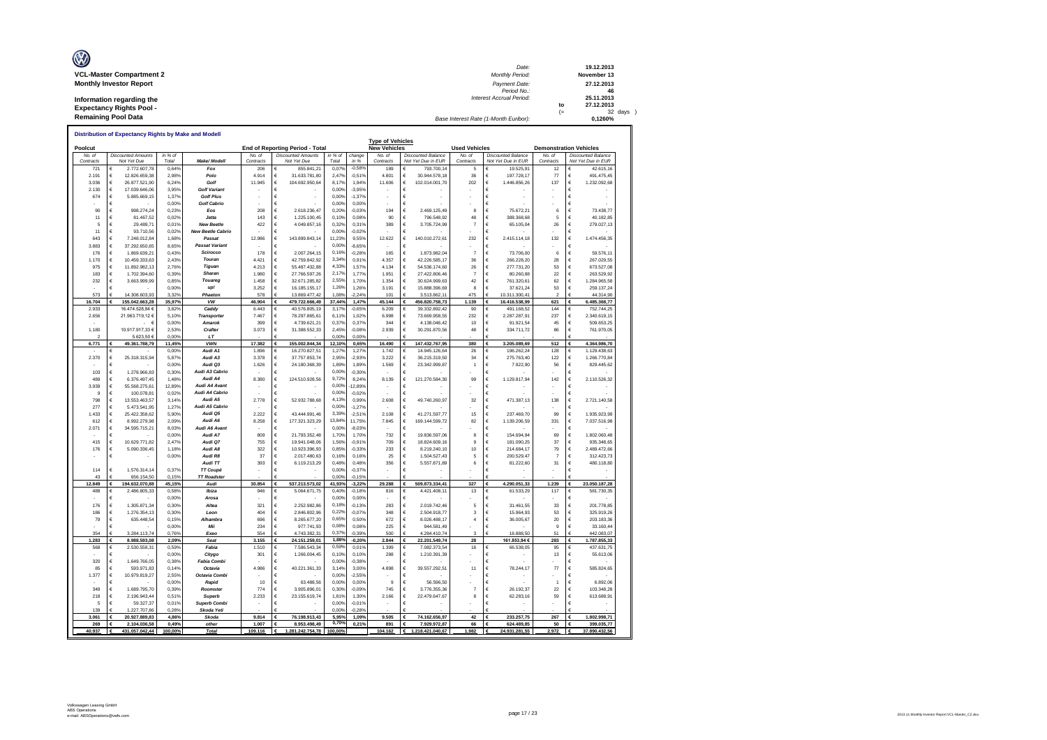| Ø                               | Date:                                 |      | 19.12.2013  |
|---------------------------------|---------------------------------------|------|-------------|
| <b>VCL-Master Compartment 2</b> | <b>Monthly Period:</b>                |      | November 13 |
| <b>Monthly Investor Report</b>  | Payment Date:                         |      | 27.12.2013  |
|                                 | Period No.:                           |      | 46          |
| Information regarding the       | Interest Accrual Period:              |      | 25.11.2013  |
| <b>Expectancy Rights Pool -</b> |                                       | to   | 27.12.2013  |
|                                 |                                       | $(=$ | 32 days     |
| <b>Remaining Pool Data</b>      | Base Interest Rate (1-Month Euribor): |      | 0.1260%     |

|                     |                                          |                               |                  | Distribution of Expectancy Rights by Make and Modell |                     |                                          |                    |                      |                                                |                                                 |                      |                                                 |                     |                                                 |
|---------------------|------------------------------------------|-------------------------------|------------------|------------------------------------------------------|---------------------|------------------------------------------|--------------------|----------------------|------------------------------------------------|-------------------------------------------------|----------------------|-------------------------------------------------|---------------------|-------------------------------------------------|
| Poolcut             |                                          |                               |                  |                                                      |                     | End of Reporting Period - Total          |                    |                      | <b>Type of Vehicles</b><br><b>New Vehicles</b> |                                                 | <b>Used Vehicles</b> |                                                 |                     | <b>Demonstration Vehicles</b>                   |
| No. of<br>Contracts | <b>Discounted Amounts</b><br>Not Yet Due |                               | in % of<br>Total | <b>Make/ Modell</b>                                  | No. of<br>Contracts | <b>Discounted Amounts</b><br>Not Yet Due | in $%$ of<br>Total | change<br>in %       | No. of<br>Contracts                            | <b>Discounted Balance</b><br>Not Yet Due in EUR | No. of<br>Contracts  | <b>Discounted Balance</b><br>Not Yet Due in EUR | No. of<br>Contracts | <b>Discounted Balance</b><br>Not Yet Due in EUR |
| 721                 | €                                        | 2.772.607.78                  | 0.64%            | Fox                                                  | 206                 | 855.841.21<br>€                          | 0,079              | $-0,589$             | 189                                            | 793 700 14<br>€                                 | 5                    | 19.525.91                                       | 12                  | 42.615.16                                       |
| 2.191               | €                                        | 12.826.659.38                 | 2.98%            | Polo                                                 | 4.914               | €<br>31.633.781,80                       | 2.47%              | $-0,519$             | 4.801                                          | €<br>30.944.578.18                              | 36                   | 197,728.17<br>€                                 | 77                  | 491.475.45<br>€                                 |
| 3.036               | €                                        | 26.877.521.90                 | 6.24%            | Golf                                                 | 11.945              | $\epsilon$<br>104.692.950,64             | 8.179              | 1,94%                | 11.606                                         | €<br>102.014.001,70                             | 202                  | €<br>1.446.856,26                               | 137                 | €<br>1.232.092,68                               |
| 2.130               | €                                        | 17.039.646,06                 | 3,95%            | <b>Golf Variant</b>                                  |                     | €                                        | 0,00%              | $-3,95%$             |                                                | €                                               |                      |                                                 |                     | €                                               |
| 674                 | €<br>€                                   | 5.885.669.15                  | 1,37%<br>0.00%   | <b>Golf Plus</b><br><b>Golf Cabrio</b>               |                     | €<br>€                                   | 0.009<br>0.00%     | $-1,37%$<br>0.00%    |                                                | €<br>€                                          |                      |                                                 |                     | €<br>€                                          |
| 90                  | €                                        | 998.274,24                    | 0,23%            | Eos                                                  | 208                 | 2 618 236 47<br>€                        | 0,20%              | $-0,03%$             | 194                                            | €<br>2.469.125,49                               | 8                    | €<br>75 672 21                                  | 6                   | Ë<br>73.438,77                                  |
| 11                  | €                                        | 81.467.52                     | 0,02%            | <b>Jetta</b>                                         | 143                 | €<br>1.225.100.45                        | 0.10%              | 0,08%                | 90                                             | €<br>796.548,92                                 | 48                   | 388.368,68<br>$\epsilon$                        | 5                   | 40.182,85<br>€                                  |
| 5                   | €                                        | 29 489 7                      | 0.01%            | <b>New Beetle</b>                                    | 422                 | 4 049 857 16<br>£                        | 0.32%              | 0.31%                | 389                                            | $\epsilon$<br>3.705.724.99                      | 7                    | 65.105,04<br>€                                  | 26                  | €<br>279.027.13                                 |
| 11                  | €                                        | 93.710.56                     | 0.02%            | <b>New Beetle Cabrio</b>                             |                     | €                                        | 0.00%              | $-0.02%$             |                                                | €                                               |                      | €                                               |                     | €                                               |
| 643                 | €                                        | 7.248.012.84                  | 1,68%            | Passat                                               | 12.986              | €<br>143.899.843,14                      | 11.239             | 9.55%                | 12.622                                         | €<br>140.010.272,61                             | 232                  | €<br>2.415.114,18                               | 132                 | €<br>1.474.456,35                               |
| 3.883               | €                                        | 37.292.650.65                 | 8.65%            | <b>Passat Variant</b>                                |                     | €                                        | 0,00%              | $-8.65%$             |                                                | €                                               |                      | €                                               |                     | €                                               |
| 176                 | €                                        | 1.869.639,21                  | 0,43%            | Scirocco                                             | 178                 | 2.007.264,15<br>€                        | 0.16               | $-0,28%$             | 165                                            | €<br>1.873.982,04                               | $\overline{7}$       | $\epsilon$<br>73.706,00                         | 6                   | 59.576,11<br>€                                  |
| 1.170               | €                                        | 10.459.333,63                 | 2,43%            | Touran                                               | 4.421               | 42.759.842,92<br>€                       | 3.34               | 0,91%                | 4.357                                          | 42.226.585,17<br>€                              | 36                   | $\epsilon$<br>266.228,20                        | 28                  | 267.029,55<br>€                                 |
| 975                 | $\epsilon$                               | 11.892.982,13                 | 2.76%            | Tiguan                                               | 4.213               | 55 487 432 88<br>€                       | 4,33%              | 1,57%                | 4 1 3 4                                        | 54 536 174 60<br>€                              | 26                   | $\epsilon$<br>277 731 20                        | 53                  | €<br>673 527 08                                 |
| 183                 | $\epsilon$                               | 1.702.394.60                  | 0.39%            | <b>Sharan</b>                                        | 1.980               | 27.766.597.26<br>€                       | 2.17%              | 1,779                | 1.951                                          | €<br>27.422.806,46                              | $\overline{7}$       | $\epsilon$<br>80.260.88                         | 22                  | €<br>263.529,92                                 |
| 232                 | $\epsilon$<br>€                          | 3.663.999,99                  | 0.85%            | Touareg                                              | 1.458               | €<br>32.671.285,82                       | 2.55%<br>1.269     | 1,70%                | 1.354                                          | €<br>30.624.999.63                              | 42                   | $\epsilon$<br>761.320.61<br>$\epsilon$          | 62                  | €<br>1.284.965.58                               |
| 573                 |                                          | 14.308.603,93                 | 0,00%<br>3,32%   | up!<br>Phaeton                                       | 3.252<br>578        | €<br>16.185.155,17<br>13.869.477,42      | 1.089              | 1,269<br>$-2,24%$    | 3.191<br>101                                   | €<br>15.888.396,69<br>3.513.862,11<br>€         | 8<br>475             | 37.621,24<br>10.311.300,41                      | 53<br>2             | €<br>259.137,24<br>44.314.90                    |
| 16.704              |                                          | 155.042.663.28                | 35.97%           | <b>VW</b>                                            | 46.904              | 479.722.666.49                           | 37,44%             | 1.47%                | 45.144                                         | 456.820.758,73<br>€                             | 1.139                | 16.416.538,99                                   | 621                 | 6.485.368,77<br>€                               |
| 2.933               | 16 474 528 84 6                          |                               | 3829             | Caddy                                                | 6.443               | 40.576.805,19<br>€                       | 3.17 <sup>6</sup>  | $-0,659$             | 6.209                                          | €<br>39 332 892 42                              | 90                   | €<br>491.168,52                                 | 144                 | €<br>752.744.25                                 |
| 2.656               | 21.963.719,12 €                          |                               | 5.10%            | <b>Transporter</b>                                   | 7.467               | €<br>78.297.865.61                       | 6.11%              | 1.02%                | 6.998                                          | €<br>73.669.958.55                              | 232                  | €<br>2.287.287.91                               | 237                 | €<br>2.340.619.15                               |
|                     |                                          | - 6                           | 0.00%            | Amarok                                               | 399                 | 4 739 621 21<br>€                        | 0,379              | 0.37%                | 344                                            | €<br>4 138 046 42                               | 10                   | 91 921 54<br>€                                  | 45                  | 509 653 25<br>€                                 |
| 1.180               | 10.917.917.33 6                          |                               | 2.53%            | Crafter                                              | 3.073               | €<br>31.388.552.33                       | 2.45%              | $-0.089$             | 2.939                                          | €<br>30.291.870.56                              | 48                   | 334.711.72<br>€                                 | 86                  | €<br>761.970,05                                 |
|                     |                                          | 5.623.50 6                    | 0,00%            | LT                                                   |                     |                                          | 0.00%              | 0.00%                |                                                |                                                 |                      |                                                 |                     |                                                 |
| 6.771               | €                                        | 49.361.788,79                 | 11,45%           | <b>VWN</b>                                           | 17.382              | €<br>155.002.844,34                      | 12,10%             | 0,65%                | 16.490                                         | €<br>147.432.767,95                             | 380                  | €<br>3.205.089,69                               | 512                 | €<br>4.364.986,70                               |
|                     | €                                        |                               | 0,00%            | Audi A1                                              | 1.896               | 16.270.827,51<br>€                       | 1,27%              | 1,27%                | 1.742                                          | €<br>14.945.126,64                              | 26                   | 196.262,24                                      | 128                 | 1.129.438,63                                    |
| 2.370               | €<br>€                                   | 25.318.315,94                 | 5.87%            | Audi A3<br>Audi Q3                                   | 3.378               | €<br>37.757.853.74<br>$\epsilon$         | 2.95               | $-2.939$             | 3.222                                          | €<br>36.215.319.50<br>€                         | 34<br>$\overline{1}$ | €<br>275,763.40<br>$\epsilon$                   | 122                 | €<br>1.266.770.84<br>€                          |
| 103                 | €                                        | 1.278.966.83                  | 0,00%<br>0,30%   | Audi A3 Cabrio                                       | 1.626               | 24.180.368,39<br>€                       | 1,89%<br>0,00%     | 1,89%<br>$-0,30%$    | 1.569                                          | 23.342.999,87<br>€                              |                      | 7.922,90                                        | 56                  | 829.445,62<br>€                                 |
| 489                 | €                                        | 6.376.497.45                  | 1.48%            | Audi A4                                              | 8,380               | €<br>124.510.928.56                      | 9 7 2 %            | 8.24%                | 8.139                                          | €<br>121.270.584.30                             | 99                   | €<br>1.129.817,94                               | 142                 | €<br>2.110.526.32                               |
| 3.939               | €                                        | 55.568.275,61                 | 12,89%           | Audi A4 Avant                                        |                     | €                                        | 0.00%              | 12,89%               |                                                | €                                               |                      | €                                               |                     | €                                               |
| 9                   | €                                        | 100.078.8                     | 0,02%            | Audi A4 Cabrio                                       |                     | €                                        | 0.00%              | $-0,02%$             |                                                | €                                               |                      |                                                 |                     | €                                               |
| 798                 | €                                        | 13.553.463.57                 | 3.14%            | Audi A5                                              | 2.778               | €<br>52.932.788.68                       | 4,13%              | 0,99%                | 2.608                                          | €<br>49.740.260.97                              | 32                   | €<br>471.387.13                                 | 138                 | €<br>2.721.140,58                               |
| 277                 | €                                        | 5.473.541,95                  | 1,27%            | Audi A5 Cabrio                                       |                     | €                                        | 0,00%              | $-1,27%$             |                                                | €                                               |                      |                                                 |                     | €                                               |
| 1.433               | €                                        | 25.422.358,62                 | 5,90%            | Audi Q5                                              | 2.222               | $\epsilon$<br>43.444.991,46              | 3.39%              | $-2,51%$             | 2.108                                          | €<br>41.271.597,77                              | 15                   | $\epsilon$<br>237.469,70                        | 99                  | €<br>1.935.923,99                               |
| 612                 | €                                        | 8 992 279 98                  | 2.09%            | Audi A6                                              | 8.258               | 177.321.323.29<br>€                      | 13,84%             | 11.75%               | 7845                                           | €<br>169 144 599 72                             | 82                   | $\epsilon$<br>1 139 206 59                      | 331                 | 7.037.516.98<br>€                               |
| 2.071               | €                                        | 34.595.715.21                 | 8.03%            | Audi A6 Avant                                        |                     | €                                        | 0,00%              | $-8.03%$             |                                                | €                                               |                      | €                                               |                     | €                                               |
|                     | €                                        |                               | 0.00%            | Audi A7<br>Audi O7                                   | 809                 | €<br>21 793 352 48                       | 1.70%<br>1.56%     | 1,70%                | 732                                            | €<br>19.836.597.06                              | 8                    | €<br>154,694.94                                 | 69                  | €<br>1.802.060.48                               |
| 415<br>176          | €<br>€                                   | 10.629.771,82<br>5.090.336,45 | 2,47%<br>1,18%   | Audi A8                                              | 755<br>322          | €<br>19.941.048,06<br>10.923.396,93<br>€ | 0.85%              | $-0,91%$<br>$-0,33%$ | 709<br>233                                     | €<br>18.824.609,16<br>€<br>8.219.240,10         | 9<br>10              | €<br>181.090,25<br>$\epsilon$<br>214.684,17     | 37<br>79            | €<br>935.348,65<br>€<br>2.489.472,66            |
|                     | €                                        |                               | 0,00%            | Audi R8                                              | 37                  | 2.017.480,63<br>€                        | 0.16%              | 0.16%                | 25                                             | €<br>1.504.527.43                               | 5                    | 200.529,47<br>€                                 | 7                   | €<br>312.423.73                                 |
|                     |                                          |                               |                  | Audi TT                                              | 393                 | €<br>6.119.213,29                        | 0,48               | 0,48%                | 356                                            | €<br>5.557.871,89                               | 6                    | €<br>81.222,60                                  | 31                  | €<br>480.118,80                                 |
| 114                 | €                                        | 1.576.314,14                  | 0,37%            | TT Coupé                                             |                     | €                                        | 0,00%              | $-0,37%$             |                                                | €                                               |                      | $\epsilon$                                      |                     | €                                               |
| 43                  | €                                        | 656.154.50                    | 0.15%            | <b>TT Roadster</b>                                   |                     |                                          | 0.00%              | $-0.15%$             |                                                | €                                               |                      |                                                 |                     |                                                 |
| 12,849              | €                                        | 194.632.070.88                | 45.15%           | Audi                                                 | 30.854              | 537.213.573,02<br>€                      | 41.935             | $-3,22%$             | 29.288                                         | 509.873.334.41<br>€                             | 327                  | 4.290.051.33                                    | 1.239               | 23.050.187,28                                   |
| 488                 | €                                        | 2.486.805,33                  | 0.58%            | Ibiza                                                | 946                 | 5.064.671,75<br>€                        | 0.40 <sup>6</sup>  | $-0.189$             | 816                                            | 4.421.408,11<br>€                               | 13                   | 61.533,29<br>€                                  | 117                 | 581.730,35<br>€                                 |
|                     | €                                        |                               | 0.00%            | Arosa                                                |                     | €                                        | 0.00%              | 0,00%                |                                                | €                                               |                      | €                                               |                     | €                                               |
| 176                 | €                                        | 1.305.871,34                  | 0,30%            | Altea                                                | 321                 | €<br>2.252.982,86                        | 0,18               | $-0,139$             | 283                                            | €<br>2.019.742,46                               | 5                    | $\epsilon$<br>31.461,55                         | 33                  | €<br>201.778,85                                 |
| 186                 | €                                        | 1.276.354.13                  | 0.30%            | Leon                                                 | 404                 | 2.846.802,96<br>€                        | $0.22^{\circ}$     | $-0.079$             | 348                                            | €<br>2.504.918.77                               | 3                    | €<br>15.964.93                                  | 53                  | €<br>325.919,26                                 |
| 79                  | €                                        | 635.448.54                    | 0.15%            | Alhambra                                             | 696                 | €<br>8.265.677.20                        | $0.65^{\circ}$     | 0.50%                | 672                                            | €<br>8.026.488.17                               | $\overline{4}$       | €<br>36,005.67                                  | 20                  | €<br>203.183.36                                 |
| 354                 | €                                        | 3 284 113 74                  | 0.00%<br>0.76%   | Mii<br>Exec                                          | 234<br>554          | €<br>977 741 93<br>4.743.382.31          | 0,08%<br>0,37%     | 0.08%<br>$-0.399$    | 225<br>500                                     | €<br>944 581 49<br>4.284.410.74<br>Ë            | 3                    | €<br>16 888 50                                  | $\mathbf{q}$<br>51  | €<br>33.160,44<br>442.083.07                    |
| 1.283               | €                                        | 8.988.593,08                  | 2,09%            | Seat                                                 | 3.155               | 24.151.259,01<br>€                       | 1.88%              | $-0,20%$             | 2.844                                          | €<br>22.201.549,74                              | 28                   | 161.853,94 €                                    | 283                 | 1.787.855,33<br>€                               |
| 568                 | €                                        | 2.530.558,31                  | 0,59%            | Fabia                                                | 1.510               | €<br>7.586.543,34                        | 0.59%              | 0,01%                | 1.399                                          | €<br>7.082.373,54                               | 16                   | 66.538,05                                       | 95                  | 437.631,75<br>€                                 |
|                     | €                                        |                               | 0.00%            | Citygo                                               | 301                 | 1.266.004,45<br>€                        | 0.10%              | 0.10%                | 288                                            | €<br>1.210.391.39                               |                      |                                                 | 13                  | €<br>55.613,06                                  |
| 320                 | €                                        | 1.649.766,05                  | 0.38%            | <b>Fabia Combi</b>                                   |                     | €                                        | 0,00%              | $-0.389$             |                                                | €                                               |                      |                                                 |                     | €                                               |
| 85                  | €                                        | 593.971,83                    | 0,14%            | Octavia                                              | 4.986               | 40.221.361,33<br>€                       | 3.14%              | 3,00%                | 4.898                                          | €<br>39.557.292,51                              | 11                   | $\epsilon$<br>78.244,17                         | 77                  | €<br>585.824,65                                 |
| 1.377               | €                                        | 10.979.819.27                 | 2.55%            | Octavia Combi                                        |                     | $\epsilon$                               | 0.00%              | $-2,55%$             |                                                | €                                               |                      | $\epsilon$                                      |                     | €                                               |
|                     | €                                        |                               | 0.00%            | Rapid                                                | 10                  | €<br>63 488 56                           | 0,00%              | 0.00%                | $\mathbf{Q}$                                   | $\epsilon$<br>56 596 50                         |                      | €                                               | 1                   | 6.892.06<br>€                                   |
| 349                 | $\epsilon$                               | 1.689.795,70                  | 0.39%            | Roomster                                             | 774                 | $\epsilon$<br>3.905.896.01               | 0.30%              | $-0.09%$             | 745                                            | $\in$<br>3.776.355.36                           | $\overline{7}$       | $\epsilon$<br>26, 192.37                        | 22                  | €<br>103.348.28                                 |
| 218                 | $\epsilon$                               | 2.196.943.44                  | 0.51%            | Superb                                               | 2.233               | €<br>23.155.619,74                       | 1.81%              | 1,30%                | 2.166                                          | $\in$<br>22.479.647,67                          | 8                    | $\epsilon$<br>62.283,16                         | 59                  | €<br>613.688,91                                 |
| 5                   | €                                        | 59.327,37                     | 0,01%            | <b>Superb Combi</b>                                  |                     | €                                        | 0,00%              | $-0,01%$             |                                                | €                                               |                      | €                                               |                     | €                                               |
| 139<br>3.061        |                                          | .227.707.86<br>20.927.889.83  | 0,28%<br>4.86%   | Skoda Yeti<br>Skoda                                  | 9.814               | 76.198.913,43                            | 0.00%<br>5,95%     | $-0,289$<br>1.09%    | 9.505                                          | 74.162.656,97<br>€                              | 42                   | 233.257,75<br>€                                 | 267                 | 1.802.998,71                                    |
| 269                 |                                          | 2.104.036,58                  | 0.49%            | othe                                                 | 1.007               | 8.953.498,49                             | 0.70%              | 0,21%                | 891                                            | 7.929.972,87<br>€                               | 66                   | 624.489,85<br>€                                 | 50                  | 399.035,77<br>€                                 |
| 40.937              |                                          | 431.057.042.44                | 100.00%          | <b>Total</b>                                         | 109.116             | 1.281.242.754,78                         | 100.00%            |                      | 104.162                                        | 1.218.421.040.67                                | 1.982                | 24.931.281.55                                   | 2.972               | 37.890.432.56                                   |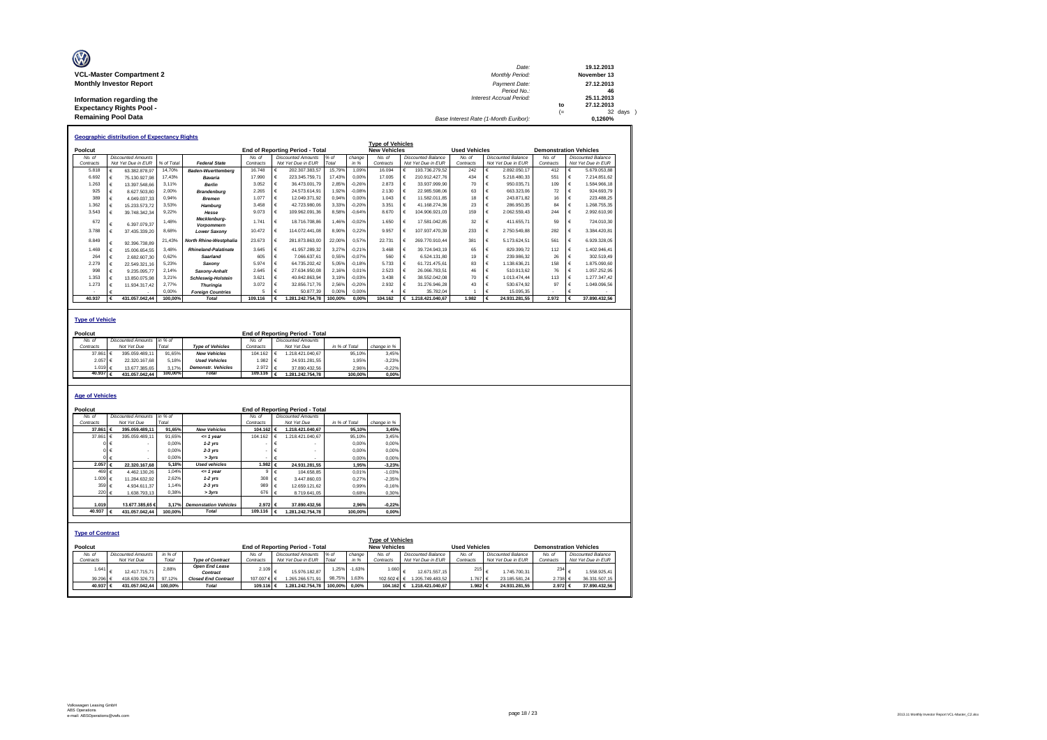| Ø                               | Date:                                 |    | 19.12.2013  |
|---------------------------------|---------------------------------------|----|-------------|
| <b>VCL-Master Compartment 2</b> | <b>Monthly Period:</b>                |    | November 13 |
| <b>Monthly Investor Report</b>  | Payment Date:                         |    | 27.12.2013  |
|                                 | Period No.:                           |    | 46          |
| Information regarding the       | <b>Interest Accrual Period:</b>       |    | 25.11.2013  |
| <b>Expectancy Rights Pool -</b> |                                       | to | 27.12.2013  |
|                                 |                                       | ′= | 32 days     |
| <b>Remaining Pool Data</b>      | Base Interest Rate (1-Month Euribor): |    | 0.1260%     |

|           |   | <b>Geographic distribution of Expectancy Rights</b> |            |                             |           |   |                                        |         |          |                         |            |                    |                      |                           |                               |   |                    |
|-----------|---|-----------------------------------------------------|------------|-----------------------------|-----------|---|----------------------------------------|---------|----------|-------------------------|------------|--------------------|----------------------|---------------------------|-------------------------------|---|--------------------|
|           |   |                                                     |            |                             |           |   |                                        |         |          | <b>Type of Vehicles</b> |            |                    |                      |                           |                               |   |                    |
| Poolcut   |   |                                                     |            |                             |           |   | <b>End of Reporting Period - Total</b> |         |          | <b>New Vehicles</b>     |            |                    | <b>Used Vehicles</b> |                           | <b>Demonstration Vehicles</b> |   |                    |
| No. of    |   | <b>Discounted Amounts</b>                           |            |                             | No. of    |   | <b>Discounted Amounts</b>              | $%$ $o$ | change   | No of                   |            | Discounted Balance | No of                | <b>Discounted Balance</b> | No of                         |   | Discounted Balance |
| Contracts |   | Not Yet Due in EUR                                  | % of Total | <b>Federal State</b>        | Contracts |   | Not Yet Due in EUR                     | Total   | in %     | Contracts               |            | Not Yet Due in EUR | Contracts            | Not Yet Due in EUR        | Contracts                     |   | Not Yet Due in EUR |
| 5.818     |   | 63.382.878.97                                       | 14.70%     | <b>Baden-Wuerttemberg</b>   | 16.748    | € | 202.307.383.57                         | 15.79%  | 1.09%    | 16.094                  | €          | 193.736.279.52     | 242                  | 2.892.050.17              | 412                           | € | 5.679.053.88       |
| 6.692     |   | 75.130.927.98                                       | 17.43%     | Bavaria                     | 17,990    | € | 223.345.759.71                         | 17.43%  | 0.00%    | 17.005                  | €          | 210.912.427.76     | 434                  | 5.218.480.33              | 551                           | € | 7.214.851.62       |
| 1.263     |   | 13.397.548.66                                       | 3.11%      | <b>Berlin</b>               | 3.052     | € | 36,473,001.79                          | 2.85%   | $-0.26%$ | 2.873                   | $\epsilon$ | 33.937.999.90      | 70                   | 950.035.71                | 109                           | € | 1,584,966.18       |
| 925       |   | 8.627.503.80                                        | 2.00%      | <b>Brandenburg</b>          | 2.265     | € | 24.573.614.91                          | 1.92%   | $-0.08%$ | 2.130                   | $\epsilon$ | 22.985.598.06      | 63                   | 663.323.06                | 72                            |   | 924.693.79         |
| 389       |   | 4.049.037.33                                        | 0.94%      | <b>Bremen</b>               | 1.077     | € | 12.049.371.92                          | 0.94%   | 0.00%    | 1.043                   | $\epsilon$ | 11.582.011.85      | 18                   | 243.871.82                | 16                            |   | 223.488.25         |
| 1.362     |   | 15.233.573.72                                       | 3.53%      | Hamburg                     | 3.458     | € | 42.723.980.06                          | 3.33%   | $-0.20%$ | 3.351                   |            | 41.168.274.36      | 23                   | 286,950.35                | 84                            | € | .268.755.35        |
| 3.543     |   | 39.748.342.34                                       | 9.22%      | Hesse                       | 9.073     | € | 109.962.091.36                         | 8,58%   | $-0.64%$ | 8,670                   | €          | 104.906.921.03     | 159                  | 2.062.559.43              | 244                           | € | 2.992.610.90       |
| 672       |   | 6.397.079.37                                        | 1.48%      | Mecklenburg-<br>Vorpommern  | 1 741     | € | 18.716.708.86                          | 1.46%   | $-0.02%$ | 1.650                   | €          | 17.581.042.85      | 32                   | 411.655.71                | 59                            | € | 724.010.30         |
| 3.788     |   | 37.435.339.20                                       | 8.68%      | <b>Lower Saxony</b>         | 10.472    | € | 114.072.441.08                         | 8.90%   | 0.22%    | 9 9 5 7                 | €          | 107.937.470.39     | 233                  | 2.750.549.88              | 282                           | € | 3.384.420.81       |
| 8.849     | € | 92.396.738.89                                       | 21,43%     | North Rhine-Westphalia      | 23.673    | € | 281.873.863.00                         | 22,00%  | 0.57%    | 22.731                  | €          | 269.770.910.44     | 381                  | 5.173.624.51              | 561                           | € | 6.929.328.05       |
| 1.469     |   | 15.006.654.55                                       | 3.48%      | <b>Rhineland-Palatinate</b> | 3.645     | € | 41.957.289.32                          | 3,27%   | $-0.21%$ | 3 468                   | $\epsilon$ | 39.724.943.19      | 65                   | 829.399.72                | 112                           | € | .402.946.41        |
| 264       | € | 2.682.607.30                                        | 0.62%      | Saarland                    | 605       | € | 7.066.637.61                           | 0.55%   | $-0.07%$ | 560                     | €          | 6.524.131.80       | 19                   | 239.986.32                | 26                            |   | 302.519.49         |
| 2.279     |   | 22.549.321.16                                       | 5.23%      | Saxony                      | 5.974     | € | 64.735.202.42                          | 5.05%   | $-0.18%$ | 5.733                   | €          | 61.721.475.61      | 83                   | 1.138.636.21              | 158                           | € | 1.875.090.60       |
| 998       |   | 9.235.095.77                                        | 2.14%      | Saxony-Anhalt               | 2.645     | € | 27.634.950.08                          | 2.16%   | 0.01%    | 2.523                   | $\epsilon$ | 26.066.783.51      | 46                   | 510.913.62                | 76                            |   | 1.057.252.95       |
| 1.353     |   | 13.850.075.98                                       | 3.21%      | <b>Schleswig-Holstein</b>   | 3.621     | € | 40.842.863.94                          | 3.19%   | $-0.03%$ | 3.438                   |            | 38.552.042.08      | 70                   | 1.013.474.44              | 113                           |   | 1.277.347.42       |
| 1.273     |   | 11.934.317.42                                       | 2.77%      | <b>Thuringia</b>            | 3.072     | € | 32.856.717.76                          | 2.56%   | $-0.20%$ | 2.932                   |            | 31.276.946.28      | 43                   | 530.674.92                | 97                            |   | 1.049.096.56       |
|           |   |                                                     | 0.00%      | <b>Foreian Countries</b>    |           | £ | 50.877.39                              | 0.00%   | 0.00%    |                         | €          | 35,782.04          |                      | 15.095.35                 |                               |   |                    |
| 40.937    |   | 431.057.042.44                                      | 100.00%    | <b>Total</b>                | 109.116   |   | 1.281.242.754.78                       | 100.00% | 0.00%    | 104.162                 | €          | 1.218.421.040.67   | 1.982                | 24.931.281.55             | 2.972                         |   | 37.890.432.56      |

#### **Type of Vehicle**

| Poolcut              |                           |         |                           |                    |    | End of Reporting Period - Total |               |             |
|----------------------|---------------------------|---------|---------------------------|--------------------|----|---------------------------------|---------------|-------------|
| No. of               | <b>Discounted Amounts</b> | in %    |                           | No of              |    | Discounted Amounts              |               |             |
| Contracts            | Not Yet Due               | Total   | <b>Type of Vehicles</b>   | Contracts          |    | Not Yet Due                     | in % of Total | change in % |
| 37,861 €             | 395.059.489.11            | 91.65%  | <b>New Vehicles</b>       | 104.162            | Ι€ | 1.218.421.040.67                | 95.10%        | 3.45%       |
| 2.057 €              | 22.320.167.68             | 5.18%   | <b>Used Vehicles</b>      | 1.982 €            |    | 24.931.281.55                   | 1.95%         | $-3.23%$    |
| 1.019 €              | 13.677.385.65             | 3.17%   | <b>Demonstr.</b> Vehicles | $2.972$ €          |    | 37.890.432.56                   | 2.96%         | $-0.22%$    |
| 40.937 $\varepsilon$ | 431.057.042.44            | 100.00% | <b>Total</b>              | 109.116 $\epsilon$ |    | 1.281.242.754.78                | 100.00%       | 0.00%       |
|                      |                           |         |                           |                    |    |                                 |               |             |

### **Age of Vehicles**

| Poolcut                 |          |                            |         |                              |                          |            | <b>End of Reporting Period - Total</b> |               |          |                         |                           |                      |                           |                               |                           |
|-------------------------|----------|----------------------------|---------|------------------------------|--------------------------|------------|----------------------------------------|---------------|----------|-------------------------|---------------------------|----------------------|---------------------------|-------------------------------|---------------------------|
| No. of                  |          | Discounted Amounts in % of |         |                              | No. of                   |            | <b>Discounted Amounts</b>              |               |          |                         |                           |                      |                           |                               |                           |
| Contracts               |          | Not Yet Due                | Total   |                              | Contracts                |            | Not Yet Due                            | in % of Total |          | change in %             |                           |                      |                           |                               |                           |
|                         | 37,861   | 395.059.489.11             | 91.65%  | <b>New Vehicles</b>          | 104.162                  | €          | 1.218.421.040.67                       |               | 95.10%   | 3,45%                   |                           |                      |                           |                               |                           |
|                         | 37,861   | 395.059.489.11             | 91.65%  | $= 1$ vear                   | 104.162                  | $\epsilon$ | 1.218.421.040.67                       |               | 95.10%   | 3.45%                   |                           |                      |                           |                               |                           |
|                         |          |                            | 0.00%   | $1-2$ yrs                    | ۰                        | €          |                                        |               | 0.00%    | 0.00%                   |                           |                      |                           |                               |                           |
|                         |          |                            | 0.00%   | $2-3$ yrs                    |                          | -6         |                                        |               | 0.00%    | 0,00%                   |                           |                      |                           |                               |                           |
|                         |          |                            | 0.00%   | > 3vrs                       | $\overline{\phantom{a}}$ | $\epsilon$ |                                        |               | 0.00%    | 0.00%                   |                           |                      |                           |                               |                           |
|                         | 2.057 €  | 22.320.167.68              | 5.18%   | <b>Used vehicles</b>         | 1.982 €                  |            | 24.931.281.55                          |               | 1.95%    | $-3,23%$                |                           |                      |                           |                               |                           |
|                         | 469 €    | 4.462.130.26               | 1.04%   | $= 1$ vear                   | 9 <sup>1</sup>           | ∣€         | 104.658.85                             |               | 0.01%    | $-1.03%$                |                           |                      |                           |                               |                           |
|                         | 1.009 €  | 11.284.632.92              | 2,62%   | $1-2$ yrs                    | 308                      | $\epsilon$ | 3.447.860.03                           |               | 0.27%    | $-2.35%$                |                           |                      |                           |                               |                           |
|                         | 359 €    | 4.934.611.37               | 1.14%   | $2-3$ yrs                    | 989                      | $\epsilon$ | 12.659.121.62                          |               | 0.99%    | $-0.16%$                |                           |                      |                           |                               |                           |
|                         | 220 €    | 1.638.793,13               | 0,38%   | > 3yrs                       | 676                      | €          | 8.719.641.05                           |               | 0.68%    | 0,30%                   |                           |                      |                           |                               |                           |
|                         |          |                            |         |                              |                          |            |                                        |               |          |                         |                           |                      |                           |                               |                           |
|                         | 1.019    | 13,677,385,65€             | 3.17%   | <b>Demonstation Vehicles</b> | 2.972 ∈                  |            | 37.890.432.56                          |               | 2,96%    | $-0,22%$                |                           |                      |                           |                               |                           |
|                         | 40.937   | 431.057.042.44             | 100.00% | <b>Total</b>                 | 109,116                  | €          | 1.281.242.754,78                       |               | 100.00%  | 0,00%                   |                           |                      |                           |                               |                           |
|                         |          |                            |         |                              |                          |            |                                        |               |          |                         |                           |                      |                           |                               |                           |
|                         |          |                            |         |                              |                          |            |                                        |               |          |                         |                           |                      |                           |                               |                           |
| <b>Type of Contract</b> |          |                            |         |                              |                          |            |                                        |               |          |                         |                           |                      |                           |                               |                           |
|                         |          |                            |         |                              |                          |            |                                        |               |          | <b>Type of Vehicles</b> |                           |                      |                           |                               |                           |
| Poolcut                 |          |                            |         |                              |                          |            | <b>End of Reporting Period - Total</b> |               |          | <b>New Vehicles</b>     |                           | <b>Used Vehicles</b> |                           | <b>Demonstration Vehicles</b> |                           |
| No. of                  |          | <b>Discounted Amounts</b>  | in %    |                              | No. of                   |            | <b>Discounted Amounts</b>              | $%$ of        | change   | No. of                  | <b>Discounted Balance</b> | No. of               | <b>Discounted Balance</b> | No. of                        | <b>Discounted Balance</b> |
| Contracts               |          | Not Yet Due                | Total   | <b>Type of Contract</b>      | Contracts                |            | Not Yet Due in EUR                     | Total         | in %     | Contracts               | Not Yet Due in EUR        | Contracts            | Not Yet Due in EUR        | Contracts                     | Not Yet Due in EUR        |
|                         | 1.641    |                            | 2.88%   | <b>Open End Lease</b>        | 2.109                    |            |                                        | 1.25%         | $-1,63%$ | 1.660                   |                           | 215                  |                           | 234                           |                           |
|                         |          | 12.417.715.71              |         | Contract                     |                          |            | 15.976.182.87                          |               |          |                         | 12.671.557.15             |                      | 1.745.700.31              |                               | 1.558.925.41              |
|                         | 39.296 € | 418.639.326.73             | 97,12%  | <b>Closed End Contract</b>   | 107.007 € €              |            | 1.265.266.571.91                       | 98,75%        | 1,63%    | 102.502 € €             | .205.749.483.52           | 1.767 €              | 23.185.581.24             | 2.738 ∈                       | 36.331.507.15             |
|                         | 40.937 € | 431.057.042.44             | 100.00% | <b>Total</b>                 | 109.116 €                |            | 1.281.242.754,78                       | 100,00%       | $0.00\%$ | 104.162 €               | 1.218.421.040.67          | 1.982 €              | 24.931.281.55             | 2.972 €                       | 37.890.432.56             |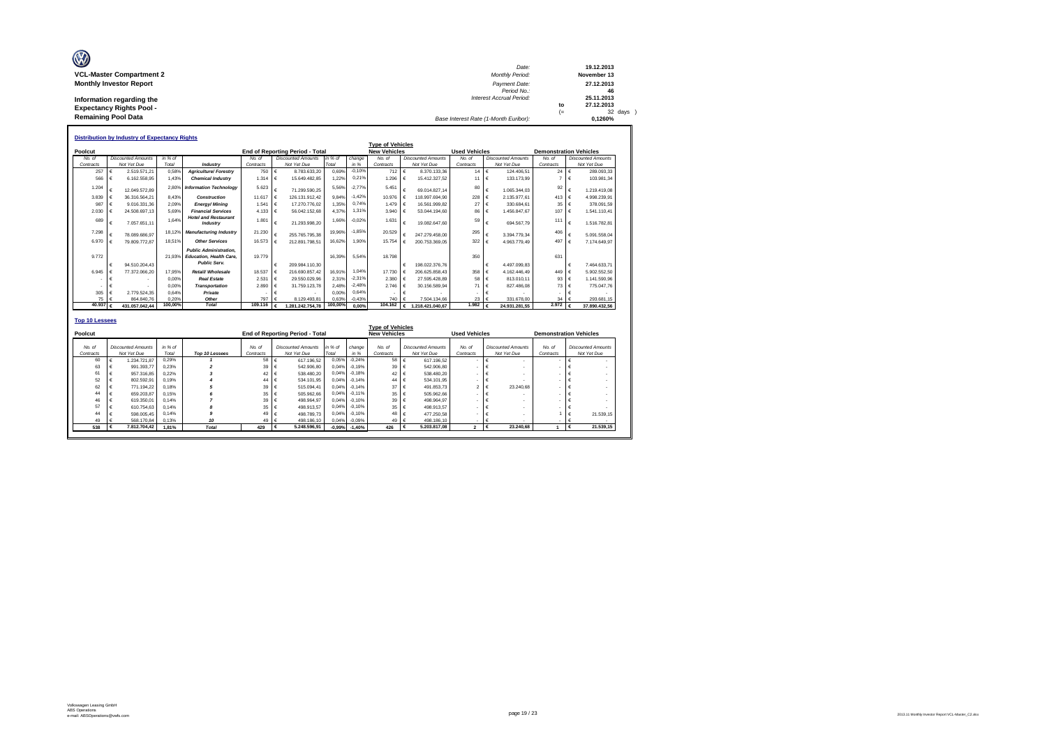| Ø                               | Date:                                 |      | 19.12.2013  |
|---------------------------------|---------------------------------------|------|-------------|
| <b>VCL-Master Compartment 2</b> | Monthly Period:                       |      | November 13 |
| <b>Monthly Investor Report</b>  | Payment Date:                         |      | 27.12.2013  |
|                                 | Period No.:                           |      | 46          |
| Information regarding the       | <b>Interest Accrual Period:</b>       |      | 25.11.2013  |
| <b>Expectancy Rights Pool -</b> |                                       | to   | 27.12.2013  |
|                                 |                                       | $(=$ | 32 days )   |
| <b>Remaining Pool Data</b>      | Base Interest Rate (1-Month Euribor): |      | 0.1260%     |

|                       |                  | <b>Distribution by Industry of Expectancy Rights</b> |         |                                                                                        |                   |             |                                        |         |          |                         |   |                           |                      |            |                           |                               |          |                           |
|-----------------------|------------------|------------------------------------------------------|---------|----------------------------------------------------------------------------------------|-------------------|-------------|----------------------------------------|---------|----------|-------------------------|---|---------------------------|----------------------|------------|---------------------------|-------------------------------|----------|---------------------------|
|                       |                  |                                                      |         |                                                                                        |                   |             |                                        |         |          | <b>Type of Vehicles</b> |   |                           |                      |            |                           |                               |          |                           |
| Poolcut               |                  |                                                      |         |                                                                                        |                   |             | <b>End of Reporting Period - Total</b> |         |          | <b>New Vehicles</b>     |   |                           | <b>Used Vehicles</b> |            |                           | <b>Demonstration Vehicles</b> |          |                           |
| No. of                |                  | <b>Discounted Amounts</b>                            | in % of |                                                                                        | No. of            |             | <b>Discounted Amounts</b>              | in % of | change   | No of                   |   | <b>Discounted Amounts</b> | No. of               |            | <b>Discounted Amounts</b> | No. of                        |          | <b>Discounted Amounts</b> |
| Contracts             |                  | Not Yet Due                                          | Total   | Industry                                                                               | Contracts         |             | Not Yet Due                            | Total   | in %     | Contracts               |   | Not Yet Due               | Contracts            |            | Not Yet Due               | Contracts                     |          | Not Yet Due               |
| 257                   | €                | 2.519.571.21                                         | 0.58%   | <b>Agriculture/Forestrv</b>                                                            | 750               | $\epsilon$  | 8.783.633.20                           | 0.69%   | $-0.10%$ | 712                     | € | 8.370.133.36              | 14                   | €          | 124.406.51                | $24 \div 6$                   |          | 289.093.33                |
| 566                   | €                | 6.162.558.95                                         | 1.43%   | <b>Chemical Industry</b>                                                               | 1.314             | $\cdot \in$ | 15.649.482.85                          | 1.22%   | 0,21%    | 1.296                   | € | 15.412.327.52             | 11                   | €          | 133.173.99                | $7 \mid \in$                  |          | 103.981,34                |
| 1.204                 | €                | 12.049.572.89                                        |         | 2.80% Information Technology                                                           | 5.623             | €           | 71.299.590.25                          | 5.56%   | $-2.77%$ | 5.451                   |   | 69.014.827.14             | 80                   | €          | 1.065.344.03              | 92                            | €        | 1.219.419.08              |
| 3.839                 | $\epsilon$       | 36.316.564.21                                        | 8.43%   | Construction                                                                           | 11.617            | I€          | 126.131.912.42                         | 9.84%   | $-1.42%$ | 10.976                  |   | 118,997,694.90            | 228                  | €          | 2.135.977.61              | 413 €                         |          | 4.998.239.91              |
| 987                   | $\epsilon$       | 9.016.331.36                                         | 2.09%   | Eneray/Minina                                                                          | 1.54 <sup>°</sup> | $\epsilon$  | 17.270.776.02                          | 1.35%   | 0.74%    | 1.479                   | € | 16.561.999.82             | 27                   | €          | 330.684.61                | $35 \quad \in$                |          | 378.091.59                |
| 2.030                 | $\epsilon$       | 24.508.697.13                                        | 5.69%   | <b>Financial Services</b>                                                              | 4.133             | $\epsilon$  | 56.042.152.68                          | 4.37%   | 1.31%    | 3.940                   | € | 53.044.194.60             | 86                   | €          | 1.456.847.67              | 107                           | $\vdash$ | 1.541.110.41              |
| 689                   | $\epsilon$       | 7.057.651.11                                         | 1.64%   | <b>Hotel and Restaurant</b><br>Industry                                                | 1.801             | €           | 21.293.998.20                          | 1.66%   | $-0.02%$ | 1.631                   | € | 19.082.647.60             | 59                   | $\epsilon$ | 694.567.79                | 111                           | €        | 1.516.782,81              |
| 7.298                 | €                | 78.089.686.97                                        | 18.129  | <b>Manufacturing Industry</b>                                                          | 21.230            | €           | 255.765.795.38                         | 19.96%  | $-1.85%$ | 20.529                  |   | 247.279.458.00            | 295                  | €          | 3.394.779.34              | 406                           | €        | 5.091.558.04              |
| 6.970                 | $\epsilon$       | 79.809.772.87                                        | 18.51%  | <b>Other Services</b>                                                                  | 16.573            | $\epsilon$  | 212.891.798.51                         | 16.62%  | 1.90%    | 15.754                  | € | 200.753.369.05            | 322                  | €          | 4.963.779.49              | 497                           | l€       | 7.174.649.97              |
| 9.772                 | €                | 94.510.204.43                                        | 21.93%  | <b>Public Administration.</b><br><b>Education, Health Care.</b><br><b>Public Serv.</b> | 19,779            | €           | 209.984.110.30                         | 16.39%  | 5.54%    | 18,798                  | € | 198.022.376.76            | 350                  | €          | 4.497.099.83              | 631                           | €        | 7.464.633.71              |
| 6.945                 | €                | 77.372.066.20                                        | 17.95%  | Retail/ Wholesale                                                                      | 18.537            | $\epsilon$  | 216.690.857.42                         | 16.91%  | 1.04%    | 17,730                  |   | 206.625.858.43            | 358                  | €          | 4.162.446.49              | 449 $\in$                     |          | 5.902.552.50              |
|                       | $\epsilon$       |                                                      | 0.00%   | <b>Real Estate</b>                                                                     | 2.531             | $\epsilon$  | 29.550.029.96                          | 2.31%   | $-2,31%$ | 2.380                   |   | 27.595.428.89             | 58                   | €          | 813.010.11                | 93 $\epsilon$                 |          | 1.141.590.96              |
|                       | €                |                                                      | 0.00%   | <b>Transportation</b>                                                                  | 2,890             | €           | 31.759.123.78                          | 2.48%   | $-2.48%$ | 2.746                   | € | 30.156.589.94             | 71                   | €          | 827.486.08                | $73 \text{ } \in$             |          | 775.047.76                |
| 305                   | €                | 2.779.524.35                                         | 0.64%   | Private                                                                                |                   | €           |                                        | 0.00%   | 0.64%    |                         | € |                           |                      | €          |                           |                               | €        |                           |
|                       | 75<br>$\epsilon$ | 864.840.76                                           | 0.20%   | Other                                                                                  | 797               |             | 8.129.493.81                           | 0.63%   | $-0.43%$ | 740                     |   | 7.504.134.66              | 23                   |            | 331.678.00                | 34                            |          | 293.681.15                |
| 40.937                | $\epsilon$       | 431.057.042.44                                       | 100,00% | <b>Total</b>                                                                           | 109.116           | €           | 1.281.242.754.78                       | 100,00% | 0.00%    | 104.162                 | € | 1.218.421.040.67          | 1.982                | €          | 24.931.281.55             | 2.972 $\epsilon$              |          | 37.890.432.56             |
| <b>Top 10 Lessees</b> |                  |                                                      |         |                                                                                        |                   |             |                                        |         |          |                         |   |                           |                      |            |                           |                               |          |                           |

|         |                     |                                          |                    |                |                     |                                          |                  |                   | <b>Type of Vehicles</b> |                                          |                          |                                          |                     |                                          |
|---------|---------------------|------------------------------------------|--------------------|----------------|---------------------|------------------------------------------|------------------|-------------------|-------------------------|------------------------------------------|--------------------------|------------------------------------------|---------------------|------------------------------------------|
| Poolcut |                     |                                          |                    |                |                     | <b>End of Reporting Period - Total</b>   |                  |                   | <b>New Vehicles</b>     |                                          | <b>Used Vehicles</b>     |                                          |                     | <b>Demonstration Vehicles</b>            |
|         | No. of<br>Contracts | <b>Discounted Amounts</b><br>Not Yet Due | in $%$ of<br>Total | Top 10 Lessees | No. of<br>Contracts | <b>Discounted Amounts</b><br>Not Yet Due | in % of<br>Total | change<br>in %    | No. of<br>Contracts     | <b>Discounted Amounts</b><br>Not Yet Due | No. of<br>Contracts      | <b>Discounted Amounts</b><br>Not Yet Due | No. of<br>Contracts | <b>Discounted Amounts</b><br>Not Yet Due |
|         | 60                  | 1.234.721.87                             | 0.29%              |                | 58                  | 617.196.52                               | 0,05%            | $-0.24%$          | 58                      | 617.196.52                               | $\overline{\phantom{a}}$ |                                          |                     |                                          |
|         | 63                  | 991.393.77                               | 0.23%              |                | 39                  | 542.906.80                               | 0.04%            | $-0.19%$          | 39                      | 542,906.80                               |                          |                                          |                     |                                          |
|         | 61                  | 957.316.85                               | 0.22%              |                | 42 €                | 538,480.20                               | 0.04%            | $-0.18%$          | $42$ $\pm$              | 538,480.20                               |                          |                                          |                     |                                          |
|         | 52                  | 802.592.91                               | 0.19%              |                | 44                  | 534.101.95                               | 0.04%            | $-0.14%$          | 44                      | 534,101.95                               | ٠                        |                                          |                     |                                          |
|         | 62                  | 771.194.22                               | 0.18%              |                | 39                  | 515.094.41                               | 0.04%            | $-0.14%$          | 37                      | 491.853.73                               | 2                        | 23.240,68<br>$\epsilon$                  |                     |                                          |
|         | 44                  | 659.203.87                               | 0.15%              |                | 35                  | 505.962.66                               | 0.04%            | $-0.11%$          | 35                      | 505.962.66                               |                          |                                          |                     |                                          |
|         | 46                  | 619,350.01                               | 0.14%              |                | 39                  | 498.964.97                               | 0.04%            | $-0.10%$          | 39 <sub>1</sub>         | 498.964.97                               |                          |                                          |                     |                                          |
|         | 57                  | 610.754.63                               | 0.14%              |                | 35                  | 498.913.57                               | 0.04%            | $-0.10%$          | 35                      | 498.913.57                               |                          |                                          |                     |                                          |
|         | 44                  | 598,005.45                               | 0.14%              | 9              | 49                  | 498,789.73                               | 0.04%            | $-0.10%$          | 48 6                    | 477.250.58                               |                          |                                          |                     | 21.539.15                                |
|         | 49                  | 568,170.84                               | 0.13%              | 10             | 49                  | 498.186.10                               | 0.04%            | $-0.09%$          | $-49$ :                 | 498.186.10                               | $\overline{\phantom{a}}$ |                                          |                     |                                          |
|         | 538                 | 7.812.704.42                             | 1.81%              | <b>Total</b>   | 429                 | 5.248.596.91<br>ι€                       |                  | $-0,99\% -1,40\%$ | 426                     | 5.203.817.08<br>€                        |                          | 23,240.68<br>ι€                          |                     | 21.539,15<br>€                           |
|         |                     |                                          |                    |                |                     |                                          |                  |                   |                         |                                          |                          |                                          |                     |                                          |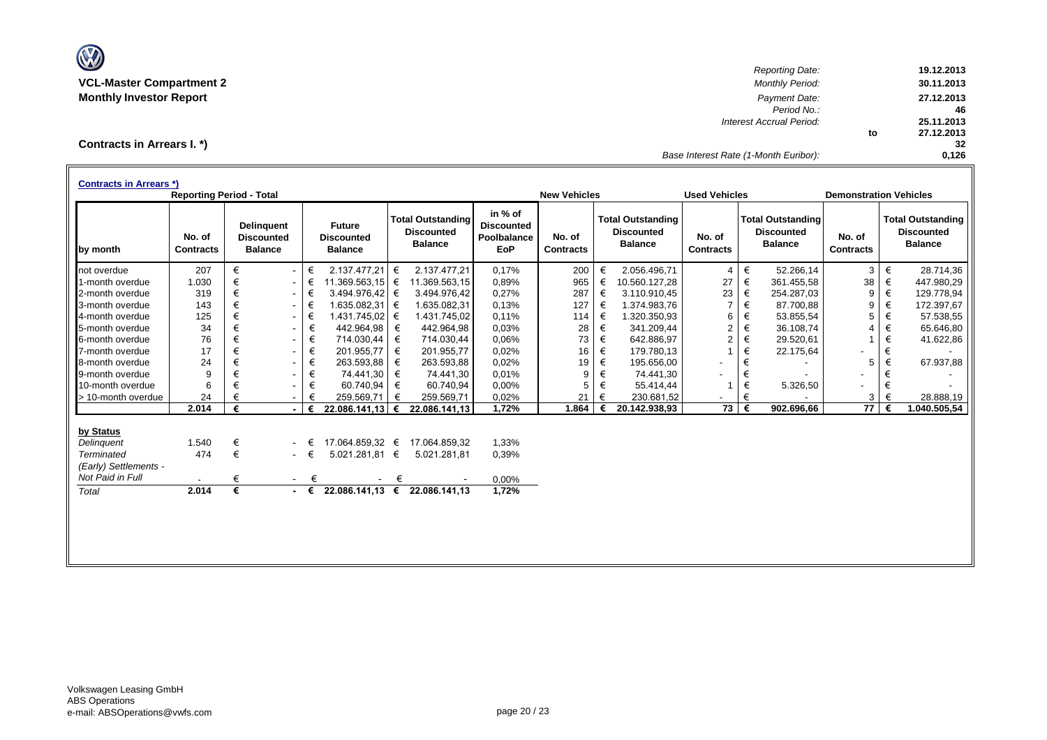

*Reporting Date:* **19.12.2013 VCL-Master Compartment 2** *Monthly Period:* **30.11.2013 Monthly Investor Report** *Payment Date:* **27.12.2013** *Period No.:* **46** *Interest Accrual Period:* **25.11.2013 to 27.12.2013 32** *Base Interest Rate (1-Month Euribor):* **0,126**

**Contracts in Arrears I. \*)**

| <b>Contracts in Arrears *)</b> | <b>Reporting Period - Total</b> |   |                                                          |             |                                                      |   |                                                                 |                                                           | <b>New Vehicles</b>        |   |                                                                 | <b>Used Vehicles</b>       |   |                                                                 | <b>Demonstration Vehicles</b> |   |                                                                 |
|--------------------------------|---------------------------------|---|----------------------------------------------------------|-------------|------------------------------------------------------|---|-----------------------------------------------------------------|-----------------------------------------------------------|----------------------------|---|-----------------------------------------------------------------|----------------------------|---|-----------------------------------------------------------------|-------------------------------|---|-----------------------------------------------------------------|
| by month                       | No. of<br><b>Contracts</b>      |   | <b>Delinguent</b><br><b>Discounted</b><br><b>Balance</b> |             | <b>Future</b><br><b>Discounted</b><br><b>Balance</b> |   | <b>Total Outstanding</b><br><b>Discounted</b><br><b>Balance</b> | in % of<br><b>Discounted</b><br><b>Poolbalance</b><br>EoP | No. of<br><b>Contracts</b> |   | <b>Total Outstanding</b><br><b>Discounted</b><br><b>Balance</b> | No. of<br><b>Contracts</b> |   | <b>Total Outstanding</b><br><b>Discounted</b><br><b>Balance</b> | No. of<br><b>Contracts</b>    |   | <b>Total Outstanding</b><br><b>Discounted</b><br><b>Balance</b> |
| not overdue                    | 207                             | € | $\blacksquare$                                           | €           | 2.137.477,21                                         | € | 2.137.477.21                                                    | 0,17%                                                     | 200                        | € | 2.056.496,71                                                    | $\overline{4}$             | € | 52.266,14                                                       | 3                             | € | 28.714,36                                                       |
| 1-month overdue                | 1.030                           | € | $\sim$                                                   | €           | $11.369.563.15$ €                                    |   | 11.369.563,15                                                   | 0,89%                                                     | 965                        | € | 10.560.127,28                                                   | 27                         | € | 361.455,58                                                      | 38                            | € | 447.980,29                                                      |
| 2-month overdue                | 319                             | € | $\sim$                                                   | €           | 3.494.976,42                                         | € | 3.494.976.42                                                    | 0,27%                                                     | 287                        | € | 3.110.910,45                                                    | 23                         | € | 254.287,03                                                      | 9                             | € | 129.778,94                                                      |
| 3-month overdue                | 143                             | € | $\overline{\phantom{0}}$                                 | €           | 1.635.082,31 €                                       |   | 1.635.082,31                                                    | 0,13%                                                     | 127                        | € | 1.374.983,76                                                    |                            | € | 87.700,88                                                       | 9                             | € | 172.397,67                                                      |
| 4-month overdue                | 125                             | € | $\overline{\phantom{a}}$                                 | €           | $1.431.745.02$ €                                     |   | 1.431.745,02                                                    | 0.11%                                                     | 114                        | € | 1.320.350,93                                                    | 6                          | € | 53.855,54                                                       | 5                             | € | 57.538,55                                                       |
| 5-month overdue                | 34                              | € | $\sim$                                                   | €           | 442.964,98                                           | € | 442.964,98                                                      | 0.03%                                                     | 28                         | € | 341.209,44                                                      | 2                          | € | 36.108,74                                                       |                               | € | 65.646,80                                                       |
| 6-month overdue                | 76                              |   | $\overline{\phantom{0}}$                                 | €           | 714.030,44                                           | € | 714.030,44                                                      | 0,06%                                                     | 73                         | € | 642.886,97                                                      | $\overline{2}$             | € | 29.520,61                                                       |                               | € | 41.622,86                                                       |
| 7-month overdue                | 17                              | € | $\sim$                                                   | €           | 201.955,77                                           | € | 201.955,77                                                      | 0.02%                                                     | 16                         | € | 179.780.13                                                      |                            | € | 22.175,64                                                       |                               | € |                                                                 |
| 8-month overdue                | 24                              |   | $\sim$                                                   | €           | 263.593,88                                           | € | 263.593,88                                                      | 0,02%                                                     | 19                         | € | 195.656,00                                                      |                            | € |                                                                 | 5                             | € | 67.937,88                                                       |
| 9-month overdue                | 9                               |   | $\frac{1}{2}$                                            | €           | 74.441.30                                            | € | 74.441.30                                                       | 0,01%                                                     | 9                          | € | 74.441,30                                                       | ۰                          | € |                                                                 |                               | € |                                                                 |
| 10-month overdue               | 6                               |   | $\overline{\phantom{0}}$                                 | €           | 60.740,94                                            | € | 60.740,94                                                       | $0.00\%$                                                  | 5                          | € | 55.414,44                                                       |                            | € | 5.326,50                                                        |                               | € |                                                                 |
| > 10-month overdue             | 24                              |   |                                                          | €           | 259.569,71                                           | € | 259.569,71                                                      | 0,02%                                                     | 21                         | € | 230.681,52                                                      | ۰                          | € |                                                                 | 3                             |   | 28.888,19                                                       |
|                                | 2.014                           | € | $\sim$                                                   | €           | 22.086.141,13 €                                      |   | 22.086.141,13                                                   | 1,72%                                                     | 1.864                      | € | 20.142.938.93                                                   | 73                         | € | 902.696,66                                                      | $\overline{77}$               | € | 1.040.505,54                                                    |
| by Status                      |                                 |   |                                                          |             |                                                      |   |                                                                 |                                                           |                            |   |                                                                 |                            |   |                                                                 |                               |   |                                                                 |
| Delinguent                     | 1.540                           | € | $\overline{\phantom{a}}$                                 |             | 17.064.859,32 €                                      |   | 17.064.859,32                                                   | 1.33%                                                     |                            |   |                                                                 |                            |   |                                                                 |                               |   |                                                                 |
| <b>Terminated</b>              | 474                             | € |                                                          | $ \in$      | 5.021.281,81 €                                       |   | 5.021.281.81                                                    | 0,39%                                                     |                            |   |                                                                 |                            |   |                                                                 |                               |   |                                                                 |
| (Early) Settlements -          |                                 |   |                                                          |             |                                                      |   |                                                                 |                                                           |                            |   |                                                                 |                            |   |                                                                 |                               |   |                                                                 |
| Not Paid in Full               |                                 | € | $\sim$                                                   | €           |                                                      | € |                                                                 | 0,00%                                                     |                            |   |                                                                 |                            |   |                                                                 |                               |   |                                                                 |
| Total                          | 2.014                           | € |                                                          | $ \epsilon$ | $22.086.141,13$ €                                    |   | 22.086.141,13                                                   | 1,72%                                                     |                            |   |                                                                 |                            |   |                                                                 |                               |   |                                                                 |
|                                |                                 |   |                                                          |             |                                                      |   |                                                                 |                                                           |                            |   |                                                                 |                            |   |                                                                 |                               |   |                                                                 |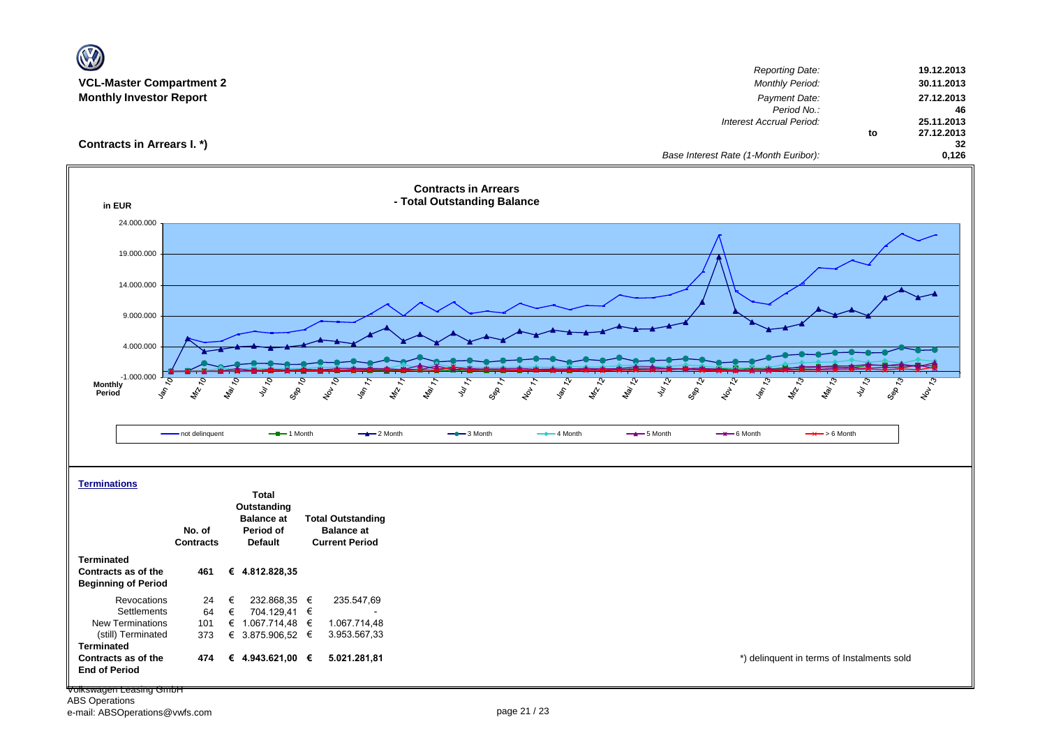| $\mathbf{W}$                                                                                     |                                     |                                                                                 |                                                                        |                                                            |                                                  |                                |                                                                                  |                   |                                              |
|--------------------------------------------------------------------------------------------------|-------------------------------------|---------------------------------------------------------------------------------|------------------------------------------------------------------------|------------------------------------------------------------|--------------------------------------------------|--------------------------------|----------------------------------------------------------------------------------|-------------------|----------------------------------------------|
| <b>VCL-Master Compartment 2</b><br><b>Monthly Investor Report</b>                                |                                     |                                                                                 |                                                                        |                                                            |                                                  |                                | <b>Reporting Date:</b><br><b>Monthly Period:</b><br>Payment Date:<br>Period No.: |                   | 19.12.2013<br>30.11.2013<br>27.12.2013<br>46 |
| Contracts in Arrears I. *)                                                                       |                                     |                                                                                 |                                                                        |                                                            |                                                  |                                | Interest Accrual Period:<br>Base Interest Rate (1-Month Euribor):                | to                | 25.11.2013<br>27.12.2013<br>32<br>0,126      |
| in EUR                                                                                           |                                     |                                                                                 |                                                                        | <b>Contracts in Arrears</b><br>- Total Outstanding Balance |                                                  |                                |                                                                                  |                   |                                              |
| 24.000.000<br>19.000.000                                                                         |                                     |                                                                                 |                                                                        |                                                            |                                                  |                                |                                                                                  |                   |                                              |
| 14.000.000<br>9.000.000                                                                          |                                     |                                                                                 |                                                                        |                                                            |                                                  |                                |                                                                                  |                   |                                              |
| 4.000.000<br>$-1.000.000$<br><b>Monthly</b><br>\$,<br>Period                                     | 8<br>S,<br>$z_{\rm s}$<br>ro.<br>Lo | July 10<br>GRS                                                                  | Nov 10<br>$\frac{1}{2}$<br>MANT                                        | $4y_{\gamma}$<br>149. 7<br>Sep 1:                          | ら<br><b>PA LA</b><br>Nov 1<br>$\mathbf{\hat{S}}$ | May 12<br><b>MAR</b><br>Sep 74 | 1187.73<br>$\mathcal{S}_{\mathcal{G}}$<br><b>LAN</b><br>$\delta$                 | July 15<br>Sep 73 | $z_{6}^{2}$                                  |
|                                                                                                  | - not delinquent                    | $-$ -1 Month                                                                    | $-2$ Month                                                             | $ -$ 3 Month                                               | $-4$ Month                                       | $-$ 5 Month                    | $\rightarrow$ 6 Month<br>$\rightarrow$ > 6 Month                                 |                   |                                              |
| <b>Terminations</b>                                                                              | No. of<br><b>Contracts</b>          | <b>Total</b><br>Outstanding<br><b>Balance</b> at<br>Period of<br><b>Default</b> | <b>Total Outstanding</b><br><b>Balance at</b><br><b>Current Period</b> |                                                            |                                                  |                                |                                                                                  |                   |                                              |
| <b>Terminated</b><br>Contracts as of the<br><b>Beginning of Period</b>                           | 461                                 | € 4.812.828,35                                                                  |                                                                        |                                                            |                                                  |                                |                                                                                  |                   |                                              |
| Revocations<br>Settlements<br><b>New Terminations</b><br>(still) Terminated<br><b>Terminated</b> | €<br>24<br>64<br>€<br>101<br>373    | 232.868,35 €<br>704.129,41 €<br>€ 1.067.714,48 $∈$<br>€ 3.875.906,52 €          | 235.547,69<br>1.067.714,48<br>3.953.567,33                             |                                                            |                                                  |                                |                                                                                  |                   |                                              |
| Contracts as of the<br><b>End of Period</b>                                                      | 474                                 | € 4.943.621,00 €                                                                | 5.021.281,81                                                           |                                                            |                                                  |                                | *) delinquent in terms of Instalments sold                                       |                   |                                              |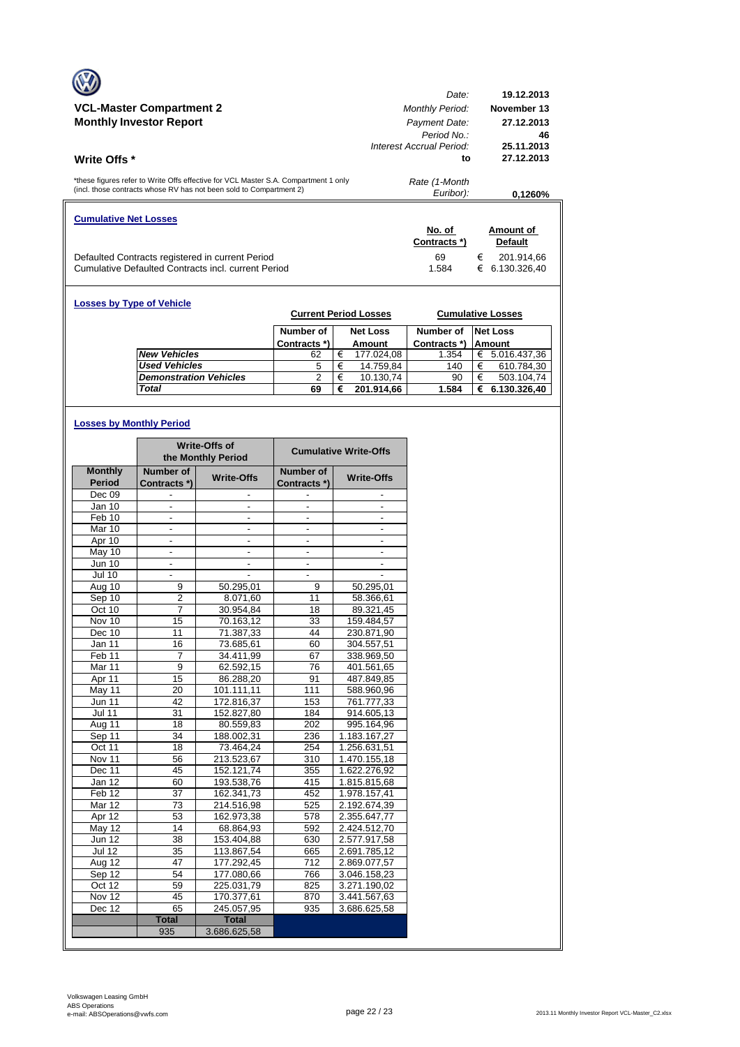|                                                                                                                                                            | Date:                                                    | 19.12.2013                     |
|------------------------------------------------------------------------------------------------------------------------------------------------------------|----------------------------------------------------------|--------------------------------|
| <b>VCL-Master Compartment 2</b>                                                                                                                            | <b>Monthly Period:</b>                                   | November 13                    |
| <b>Monthly Investor Report</b>                                                                                                                             | Payment Date:<br>Period No.:<br>Interest Accrual Period: | 27.12.2013<br>46<br>25.11.2013 |
| Write Offs *                                                                                                                                               | to                                                       | 27.12.2013                     |
| *these figures refer to Write Offs effective for VCL Master S.A. Compartment 1 only<br>(incl. those contracts whose RV has not been sold to Compartment 2) | Rate (1-Month<br>Euribor):                               | 0.1260%                        |
| <b>Cumulative Net Losses</b>                                                                                                                               |                                                          |                                |
|                                                                                                                                                            | No. of                                                   | Amount of                      |
|                                                                                                                                                            | Contracts *)                                             | <b>Default</b>                 |
| Defaulted Contracts registered in current Period                                                                                                           | 69                                                       | €<br>201.914,66                |
| Cumulative Defaulted Contracts incl. current Period                                                                                                        | 1.584                                                    | 6.130.326,40<br>€              |

| <b>Losses by Type of Vehicle</b> |                               |              |   | <b>Current Period Losses</b> |              |   | <b>Cumulative Losses</b> |
|----------------------------------|-------------------------------|--------------|---|------------------------------|--------------|---|--------------------------|
|                                  |                               | Number of    |   | <b>Net Loss</b>              | Number of    |   | <b>Net Loss</b>          |
|                                  |                               | Contracts *) |   | Amount                       | Contracts *) |   | <b>Amount</b>            |
|                                  | <b>New Vehicles</b>           | 62           | € | 177.024,08                   | 1.354        | € | 5.016.437,36             |
|                                  | <b>Used Vehicles</b>          | 5            | € | 14.759,84                    | 140          | € | 610.784,30               |
|                                  | <b>Demonstration Vehicles</b> | 2            | € | 10.130,74                    | 90           | € | 503.104,74               |
|                                  | Total                         | 69           | € | 201.914.66                   | 1.584        | € | 6.130.326,40             |

## **Losses by Monthly Period**

|                      |                          | <b>Write-Offs of</b><br>the Monthly Period |                          | <b>Cumulative Write-Offs</b> |
|----------------------|--------------------------|--------------------------------------------|--------------------------|------------------------------|
| <b>Monthly</b>       | Number of                | <b>Write-Offs</b>                          | Number of                | <b>Write-Offs</b>            |
| <b>Period</b>        | Contracts *)             |                                            | Contracts*)              |                              |
| Dec 09               |                          |                                            |                          |                              |
| Jan 10               |                          |                                            |                          |                              |
| Feb 10               | $\overline{\phantom{a}}$ | -                                          | $\overline{\phantom{a}}$ | $\overline{\phantom{a}}$     |
| Mar 10               | ÷,                       | $\frac{1}{2}$                              | $\overline{a}$           | $\overline{a}$               |
| Apr 10               |                          |                                            |                          |                              |
| May 10               | $\frac{1}{2}$            | $\overline{a}$                             | $\overline{\phantom{a}}$ | $\blacksquare$               |
| Jun 10               |                          |                                            |                          |                              |
| <b>Jul 10</b>        |                          |                                            |                          |                              |
| Aug 10               | 9                        | 50.295,01                                  | 9                        | 50.295,01                    |
| Sep 10               | $\overline{2}$           | 8.071,60                                   | 11                       | 58.366,61                    |
| Oct 10               | 7                        | 30.954,84                                  | 18                       | 89.321,45                    |
| Nov 10               | 15                       | 70.163,12                                  | 33                       | 159.484,57                   |
| Dec 10               | 11                       | 71.387,33                                  | 44                       | 230.871,90                   |
| Jan 11               | 16                       | 73.685,61                                  | 60                       | 304.557,51                   |
| Feb <sub>11</sub>    | $\overline{7}$           | 34.411.99                                  | 67                       | 338.969.50                   |
| Mar 11               | 9                        | 62.592,15                                  | 76                       | 401.561,65                   |
| Apr 11               | 15                       | 86.288,20                                  | 91                       | 487.849,85                   |
| May 11               | 20                       | 101.111,11                                 | 111                      | 588.960,96                   |
| <b>Jun 11</b>        | 42                       | 172.816,37                                 | 153                      | 761.777,33                   |
| $\overline{J}$ ul 11 | 31                       | 152.827,80                                 | 184                      | 914.605,13                   |
| Aug 11               | 18                       | 80.559,83                                  | $\overline{202}$         | 995.164,96                   |
| Sep 11               | 34                       | 188.002,31                                 | 236                      | 1.183.167,27                 |
| Oct 11               | 18                       | 73.464,24                                  | 254                      | 1.256.631,51                 |
| Nov 11               | 56                       | 213.523,67                                 | 310                      | 1.470.155,18                 |
| Dec 11               | 45                       | 152.121,74                                 | 355                      | 1.622.276,92                 |
| Jan 12               | 60                       | 193.538,76                                 | 415                      | 1.815.815,68                 |
| Feb 12               | 37                       | 162.341.73                                 | 452                      | 1.978.157,41                 |
| Mar 12               | 73                       | 214.516,98                                 | 525                      | 2.192.674,39                 |
| Apr 12               | 53                       | 162.973,38                                 | 578                      | 2.355.647,77                 |
| May 12               | 14                       | 68.864,93                                  | 592                      | 2.424.512,70                 |
| <b>Jun 12</b>        | 38                       | 153.404,88                                 | 630                      | 2.577.917,58                 |
| <b>Jul 12</b>        | 35                       | 113.867,54                                 | 665                      | 2.691.785,12                 |
| Aug $12$             | 47                       | 177.292.45                                 | 712                      | 2.869.077.57                 |
| Sep 12               | 54                       | 177.080,66                                 | 766                      | 3.046.158,23                 |
| Oct 12               | 59                       | 225.031,79                                 | 825                      | 3.271.190,02                 |
| Nov 12               | 45                       | 170.377,61                                 | 870                      | 3.441.567,63                 |
| Dec 12               | 65                       | 245.057,95                                 | 935                      | 3.686.625,58                 |
|                      | <b>Total</b>             | <b>Total</b>                               |                          |                              |
|                      | 935                      | 3.686.625.58                               |                          |                              |